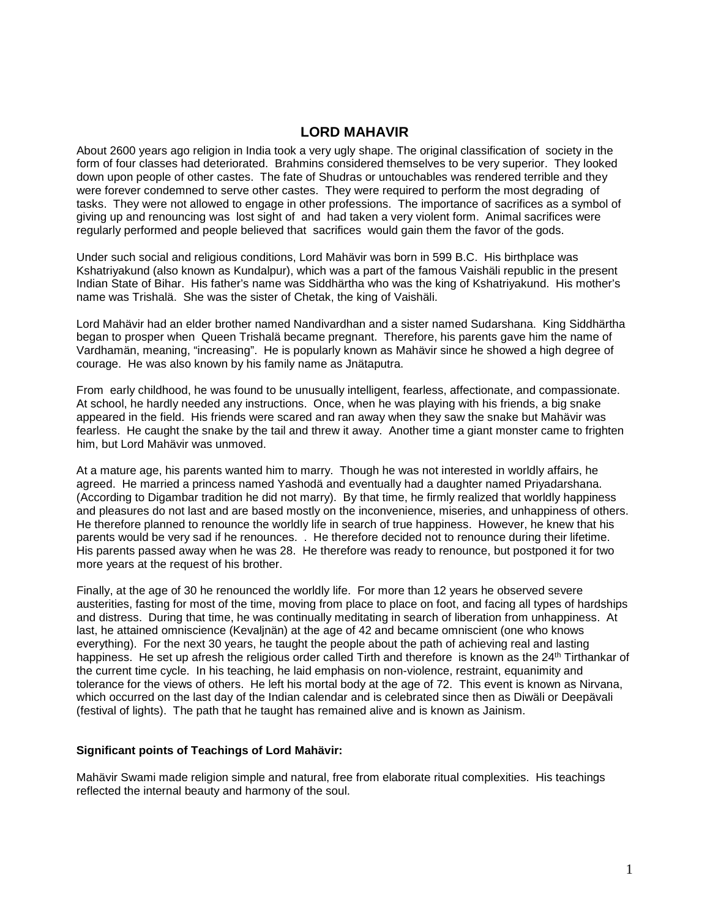### **LORD MAHAVIR**

About 2600 years ago religion in India took a very ugly shape. The original classification of society in the form of four classes had deteriorated. Brahmins considered themselves to be very superior. They looked down upon people of other castes. The fate of Shudras or untouchables was rendered terrible and they were forever condemned to serve other castes. They were required to perform the most degrading of tasks. They were not allowed to engage in other professions. The importance of sacrifices as a symbol of giving up and renouncing was lost sight of and had taken a very violent form. Animal sacrifices were regularly performed and people believed that sacrifices would gain them the favor of the gods.

Under such social and religious conditions, Lord Mahävir was born in 599 B.C. His birthplace was Kshatriyakund (also known as Kundalpur), which was a part of the famous Vaishäli republic in the present Indian State of Bihar. His father's name was Siddhärtha who was the king of Kshatriyakund. His mother's name was Trishalä. She was the sister of Chetak, the king of Vaishäli.

Lord Mahävir had an elder brother named Nandivardhan and a sister named Sudarshana. King Siddhärtha began to prosper when Queen Trishalä became pregnant. Therefore, his parents gave him the name of Vardhamän, meaning, "increasing". He is popularly known as Mahävir since he showed a high degree of courage. He was also known by his family name as Jnätaputra.

From early childhood, he was found to be unusually intelligent, fearless, affectionate, and compassionate. At school, he hardly needed any instructions. Once, when he was playing with his friends, a big snake appeared in the field. His friends were scared and ran away when they saw the snake but Mahävir was fearless. He caught the snake by the tail and threw it away. Another time a giant monster came to frighten him, but Lord Mahävir was unmoved.

At a mature age, his parents wanted him to marry. Though he was not interested in worldly affairs, he agreed. He married a princess named Yashodä and eventually had a daughter named Priyadarshana. (According to Digambar tradition he did not marry). By that time, he firmly realized that worldly happiness and pleasures do not last and are based mostly on the inconvenience, miseries, and unhappiness of others. He therefore planned to renounce the worldly life in search of true happiness. However, he knew that his parents would be very sad if he renounces. . He therefore decided not to renounce during their lifetime. His parents passed away when he was 28. He therefore was ready to renounce, but postponed it for two more years at the request of his brother.

Finally, at the age of 30 he renounced the worldly life. For more than 12 years he observed severe austerities, fasting for most of the time, moving from place to place on foot, and facing all types of hardships and distress. During that time, he was continually meditating in search of liberation from unhappiness. At last, he attained omniscience (Kevaljnän) at the age of 42 and became omniscient (one who knows everything). For the next 30 years, he taught the people about the path of achieving real and lasting happiness. He set up afresh the religious order called Tirth and therefore is known as the 24<sup>th</sup> Tirthankar of the current time cycle. In his teaching, he laid emphasis on non-violence, restraint, equanimity and tolerance for the views of others. He left his mortal body at the age of 72. This event is known as Nirvana, which occurred on the last day of the Indian calendar and is celebrated since then as Diwäli or Deepävali (festival of lights). The path that he taught has remained alive and is known as Jainism.

#### **Significant points of Teachings of Lord Mahävir:**

Mahävir Swami made religion simple and natural, free from elaborate ritual complexities. His teachings reflected the internal beauty and harmony of the soul.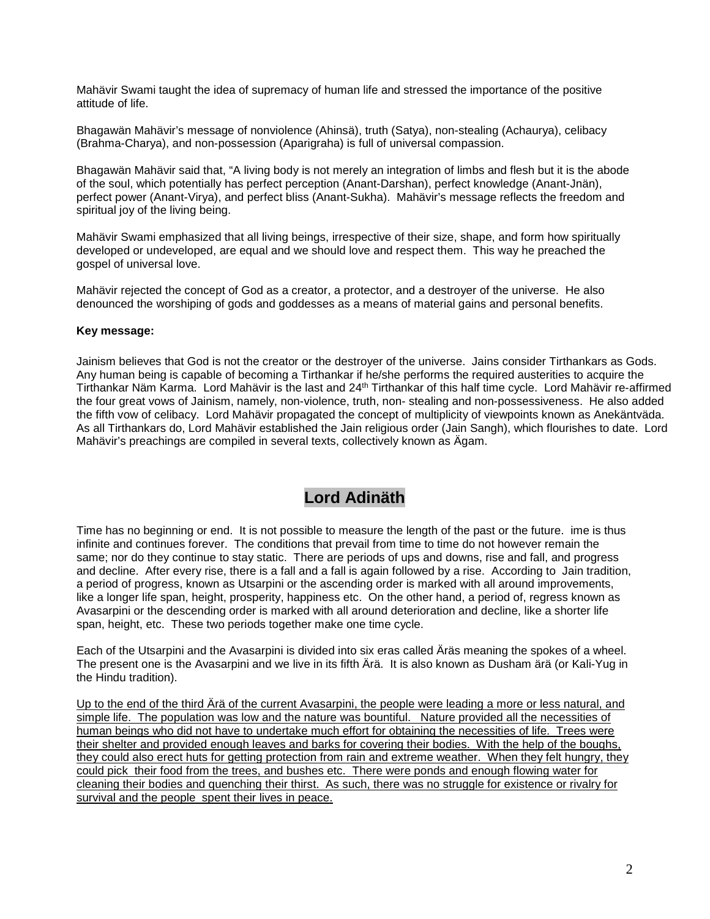Mahävir Swami taught the idea of supremacy of human life and stressed the importance of the positive attitude of life.

Bhagawän Mahävir's message of nonviolence (Ahinsä), truth (Satya), non-stealing (Achaurya), celibacy (Brahma-Charya), and non-possession (Aparigraha) is full of universal compassion.

Bhagawän Mahävir said that, "A living body is not merely an integration of limbs and flesh but it is the abode of the soul, which potentially has perfect perception (Anant-Darshan), perfect knowledge (Anant-Jnän), perfect power (Anant-Virya), and perfect bliss (Anant-Sukha). Mahävir's message reflects the freedom and spiritual joy of the living being.

Mahävir Swami emphasized that all living beings, irrespective of their size, shape, and form how spiritually developed or undeveloped, are equal and we should love and respect them. This way he preached the gospel of universal love.

Mahävir rejected the concept of God as a creator, a protector, and a destroyer of the universe. He also denounced the worshiping of gods and goddesses as a means of material gains and personal benefits.

### **Key message:**

Jainism believes that God is not the creator or the destroyer of the universe. Jains consider Tirthankars as Gods. Any human being is capable of becoming a Tirthankar if he/she performs the required austerities to acquire the Tirthankar Näm Karma. Lord Mahävir is the last and 24<sup>th</sup> Tirthankar of this half time cycle. Lord Mahävir re-affirmed the four great vows of Jainism, namely, non-violence, truth, non- stealing and non-possessiveness. He also added the fifth vow of celibacy. Lord Mahävir propagated the concept of multiplicity of viewpoints known as Anekäntväda. As all Tirthankars do, Lord Mahävir established the Jain religious order (Jain Sangh), which flourishes to date. Lord Mahävir's preachings are compiled in several texts, collectively known as Ägam.

## **Lord Adinäth**

Time has no beginning or end. It is not possible to measure the length of the past or the future. ime is thus infinite and continues forever. The conditions that prevail from time to time do not however remain the same; nor do they continue to stay static. There are periods of ups and downs, rise and fall, and progress and decline. After every rise, there is a fall and a fall is again followed by a rise. According to Jain tradition, a period of progress, known as Utsarpini or the ascending order is marked with all around improvements, like a longer life span, height, prosperity, happiness etc. On the other hand, a period of, regress known as Avasarpini or the descending order is marked with all around deterioration and decline, like a shorter life span, height, etc. These two periods together make one time cycle.

Each of the Utsarpini and the Avasarpini is divided into six eras called Äräs meaning the spokes of a wheel. The present one is the Avasarpini and we live in its fifth Ärä. It is also known as Dusham ärä (or Kali-Yug in the Hindu tradition).

Up to the end of the third Ärä of the current Avasarpini, the people were leading a more or less natural, and simple life. The population was low and the nature was bountiful. Nature provided all the necessities of human beings who did not have to undertake much effort for obtaining the necessities of life. Trees were their shelter and provided enough leaves and barks for covering their bodies. With the help of the boughs, they could also erect huts for getting protection from rain and extreme weather. When they felt hungry, they could pick their food from the trees, and bushes etc. There were ponds and enough flowing water for cleaning their bodies and quenching their thirst. As such, there was no struggle for existence or rivalry for survival and the people spent their lives in peace.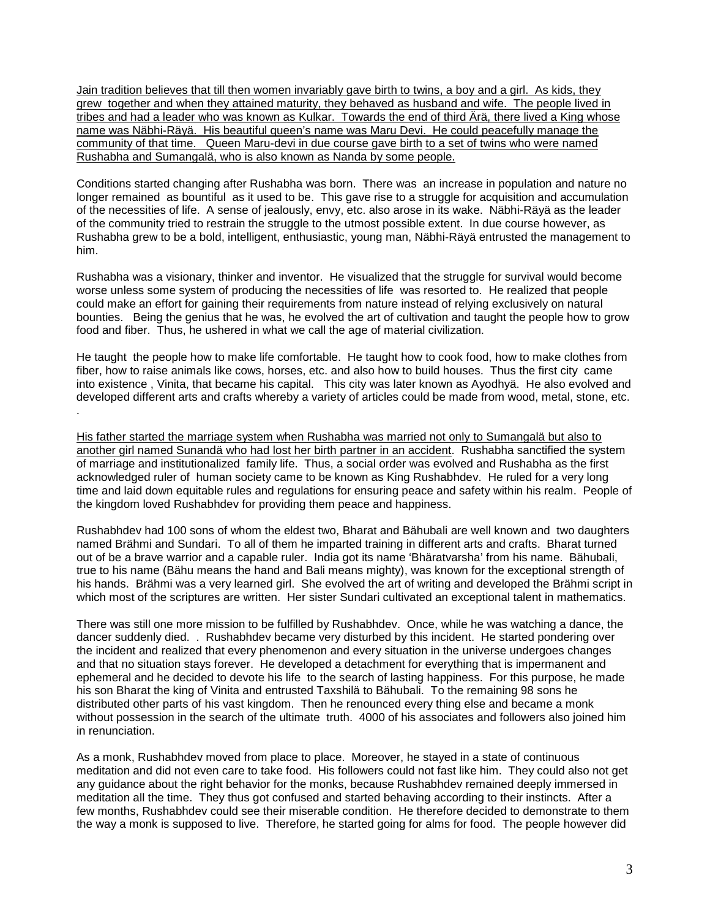Jain tradition believes that till then women invariably gave birth to twins, a boy and a girl. As kids, they grew together and when they attained maturity, they behaved as husband and wife. The people lived in tribes and had a leader who was known as Kulkar. Towards the end of third Ärä, there lived a King whose name was Näbhi-Räyä. His beautiful queen's name was Maru Devi. He could peacefully manage the community of that time. Queen Maru-devi in due course gave birth to a set of twins who were named Rushabha and Sumangalä, who is also known as Nanda by some people.

Conditions started changing after Rushabha was born. There was an increase in population and nature no longer remained as bountiful as it used to be. This gave rise to a struggle for acquisition and accumulation of the necessities of life. A sense of jealously, envy, etc. also arose in its wake. Näbhi-Räyä as the leader of the community tried to restrain the struggle to the utmost possible extent. In due course however, as Rushabha grew to be a bold, intelligent, enthusiastic, young man, Näbhi-Räyä entrusted the management to him.

Rushabha was a visionary, thinker and inventor. He visualized that the struggle for survival would become worse unless some system of producing the necessities of life was resorted to. He realized that people could make an effort for gaining their requirements from nature instead of relying exclusively on natural bounties. Being the genius that he was, he evolved the art of cultivation and taught the people how to grow food and fiber. Thus, he ushered in what we call the age of material civilization.

He taught the people how to make life comfortable. He taught how to cook food, how to make clothes from fiber, how to raise animals like cows, horses, etc. and also how to build houses. Thus the first city came into existence , Vinita, that became his capital. This city was later known as Ayodhyä. He also evolved and developed different arts and crafts whereby a variety of articles could be made from wood, metal, stone, etc. .

His father started the marriage system when Rushabha was married not only to Sumangalä but also to another girl named Sunandä who had lost her birth partner in an accident. Rushabha sanctified the system of marriage and institutionalized family life. Thus, a social order was evolved and Rushabha as the first acknowledged ruler of human society came to be known as King Rushabhdev. He ruled for a very long time and laid down equitable rules and regulations for ensuring peace and safety within his realm. People of the kingdom loved Rushabhdev for providing them peace and happiness.

Rushabhdev had 100 sons of whom the eldest two, Bharat and Bähubali are well known and two daughters named Brähmi and Sundari. To all of them he imparted training in different arts and crafts. Bharat turned out of be a brave warrior and a capable ruler. India got its name 'Bhäratvarsha' from his name. Bähubali, true to his name (Bähu means the hand and Bali means mighty), was known for the exceptional strength of his hands. Brähmi was a very learned girl. She evolved the art of writing and developed the Brähmi script in which most of the scriptures are written. Her sister Sundari cultivated an exceptional talent in mathematics.

There was still one more mission to be fulfilled by Rushabhdev. Once, while he was watching a dance, the dancer suddenly died. . Rushabhdev became very disturbed by this incident. He started pondering over the incident and realized that every phenomenon and every situation in the universe undergoes changes and that no situation stays forever. He developed a detachment for everything that is impermanent and ephemeral and he decided to devote his life to the search of lasting happiness. For this purpose, he made his son Bharat the king of Vinita and entrusted Taxshilä to Bähubali. To the remaining 98 sons he distributed other parts of his vast kingdom. Then he renounced every thing else and became a monk without possession in the search of the ultimate truth. 4000 of his associates and followers also joined him in renunciation.

As a monk, Rushabhdev moved from place to place. Moreover, he stayed in a state of continuous meditation and did not even care to take food. His followers could not fast like him. They could also not get any guidance about the right behavior for the monks, because Rushabhdev remained deeply immersed in meditation all the time. They thus got confused and started behaving according to their instincts. After a few months, Rushabhdev could see their miserable condition. He therefore decided to demonstrate to them the way a monk is supposed to live. Therefore, he started going for alms for food. The people however did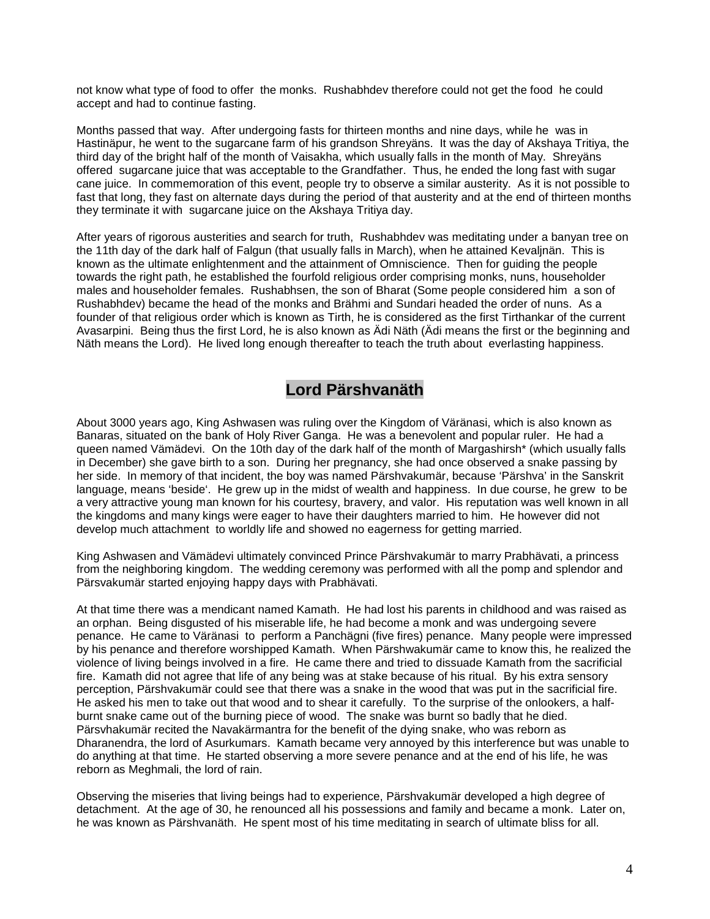not know what type of food to offer the monks. Rushabhdev therefore could not get the food he could accept and had to continue fasting.

Months passed that way. After undergoing fasts for thirteen months and nine days, while he was in Hastinäpur, he went to the sugarcane farm of his grandson Shreyäns. It was the day of Akshaya Tritiya, the third day of the bright half of the month of Vaisakha, which usually falls in the month of May. Shreyäns offered sugarcane juice that was acceptable to the Grandfather. Thus, he ended the long fast with sugar cane juice. In commemoration of this event, people try to observe a similar austerity. As it is not possible to fast that long, they fast on alternate days during the period of that austerity and at the end of thirteen months they terminate it with sugarcane juice on the Akshaya Tritiya day.

After years of rigorous austerities and search for truth, Rushabhdev was meditating under a banyan tree on the 11th day of the dark half of Falgun (that usually falls in March), when he attained Kevaljnän. This is known as the ultimate enlightenment and the attainment of Omniscience. Then for guiding the people towards the right path, he established the fourfold religious order comprising monks, nuns, householder males and householder females. Rushabhsen, the son of Bharat (Some people considered him a son of Rushabhdev) became the head of the monks and Brähmi and Sundari headed the order of nuns. As a founder of that religious order which is known as Tirth, he is considered as the first Tirthankar of the current Avasarpini. Being thus the first Lord, he is also known as Ädi Näth (Ädi means the first or the beginning and Näth means the Lord). He lived long enough thereafter to teach the truth about everlasting happiness.

### **Lord Pärshvanäth**

About 3000 years ago, King Ashwasen was ruling over the Kingdom of Väränasi, which is also known as Banaras, situated on the bank of Holy River Ganga. He was a benevolent and popular ruler. He had a queen named Vämädevi. On the 10th day of the dark half of the month of Margashirsh\* (which usually falls in December) she gave birth to a son. During her pregnancy, she had once observed a snake passing by her side. In memory of that incident, the boy was named Pärshvakumär, because 'Pärshva' in the Sanskrit language, means 'beside'. He grew up in the midst of wealth and happiness. In due course, he grew to be a very attractive young man known for his courtesy, bravery, and valor. His reputation was well known in all the kingdoms and many kings were eager to have their daughters married to him. He however did not develop much attachment to worldly life and showed no eagerness for getting married.

King Ashwasen and Vämädevi ultimately convinced Prince Pärshvakumär to marry Prabhävati, a princess from the neighboring kingdom. The wedding ceremony was performed with all the pomp and splendor and Pärsvakumär started enjoying happy days with Prabhävati.

At that time there was a mendicant named Kamath. He had lost his parents in childhood and was raised as an orphan. Being disgusted of his miserable life, he had become a monk and was undergoing severe penance. He came to Väränasi to perform a Panchägni (five fires) penance. Many people were impressed by his penance and therefore worshipped Kamath. When Pärshwakumär came to know this, he realized the violence of living beings involved in a fire. He came there and tried to dissuade Kamath from the sacrificial fire. Kamath did not agree that life of any being was at stake because of his ritual. By his extra sensory perception, Pärshvakumär could see that there was a snake in the wood that was put in the sacrificial fire. He asked his men to take out that wood and to shear it carefully. To the surprise of the onlookers, a halfburnt snake came out of the burning piece of wood. The snake was burnt so badly that he died. Pärsvhakumär recited the Navakärmantra for the benefit of the dying snake, who was reborn as Dharanendra, the lord of Asurkumars. Kamath became very annoyed by this interference but was unable to do anything at that time. He started observing a more severe penance and at the end of his life, he was reborn as Meghmali, the lord of rain.

Observing the miseries that living beings had to experience, Pärshvakumär developed a high degree of detachment. At the age of 30, he renounced all his possessions and family and became a monk. Later on, he was known as Pärshvanäth. He spent most of his time meditating in search of ultimate bliss for all.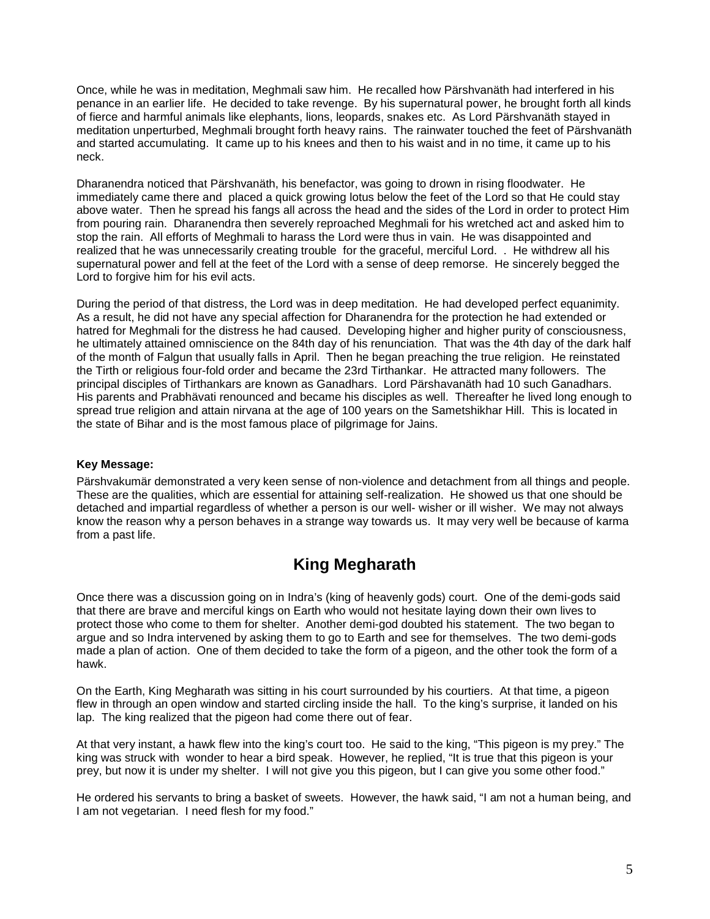Once, while he was in meditation, Meghmali saw him. He recalled how Pärshvanäth had interfered in his penance in an earlier life. He decided to take revenge. By his supernatural power, he brought forth all kinds of fierce and harmful animals like elephants, lions, leopards, snakes etc. As Lord Pärshvanäth stayed in meditation unperturbed, Meghmali brought forth heavy rains. The rainwater touched the feet of Pärshvanäth and started accumulating. It came up to his knees and then to his waist and in no time, it came up to his neck.

Dharanendra noticed that Pärshvanäth, his benefactor, was going to drown in rising floodwater. He immediately came there and placed a quick growing lotus below the feet of the Lord so that He could stay above water. Then he spread his fangs all across the head and the sides of the Lord in order to protect Him from pouring rain. Dharanendra then severely reproached Meghmali for his wretched act and asked him to stop the rain. All efforts of Meghmali to harass the Lord were thus in vain. He was disappointed and realized that he was unnecessarily creating trouble for the graceful, merciful Lord. . He withdrew all his supernatural power and fell at the feet of the Lord with a sense of deep remorse. He sincerely begged the Lord to forgive him for his evil acts.

During the period of that distress, the Lord was in deep meditation. He had developed perfect equanimity. As a result, he did not have any special affection for Dharanendra for the protection he had extended or hatred for Meghmali for the distress he had caused. Developing higher and higher purity of consciousness, he ultimately attained omniscience on the 84th day of his renunciation. That was the 4th day of the dark half of the month of Falgun that usually falls in April. Then he began preaching the true religion. He reinstated the Tirth or religious four-fold order and became the 23rd Tirthankar. He attracted many followers. The principal disciples of Tirthankars are known as Ganadhars. Lord Pärshavanäth had 10 such Ganadhars. His parents and Prabhävati renounced and became his disciples as well. Thereafter he lived long enough to spread true religion and attain nirvana at the age of 100 years on the Sametshikhar Hill. This is located in the state of Bihar and is the most famous place of pilgrimage for Jains.

### **Key Message:**

Pärshvakumär demonstrated a very keen sense of non-violence and detachment from all things and people. These are the qualities, which are essential for attaining self-realization. He showed us that one should be detached and impartial regardless of whether a person is our well- wisher or ill wisher. We may not always know the reason why a person behaves in a strange way towards us. It may very well be because of karma from a past life.

## **King Megharath**

Once there was a discussion going on in Indra's (king of heavenly gods) court. One of the demi-gods said that there are brave and merciful kings on Earth who would not hesitate laying down their own lives to protect those who come to them for shelter. Another demi-god doubted his statement. The two began to argue and so Indra intervened by asking them to go to Earth and see for themselves. The two demi-gods made a plan of action. One of them decided to take the form of a pigeon, and the other took the form of a hawk.

On the Earth, King Megharath was sitting in his court surrounded by his courtiers. At that time, a pigeon flew in through an open window and started circling inside the hall. To the king's surprise, it landed on his lap. The king realized that the pigeon had come there out of fear.

At that very instant, a hawk flew into the king's court too. He said to the king, "This pigeon is my prey." The king was struck with wonder to hear a bird speak. However, he replied, "It is true that this pigeon is your prey, but now it is under my shelter. I will not give you this pigeon, but I can give you some other food."

He ordered his servants to bring a basket of sweets. However, the hawk said, "I am not a human being, and I am not vegetarian. I need flesh for my food."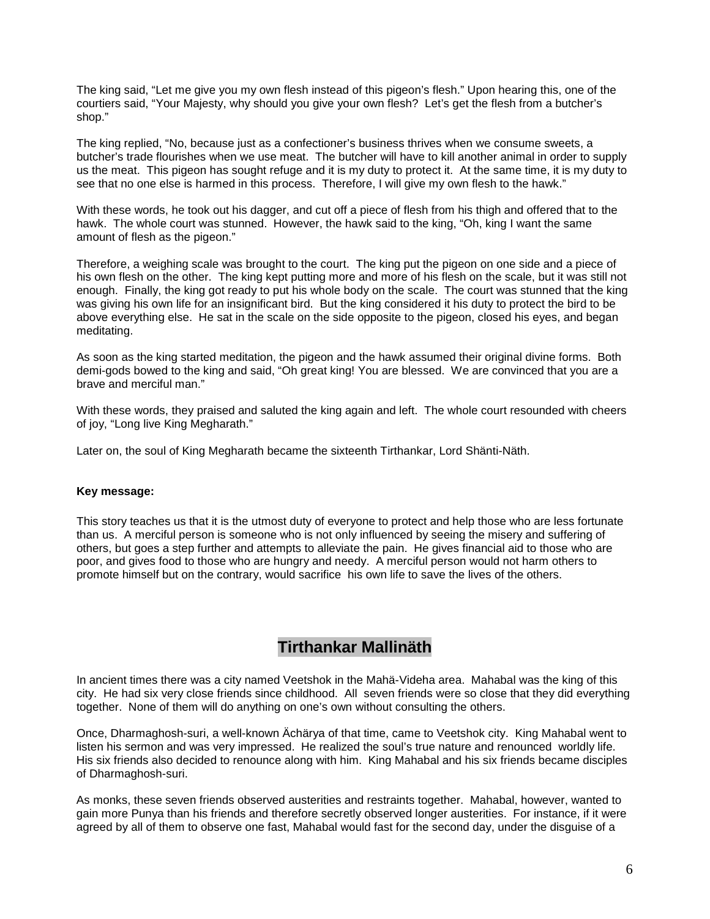The king said, "Let me give you my own flesh instead of this pigeon's flesh." Upon hearing this, one of the courtiers said, "Your Majesty, why should you give your own flesh? Let's get the flesh from a butcher's shop."

The king replied, "No, because just as a confectioner's business thrives when we consume sweets, a butcher's trade flourishes when we use meat. The butcher will have to kill another animal in order to supply us the meat. This pigeon has sought refuge and it is my duty to protect it. At the same time, it is my duty to see that no one else is harmed in this process. Therefore, I will give my own flesh to the hawk."

With these words, he took out his dagger, and cut off a piece of flesh from his thigh and offered that to the hawk. The whole court was stunned. However, the hawk said to the king, "Oh, king I want the same amount of flesh as the pigeon."

Therefore, a weighing scale was brought to the court. The king put the pigeon on one side and a piece of his own flesh on the other. The king kept putting more and more of his flesh on the scale, but it was still not enough. Finally, the king got ready to put his whole body on the scale. The court was stunned that the king was giving his own life for an insignificant bird. But the king considered it his duty to protect the bird to be above everything else. He sat in the scale on the side opposite to the pigeon, closed his eyes, and began meditating.

As soon as the king started meditation, the pigeon and the hawk assumed their original divine forms. Both demi-gods bowed to the king and said, "Oh great king! You are blessed. We are convinced that you are a brave and merciful man."

With these words, they praised and saluted the king again and left. The whole court resounded with cheers of joy, "Long live King Megharath."

Later on, the soul of King Megharath became the sixteenth Tirthankar, Lord Shänti-Näth.

#### **Key message:**

This story teaches us that it is the utmost duty of everyone to protect and help those who are less fortunate than us. A merciful person is someone who is not only influenced by seeing the misery and suffering of others, but goes a step further and attempts to alleviate the pain. He gives financial aid to those who are poor, and gives food to those who are hungry and needy. A merciful person would not harm others to promote himself but on the contrary, would sacrifice his own life to save the lives of the others.

### **Tirthankar Mallinäth**

In ancient times there was a city named Veetshok in the Mahä-Videha area. Mahabal was the king of this city. He had six very close friends since childhood. All seven friends were so close that they did everything together. None of them will do anything on one's own without consulting the others.

Once, Dharmaghosh-suri, a well-known Ächärya of that time, came to Veetshok city. King Mahabal went to listen his sermon and was very impressed. He realized the soul's true nature and renounced worldly life. His six friends also decided to renounce along with him. King Mahabal and his six friends became disciples of Dharmaghosh-suri.

As monks, these seven friends observed austerities and restraints together. Mahabal, however, wanted to gain more Punya than his friends and therefore secretly observed longer austerities. For instance, if it were agreed by all of them to observe one fast, Mahabal would fast for the second day, under the disguise of a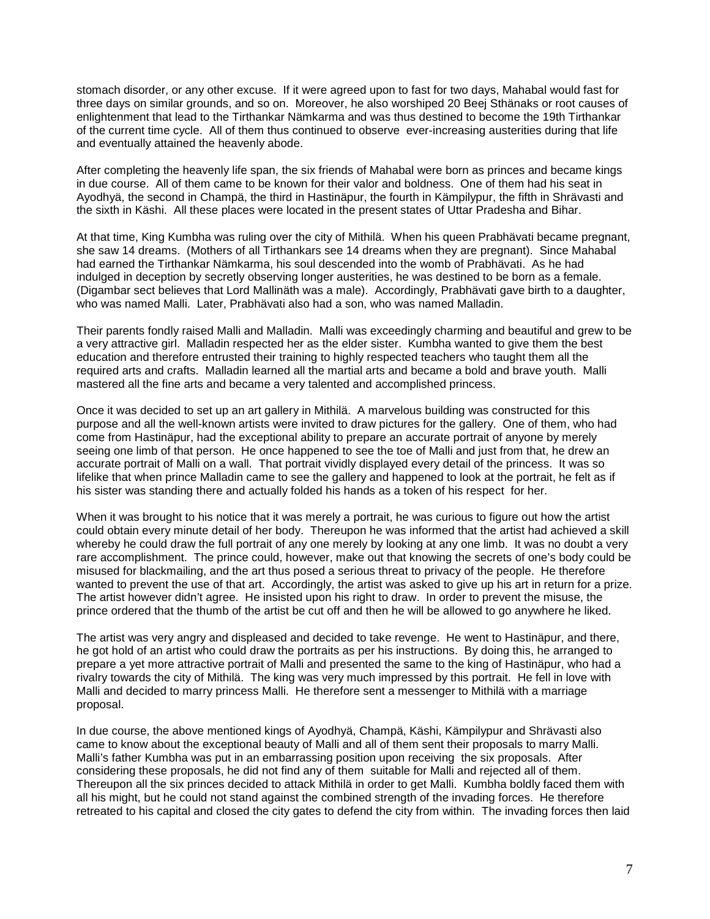stomach disorder, or any other excuse. If it were agreed upon to fast for two days, Mahabal would fast for three days on similar grounds, and so on. Moreover, he also worshiped 20 Beej Sthänaks or root causes of enlightenment that lead to the Tirthankar Nämkarma and was thus destined to become the 19th Tirthankar of the current time cycle. All of them thus continued to observe ever-increasing austerities during that life and eventually attained the heavenly abode.

After completing the heavenly life span, the six friends of Mahabal were born as princes and became kings in due course. All of them came to be known for their valor and boldness. One of them had his seat in Ayodhyä, the second in Champä, the third in Hastinäpur, the fourth in Kämpilypur, the fifth in Shrävasti and the sixth in Käshi. All these places were located in the present states of Uttar Pradesha and Bihar.

At that time, King Kumbha was ruling over the city of Mithilä. When his queen Prabhävati became pregnant, she saw 14 dreams. (Mothers of all Tirthankars see 14 dreams when they are pregnant). Since Mahabal had earned the Tirthankar Nämkarma, his soul descended into the womb of Prabhävati. As he had indulged in deception by secretly observing longer austerities, he was destined to be born as a female. (Digambar sect believes that Lord Mallinäth was a male). Accordingly, Prabhävati gave birth to a daughter, who was named Malli. Later, Prabhävati also had a son, who was named Malladin.

Their parents fondly raised Malli and Malladin. Malli was exceedingly charming and beautiful and grew to be a very attractive girl. Malladin respected her as the elder sister. Kumbha wanted to give them the best education and therefore entrusted their training to highly respected teachers who taught them all the required arts and crafts. Malladin learned all the martial arts and became a bold and brave youth. Malli mastered all the fine arts and became a very talented and accomplished princess.

Once it was decided to set up an art gallery in Mithilä. A marvelous building was constructed for this purpose and all the well-known artists were invited to draw pictures for the gallery. One of them, who had come from Hastinäpur, had the exceptional ability to prepare an accurate portrait of anyone by merely seeing one limb of that person. He once happened to see the toe of Malli and just from that, he drew an accurate portrait of Malli on a wall. That portrait vividly displayed every detail of the princess. It was so lifelike that when prince Malladin came to see the gallery and happened to look at the portrait, he felt as if his sister was standing there and actually folded his hands as a token of his respect for her.

When it was brought to his notice that it was merely a portrait, he was curious to figure out how the artist could obtain every minute detail of her body. Thereupon he was informed that the artist had achieved a skill whereby he could draw the full portrait of any one merely by looking at any one limb. It was no doubt a very rare accomplishment. The prince could, however, make out that knowing the secrets of one's body could be misused for blackmailing, and the art thus posed a serious threat to privacy of the people. He therefore wanted to prevent the use of that art. Accordingly, the artist was asked to give up his art in return for a prize. The artist however didn't agree. He insisted upon his right to draw. In order to prevent the misuse, the prince ordered that the thumb of the artist be cut off and then he will be allowed to go anywhere he liked.

The artist was very angry and displeased and decided to take revenge. He went to Hastinäpur, and there, he got hold of an artist who could draw the portraits as per his instructions. By doing this, he arranged to prepare a yet more attractive portrait of Malli and presented the same to the king of Hastinäpur, who had a rivalry towards the city of Mithilä. The king was very much impressed by this portrait. He fell in love with Malli and decided to marry princess Malli. He therefore sent a messenger to Mithilä with a marriage proposal.

In due course, the above mentioned kings of Ayodhyä, Champä, Käshi, Kämpilypur and Shrävasti also came to know about the exceptional beauty of Malli and all of them sent their proposals to marry Malli. Malli's father Kumbha was put in an embarrassing position upon receiving the six proposals. After considering these proposals, he did not find any of them suitable for Malli and rejected all of them. Thereupon all the six princes decided to attack Mithilä in order to get Malli. Kumbha boldly faced them with all his might, but he could not stand against the combined strength of the invading forces. He therefore retreated to his capital and closed the city gates to defend the city from within. The invading forces then laid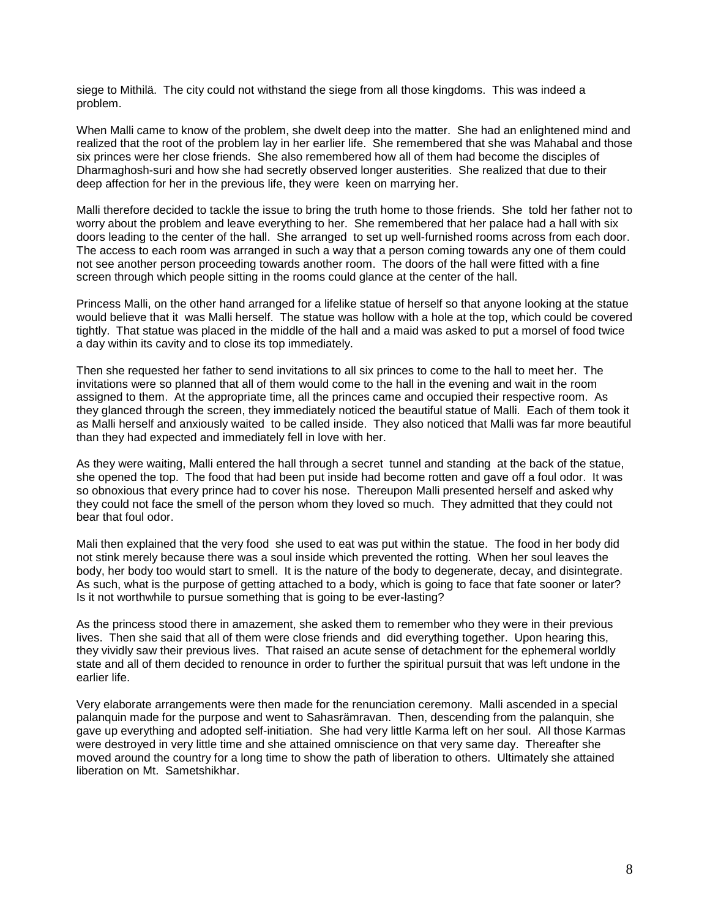siege to Mithilä. The city could not withstand the siege from all those kingdoms. This was indeed a problem.

When Malli came to know of the problem, she dwelt deep into the matter. She had an enlightened mind and realized that the root of the problem lay in her earlier life. She remembered that she was Mahabal and those six princes were her close friends. She also remembered how all of them had become the disciples of Dharmaghosh-suri and how she had secretly observed longer austerities. She realized that due to their deep affection for her in the previous life, they were keen on marrying her.

Malli therefore decided to tackle the issue to bring the truth home to those friends. She told her father not to worry about the problem and leave everything to her. She remembered that her palace had a hall with six doors leading to the center of the hall. She arranged to set up well-furnished rooms across from each door. The access to each room was arranged in such a way that a person coming towards any one of them could not see another person proceeding towards another room. The doors of the hall were fitted with a fine screen through which people sitting in the rooms could glance at the center of the hall.

Princess Malli, on the other hand arranged for a lifelike statue of herself so that anyone looking at the statue would believe that it was Malli herself. The statue was hollow with a hole at the top, which could be covered tightly. That statue was placed in the middle of the hall and a maid was asked to put a morsel of food twice a day within its cavity and to close its top immediately.

Then she requested her father to send invitations to all six princes to come to the hall to meet her. The invitations were so planned that all of them would come to the hall in the evening and wait in the room assigned to them. At the appropriate time, all the princes came and occupied their respective room. As they glanced through the screen, they immediately noticed the beautiful statue of Malli. Each of them took it as Malli herself and anxiously waited to be called inside. They also noticed that Malli was far more beautiful than they had expected and immediately fell in love with her.

As they were waiting, Malli entered the hall through a secret tunnel and standing at the back of the statue, she opened the top. The food that had been put inside had become rotten and gave off a foul odor. It was so obnoxious that every prince had to cover his nose. Thereupon Malli presented herself and asked why they could not face the smell of the person whom they loved so much. They admitted that they could not bear that foul odor.

Mali then explained that the very food she used to eat was put within the statue. The food in her body did not stink merely because there was a soul inside which prevented the rotting. When her soul leaves the body, her body too would start to smell. It is the nature of the body to degenerate, decay, and disintegrate. As such, what is the purpose of getting attached to a body, which is going to face that fate sooner or later? Is it not worthwhile to pursue something that is going to be ever-lasting?

As the princess stood there in amazement, she asked them to remember who they were in their previous lives. Then she said that all of them were close friends and did everything together. Upon hearing this, they vividly saw their previous lives. That raised an acute sense of detachment for the ephemeral worldly state and all of them decided to renounce in order to further the spiritual pursuit that was left undone in the earlier life.

Very elaborate arrangements were then made for the renunciation ceremony. Malli ascended in a special palanquin made for the purpose and went to Sahasrämravan. Then, descending from the palanquin, she gave up everything and adopted self-initiation. She had very little Karma left on her soul. All those Karmas were destroyed in very little time and she attained omniscience on that very same day. Thereafter she moved around the country for a long time to show the path of liberation to others. Ultimately she attained liberation on Mt. Sametshikhar.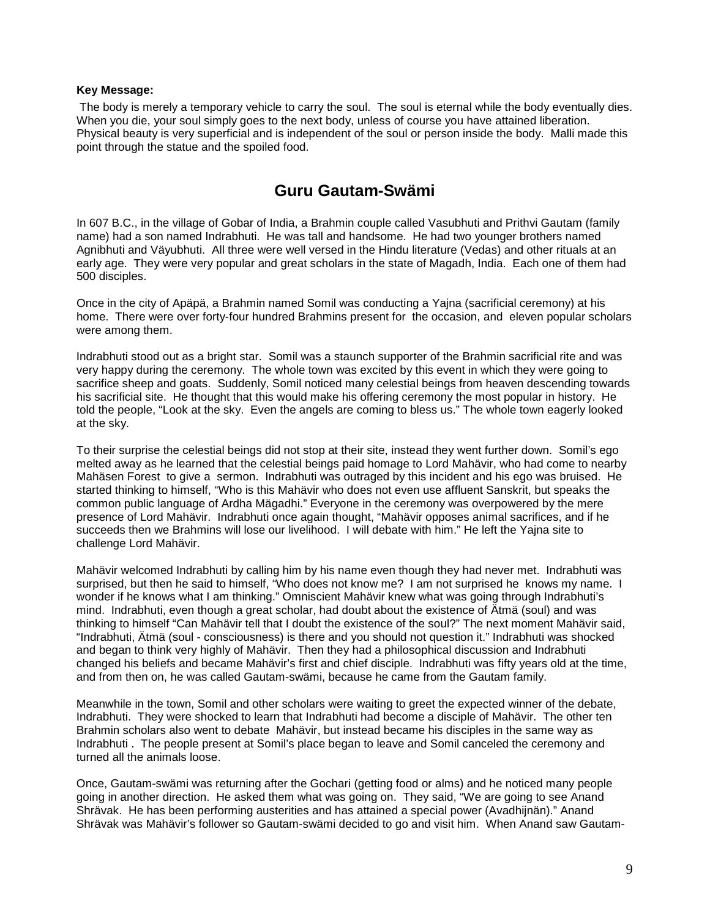#### **Key Message:**

The body is merely a temporary vehicle to carry the soul. The soul is eternal while the body eventually dies. When you die, your soul simply goes to the next body, unless of course you have attained liberation. Physical beauty is very superficial and is independent of the soul or person inside the body. Malli made this point through the statue and the spoiled food.

### **Guru Gautam-Swämi**

In 607 B.C., in the village of Gobar of India, a Brahmin couple called Vasubhuti and Prithvi Gautam (family name) had a son named Indrabhuti. He was tall and handsome. He had two younger brothers named Agnibhuti and Väyubhuti. All three were well versed in the Hindu literature (Vedas) and other rituals at an early age. They were very popular and great scholars in the state of Magadh, India. Each one of them had 500 disciples.

Once in the city of Apäpä, a Brahmin named Somil was conducting a Yajna (sacrificial ceremony) at his home. There were over forty-four hundred Brahmins present for the occasion, and eleven popular scholars were among them.

Indrabhuti stood out as a bright star. Somil was a staunch supporter of the Brahmin sacrificial rite and was very happy during the ceremony. The whole town was excited by this event in which they were going to sacrifice sheep and goats. Suddenly, Somil noticed many celestial beings from heaven descending towards his sacrificial site. He thought that this would make his offering ceremony the most popular in history. He told the people, "Look at the sky. Even the angels are coming to bless us." The whole town eagerly looked at the sky.

To their surprise the celestial beings did not stop at their site, instead they went further down. Somil's ego melted away as he learned that the celestial beings paid homage to Lord Mahävir, who had come to nearby Mahäsen Forest to give a sermon. Indrabhuti was outraged by this incident and his ego was bruised. He started thinking to himself, "Who is this Mahävir who does not even use affluent Sanskrit, but speaks the common public language of Ardha Mägadhi." Everyone in the ceremony was overpowered by the mere presence of Lord Mahävir. Indrabhuti once again thought, "Mahävir opposes animal sacrifices, and if he succeeds then we Brahmins will lose our livelihood. I will debate with him." He left the Yajna site to challenge Lord Mahävir.

Mahävir welcomed Indrabhuti by calling him by his name even though they had never met. Indrabhuti was surprised, but then he said to himself, "Who does not know me? I am not surprised he knows my name. I wonder if he knows what I am thinking." Omniscient Mahävir knew what was going through Indrabhuti's mind. Indrabhuti, even though a great scholar, had doubt about the existence of Ätmä (soul) and was thinking to himself "Can Mahävir tell that I doubt the existence of the soul?" The next moment Mahävir said, "Indrabhuti, Ätmä (soul - consciousness) is there and you should not question it." Indrabhuti was shocked and began to think very highly of Mahävir. Then they had a philosophical discussion and Indrabhuti changed his beliefs and became Mahävir's first and chief disciple. Indrabhuti was fifty years old at the time, and from then on, he was called Gautam-swämi, because he came from the Gautam family.

Meanwhile in the town, Somil and other scholars were waiting to greet the expected winner of the debate, Indrabhuti. They were shocked to learn that Indrabhuti had become a disciple of Mahävir. The other ten Brahmin scholars also went to debate Mahävir, but instead became his disciples in the same way as Indrabhuti . The people present at Somil's place began to leave and Somil canceled the ceremony and turned all the animals loose.

Once, Gautam-swämi was returning after the Gochari (getting food or alms) and he noticed many people going in another direction. He asked them what was going on. They said, "We are going to see Anand Shrävak. He has been performing austerities and has attained a special power (Avadhijnän)." Anand Shrävak was Mahävir's follower so Gautam-swämi decided to go and visit him. When Anand saw Gautam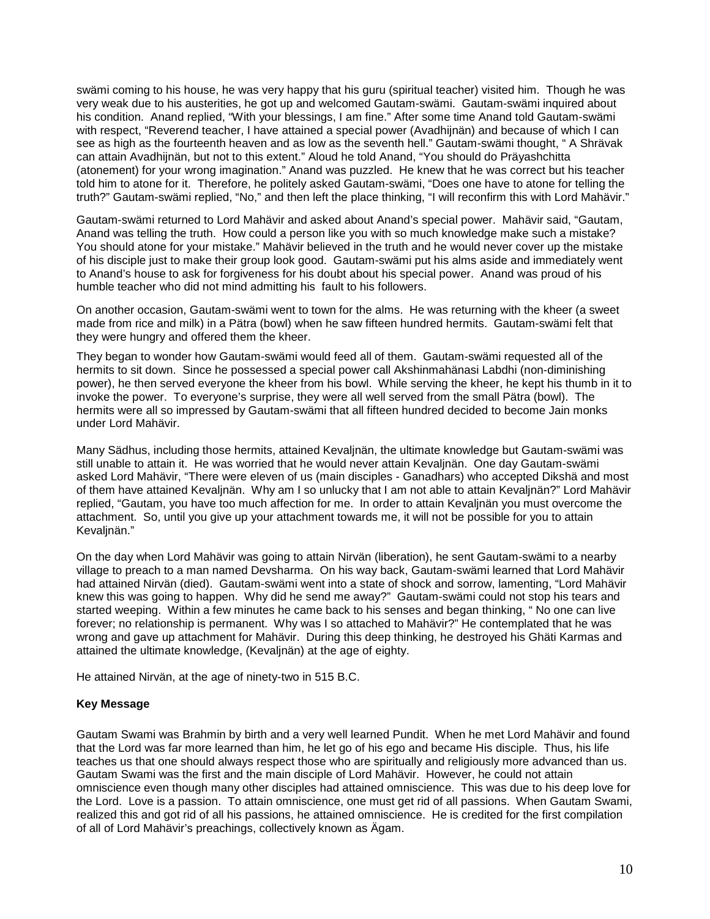swämi coming to his house, he was very happy that his guru (spiritual teacher) visited him. Though he was very weak due to his austerities, he got up and welcomed Gautam-swämi. Gautam-swämi inquired about his condition. Anand replied, "With your blessings, I am fine." After some time Anand told Gautam-swämi with respect, "Reverend teacher, I have attained a special power (Avadhijnän) and because of which I can see as high as the fourteenth heaven and as low as the seventh hell." Gautam-swämi thought, " A Shrävak can attain Avadhijnän, but not to this extent." Aloud he told Anand, "You should do Präyashchitta (atonement) for your wrong imagination." Anand was puzzled. He knew that he was correct but his teacher told him to atone for it. Therefore, he politely asked Gautam-swämi, "Does one have to atone for telling the truth?" Gautam-swämi replied, "No," and then left the place thinking, "I will reconfirm this with Lord Mahävir."

Gautam-swämi returned to Lord Mahävir and asked about Anand's special power. Mahävir said, "Gautam, Anand was telling the truth. How could a person like you with so much knowledge make such a mistake? You should atone for your mistake." Mahävir believed in the truth and he would never cover up the mistake of his disciple just to make their group look good. Gautam-swämi put his alms aside and immediately went to Anand's house to ask for forgiveness for his doubt about his special power. Anand was proud of his humble teacher who did not mind admitting his fault to his followers.

On another occasion, Gautam-swämi went to town for the alms. He was returning with the kheer (a sweet made from rice and milk) in a Pätra (bowl) when he saw fifteen hundred hermits. Gautam-swämi felt that they were hungry and offered them the kheer.

They began to wonder how Gautam-swämi would feed all of them. Gautam-swämi requested all of the hermits to sit down. Since he possessed a special power call Akshinmahänasi Labdhi (non-diminishing power), he then served everyone the kheer from his bowl. While serving the kheer, he kept his thumb in it to invoke the power. To everyone's surprise, they were all well served from the small Pätra (bowl). The hermits were all so impressed by Gautam-swämi that all fifteen hundred decided to become Jain monks under Lord Mahävir.

Many Sädhus, including those hermits, attained Kevaljnän, the ultimate knowledge but Gautam-swämi was still unable to attain it. He was worried that he would never attain Kevaljnän. One day Gautam-swämi asked Lord Mahävir, "There were eleven of us (main disciples - Ganadhars) who accepted Dikshä and most of them have attained Kevaljnän. Why am I so unlucky that I am not able to attain Kevaljnän?" Lord Mahävir replied, "Gautam, you have too much affection for me. In order to attain Kevaljnän you must overcome the attachment. So, until you give up your attachment towards me, it will not be possible for you to attain Kevaljnän."

On the day when Lord Mahävir was going to attain Nirvän (liberation), he sent Gautam-swämi to a nearby village to preach to a man named Devsharma. On his way back, Gautam-swämi learned that Lord Mahävir had attained Nirvän (died). Gautam-swämi went into a state of shock and sorrow, lamenting, "Lord Mahävir knew this was going to happen. Why did he send me away?" Gautam-swämi could not stop his tears and started weeping. Within a few minutes he came back to his senses and began thinking, " No one can live forever; no relationship is permanent. Why was I so attached to Mahävir?" He contemplated that he was wrong and gave up attachment for Mahävir. During this deep thinking, he destroyed his Ghäti Karmas and attained the ultimate knowledge, (Kevaljnän) at the age of eighty.

He attained Nirvän, at the age of ninety-two in 515 B.C.

#### **Key Message**

Gautam Swami was Brahmin by birth and a very well learned Pundit. When he met Lord Mahävir and found that the Lord was far more learned than him, he let go of his ego and became His disciple. Thus, his life teaches us that one should always respect those who are spiritually and religiously more advanced than us. Gautam Swami was the first and the main disciple of Lord Mahävir. However, he could not attain omniscience even though many other disciples had attained omniscience. This was due to his deep love for the Lord. Love is a passion. To attain omniscience, one must get rid of all passions. When Gautam Swami, realized this and got rid of all his passions, he attained omniscience. He is credited for the first compilation of all of Lord Mahävir's preachings, collectively known as Ägam.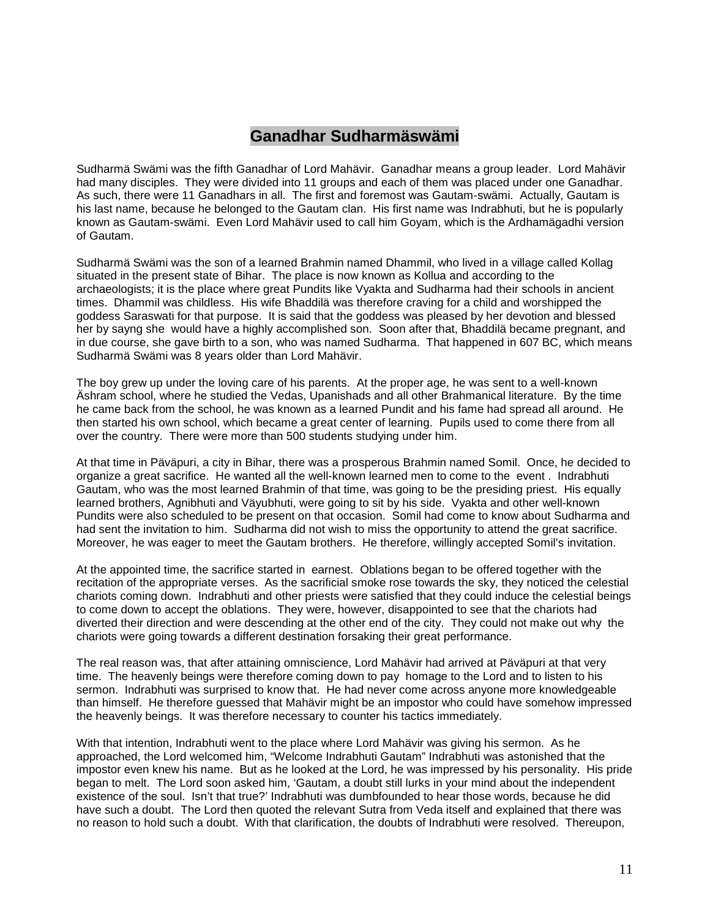# **Ganadhar Sudharmäswämi**

Sudharmä Swämi was the fifth Ganadhar of Lord Mahävir. Ganadhar means a group leader. Lord Mahävir had many disciples. They were divided into 11 groups and each of them was placed under one Ganadhar. As such, there were 11 Ganadhars in all. The first and foremost was Gautam-swämi. Actually, Gautam is his last name, because he belonged to the Gautam clan. His first name was Indrabhuti, but he is popularly known as Gautam-swämi. Even Lord Mahävir used to call him Goyam, which is the Ardhamägadhi version of Gautam.

Sudharmä Swämi was the son of a learned Brahmin named Dhammil, who lived in a village called Kollag situated in the present state of Bihar. The place is now known as Kollua and according to the archaeologists; it is the place where great Pundits like Vyakta and Sudharma had their schools in ancient times. Dhammil was childless. His wife Bhaddilä was therefore craving for a child and worshipped the goddess Saraswati for that purpose. It is said that the goddess was pleased by her devotion and blessed her by sayng she would have a highly accomplished son. Soon after that, Bhaddilä became pregnant, and in due course, she gave birth to a son, who was named Sudharma. That happened in 607 BC, which means Sudharmä Swämi was 8 years older than Lord Mahävir.

The boy grew up under the loving care of his parents. At the proper age, he was sent to a well-known Äshram school, where he studied the Vedas, Upanishads and all other Brahmanical literature. By the time he came back from the school, he was known as a learned Pundit and his fame had spread all around. He then started his own school, which became a great center of learning. Pupils used to come there from all over the country. There were more than 500 students studying under him.

At that time in Päväpuri, a city in Bihar, there was a prosperous Brahmin named Somil. Once, he decided to organize a great sacrifice. He wanted all the well-known learned men to come to the event . Indrabhuti Gautam, who was the most learned Brahmin of that time, was going to be the presiding priest. His equally learned brothers, Agnibhuti and Väyubhuti, were going to sit by his side. Vyakta and other well-known Pundits were also scheduled to be present on that occasion. Somil had come to know about Sudharma and had sent the invitation to him. Sudharma did not wish to miss the opportunity to attend the great sacrifice. Moreover, he was eager to meet the Gautam brothers. He therefore, willingly accepted Somil's invitation.

At the appointed time, the sacrifice started in earnest. Oblations began to be offered together with the recitation of the appropriate verses. As the sacrificial smoke rose towards the sky, they noticed the celestial chariots coming down. Indrabhuti and other priests were satisfied that they could induce the celestial beings to come down to accept the oblations. They were, however, disappointed to see that the chariots had diverted their direction and were descending at the other end of the city. They could not make out why the chariots were going towards a different destination forsaking their great performance.

The real reason was, that after attaining omniscience, Lord Mahävir had arrived at Päväpuri at that very time. The heavenly beings were therefore coming down to pay homage to the Lord and to listen to his sermon. Indrabhuti was surprised to know that. He had never come across anyone more knowledgeable than himself. He therefore guessed that Mahävir might be an impostor who could have somehow impressed the heavenly beings. It was therefore necessary to counter his tactics immediately.

With that intention, Indrabhuti went to the place where Lord Mahävir was giving his sermon. As he approached, the Lord welcomed him, "Welcome Indrabhuti Gautam" Indrabhuti was astonished that the impostor even knew his name. But as he looked at the Lord, he was impressed by his personality. His pride began to melt. The Lord soon asked him, 'Gautam, a doubt still lurks in your mind about the independent existence of the soul. Isn't that true?' Indrabhuti was dumbfounded to hear those words, because he did have such a doubt. The Lord then quoted the relevant Sutra from Veda itself and explained that there was no reason to hold such a doubt. With that clarification, the doubts of Indrabhuti were resolved. Thereupon,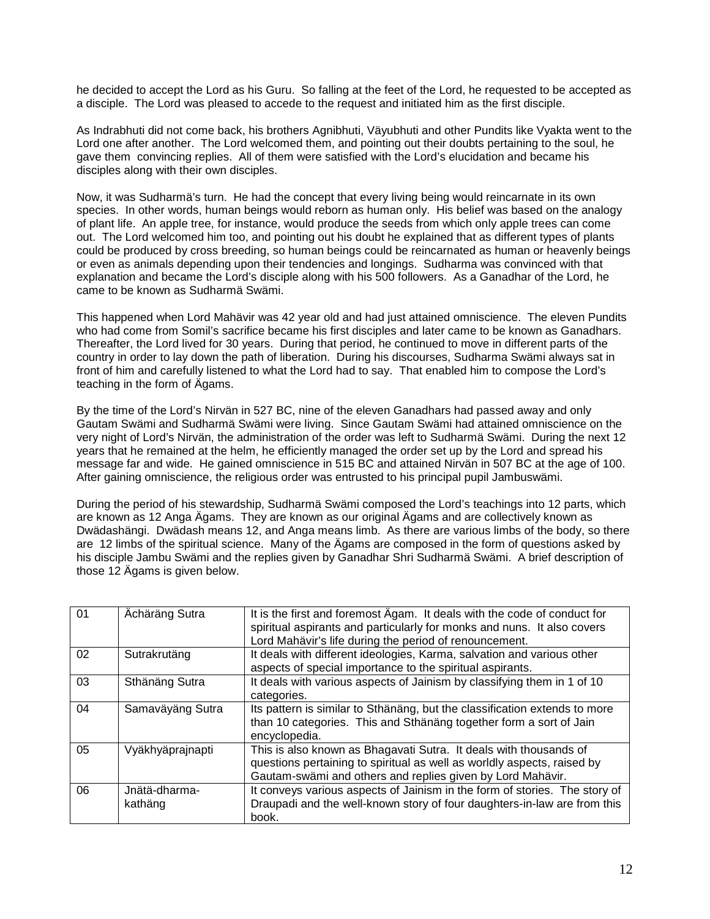he decided to accept the Lord as his Guru. So falling at the feet of the Lord, he requested to be accepted as a disciple. The Lord was pleased to accede to the request and initiated him as the first disciple.

As Indrabhuti did not come back, his brothers Agnibhuti, Väyubhuti and other Pundits like Vyakta went to the Lord one after another. The Lord welcomed them, and pointing out their doubts pertaining to the soul, he gave them convincing replies. All of them were satisfied with the Lord's elucidation and became his disciples along with their own disciples.

Now, it was Sudharmä's turn. He had the concept that every living being would reincarnate in its own species. In other words, human beings would reborn as human only. His belief was based on the analogy of plant life. An apple tree, for instance, would produce the seeds from which only apple trees can come out. The Lord welcomed him too, and pointing out his doubt he explained that as different types of plants could be produced by cross breeding, so human beings could be reincarnated as human or heavenly beings or even as animals depending upon their tendencies and longings. Sudharma was convinced with that explanation and became the Lord's disciple along with his 500 followers. As a Ganadhar of the Lord, he came to be known as Sudharmä Swämi.

This happened when Lord Mahävir was 42 year old and had just attained omniscience. The eleven Pundits who had come from Somil's sacrifice became his first disciples and later came to be known as Ganadhars. Thereafter, the Lord lived for 30 years. During that period, he continued to move in different parts of the country in order to lay down the path of liberation. During his discourses, Sudharma Swämi always sat in front of him and carefully listened to what the Lord had to say. That enabled him to compose the Lord's teaching in the form of Ägams.

By the time of the Lord's Nirvän in 527 BC, nine of the eleven Ganadhars had passed away and only Gautam Swämi and Sudharmä Swämi were living. Since Gautam Swämi had attained omniscience on the very night of Lord's Nirvän, the administration of the order was left to Sudharmä Swämi. During the next 12 years that he remained at the helm, he efficiently managed the order set up by the Lord and spread his message far and wide. He gained omniscience in 515 BC and attained Nirvän in 507 BC at the age of 100. After gaining omniscience, the religious order was entrusted to his principal pupil Jambuswämi.

During the period of his stewardship, Sudharmä Swämi composed the Lord's teachings into 12 parts, which are known as 12 Anga Ägams. They are known as our original Ägams and are collectively known as Dwädashängi. Dwädash means 12, and Anga means limb. As there are various limbs of the body, so there are 12 limbs of the spiritual science. Many of the Ägams are composed in the form of questions asked by his disciple Jambu Swämi and the replies given by Ganadhar Shri Sudharmä Swämi. A brief description of those 12 Ägams is given below.

| 01 | Ächäräng Sutra           | It is the first and foremost Agam. It deals with the code of conduct for<br>spiritual aspirants and particularly for monks and nuns. It also covers<br>Lord Mahävir's life during the period of renouncement. |
|----|--------------------------|---------------------------------------------------------------------------------------------------------------------------------------------------------------------------------------------------------------|
| 02 | Sutrakrutäng             | It deals with different ideologies, Karma, salvation and various other<br>aspects of special importance to the spiritual aspirants.                                                                           |
| 03 | Sthänäng Sutra           | It deals with various aspects of Jainism by classifying them in 1 of 10<br>categories.                                                                                                                        |
| 04 | Samaväyäng Sutra         | Its pattern is similar to Sthänäng, but the classification extends to more<br>than 10 categories. This and Sthänäng together form a sort of Jain<br>encyclopedia.                                             |
| 05 | Vyäkhyäprajnapti         | This is also known as Bhagavati Sutra. It deals with thousands of<br>questions pertaining to spiritual as well as worldly aspects, raised by<br>Gautam-swämi and others and replies given by Lord Mahävir.    |
| 06 | Jnätä-dharma-<br>kathäng | It conveys various aspects of Jainism in the form of stories. The story of<br>Draupadi and the well-known story of four daughters-in-law are from this<br>book.                                               |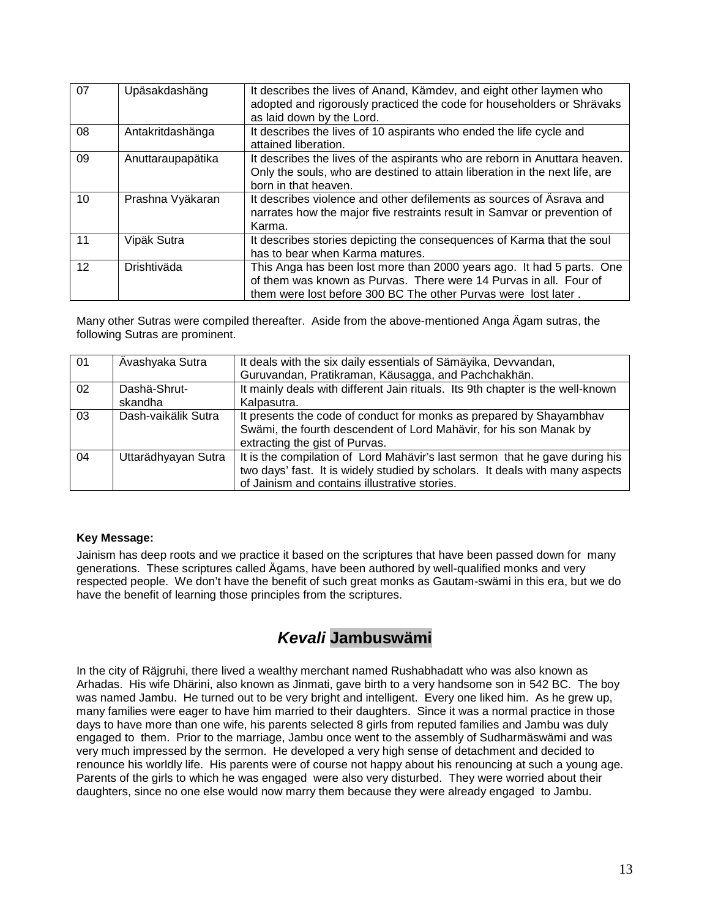| 07 | Upäsakdashäng     | It describes the lives of Anand, Kämdev, and eight other laymen who<br>adopted and rigorously practiced the code for householders or Shrävaks<br>as laid down by the Lord.                                   |
|----|-------------------|--------------------------------------------------------------------------------------------------------------------------------------------------------------------------------------------------------------|
| 08 | Antakritdashänga  | It describes the lives of 10 aspirants who ended the life cycle and<br>attained liberation.                                                                                                                  |
| 09 | Anuttaraupapätika | It describes the lives of the aspirants who are reborn in Anuttara heaven.<br>Only the souls, who are destined to attain liberation in the next life, are<br>born in that heaven.                            |
| 10 | Prashna Vyäkaran  | It describes violence and other defilements as sources of Asraya and<br>narrates how the major five restraints result in Samvar or prevention of<br>Karma.                                                   |
| 11 | Vipäk Sutra       | It describes stories depicting the consequences of Karma that the soul<br>has to bear when Karma matures.                                                                                                    |
| 12 | Drishtiväda       | This Anga has been lost more than 2000 years ago. It had 5 parts. One<br>of them was known as Purvas. There were 14 Purvas in all. Four of<br>them were lost before 300 BC The other Purvas were lost later. |

Many other Sutras were compiled thereafter. Aside from the above-mentioned Anga Ägam sutras, the following Sutras are prominent.

| 01 | Ävashyaka Sutra         | It deals with the six daily essentials of Sämäyika, Devvandan,<br>Guruvandan, Pratikraman, Käusagga, and Pachchakhän.                                                                                        |
|----|-------------------------|--------------------------------------------------------------------------------------------------------------------------------------------------------------------------------------------------------------|
| 02 | Dashä-Shrut-<br>skandha | It mainly deals with different Jain rituals. Its 9th chapter is the well-known<br>Kalpasutra.                                                                                                                |
| 03 | Dash-vaikälik Sutra     | It presents the code of conduct for monks as prepared by Shayambhav<br>Swämi, the fourth descendent of Lord Mahävir, for his son Manak by<br>extracting the gist of Purvas.                                  |
| 04 | Uttarädhyayan Sutra     | It is the compilation of Lord Mahävir's last sermon that he gave during his<br>two days' fast. It is widely studied by scholars. It deals with many aspects<br>of Jainism and contains illustrative stories. |

#### **Key Message:**

Jainism has deep roots and we practice it based on the scriptures that have been passed down for many generations. These scriptures called Ägams, have been authored by well-qualified monks and very respected people. We don't have the benefit of such great monks as Gautam-swämi in this era, but we do have the benefit of learning those principles from the scriptures.

# *Kevali* **Jambuswämi**

In the city of Räjgruhi, there lived a wealthy merchant named Rushabhadatt who was also known as Arhadas. His wife Dhärini, also known as Jinmati, gave birth to a very handsome son in 542 BC. The boy was named Jambu. He turned out to be very bright and intelligent. Every one liked him. As he grew up, many families were eager to have him married to their daughters. Since it was a normal practice in those days to have more than one wife, his parents selected 8 girls from reputed families and Jambu was duly engaged to them. Prior to the marriage, Jambu once went to the assembly of Sudharmäswämi and was very much impressed by the sermon. He developed a very high sense of detachment and decided to renounce his worldly life. His parents were of course not happy about his renouncing at such a young age. Parents of the girls to which he was engaged were also very disturbed. They were worried about their daughters, since no one else would now marry them because they were already engaged to Jambu.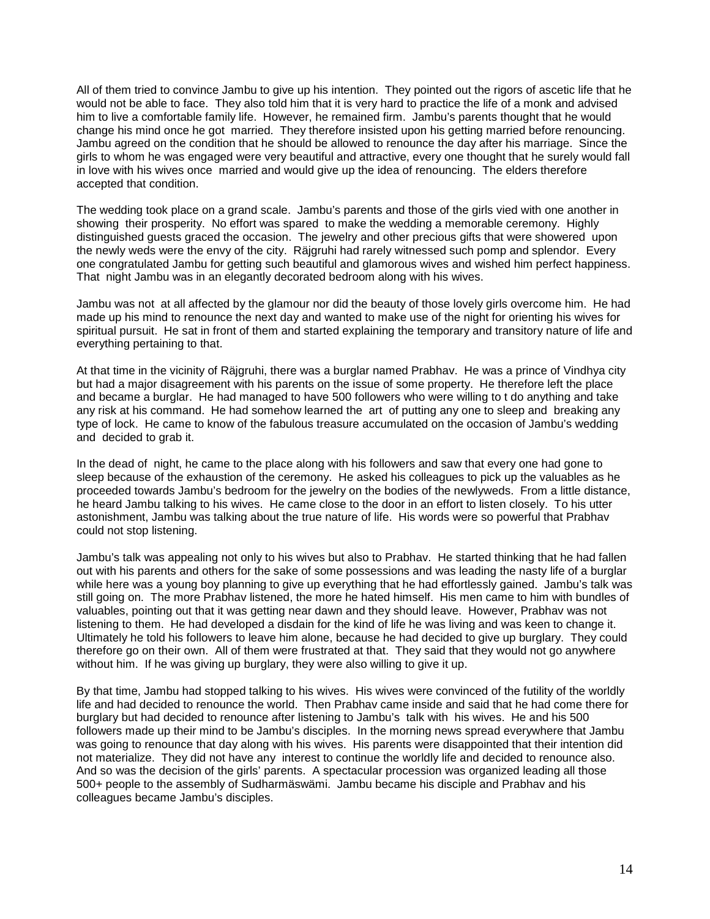All of them tried to convince Jambu to give up his intention. They pointed out the rigors of ascetic life that he would not be able to face. They also told him that it is very hard to practice the life of a monk and advised him to live a comfortable family life. However, he remained firm. Jambu's parents thought that he would change his mind once he got married. They therefore insisted upon his getting married before renouncing. Jambu agreed on the condition that he should be allowed to renounce the day after his marriage. Since the girls to whom he was engaged were very beautiful and attractive, every one thought that he surely would fall in love with his wives once married and would give up the idea of renouncing. The elders therefore accepted that condition.

The wedding took place on a grand scale. Jambu's parents and those of the girls vied with one another in showing their prosperity. No effort was spared to make the wedding a memorable ceremony. Highly distinguished guests graced the occasion. The jewelry and other precious gifts that were showered upon the newly weds were the envy of the city. Räjgruhi had rarely witnessed such pomp and splendor. Every one congratulated Jambu for getting such beautiful and glamorous wives and wished him perfect happiness. That night Jambu was in an elegantly decorated bedroom along with his wives.

Jambu was not at all affected by the glamour nor did the beauty of those lovely girls overcome him. He had made up his mind to renounce the next day and wanted to make use of the night for orienting his wives for spiritual pursuit. He sat in front of them and started explaining the temporary and transitory nature of life and everything pertaining to that.

At that time in the vicinity of Räjgruhi, there was a burglar named Prabhav. He was a prince of Vindhya city but had a major disagreement with his parents on the issue of some property. He therefore left the place and became a burglar. He had managed to have 500 followers who were willing to t do anything and take any risk at his command. He had somehow learned the art of putting any one to sleep and breaking any type of lock. He came to know of the fabulous treasure accumulated on the occasion of Jambu's wedding and decided to grab it.

In the dead of night, he came to the place along with his followers and saw that every one had gone to sleep because of the exhaustion of the ceremony. He asked his colleagues to pick up the valuables as he proceeded towards Jambu's bedroom for the jewelry on the bodies of the newlyweds. From a little distance, he heard Jambu talking to his wives. He came close to the door in an effort to listen closely. To his utter astonishment, Jambu was talking about the true nature of life. His words were so powerful that Prabhav could not stop listening.

Jambu's talk was appealing not only to his wives but also to Prabhav. He started thinking that he had fallen out with his parents and others for the sake of some possessions and was leading the nasty life of a burglar while here was a young boy planning to give up everything that he had effortlessly gained. Jambu's talk was still going on. The more Prabhav listened, the more he hated himself. His men came to him with bundles of valuables, pointing out that it was getting near dawn and they should leave. However, Prabhav was not listening to them. He had developed a disdain for the kind of life he was living and was keen to change it. Ultimately he told his followers to leave him alone, because he had decided to give up burglary. They could therefore go on their own. All of them were frustrated at that. They said that they would not go anywhere without him. If he was giving up burglary, they were also willing to give it up.

By that time, Jambu had stopped talking to his wives. His wives were convinced of the futility of the worldly life and had decided to renounce the world. Then Prabhav came inside and said that he had come there for burglary but had decided to renounce after listening to Jambu's talk with his wives. He and his 500 followers made up their mind to be Jambu's disciples. In the morning news spread everywhere that Jambu was going to renounce that day along with his wives. His parents were disappointed that their intention did not materialize. They did not have any interest to continue the worldly life and decided to renounce also. And so was the decision of the girls' parents. A spectacular procession was organized leading all those 500+ people to the assembly of Sudharmäswämi. Jambu became his disciple and Prabhav and his colleagues became Jambu's disciples.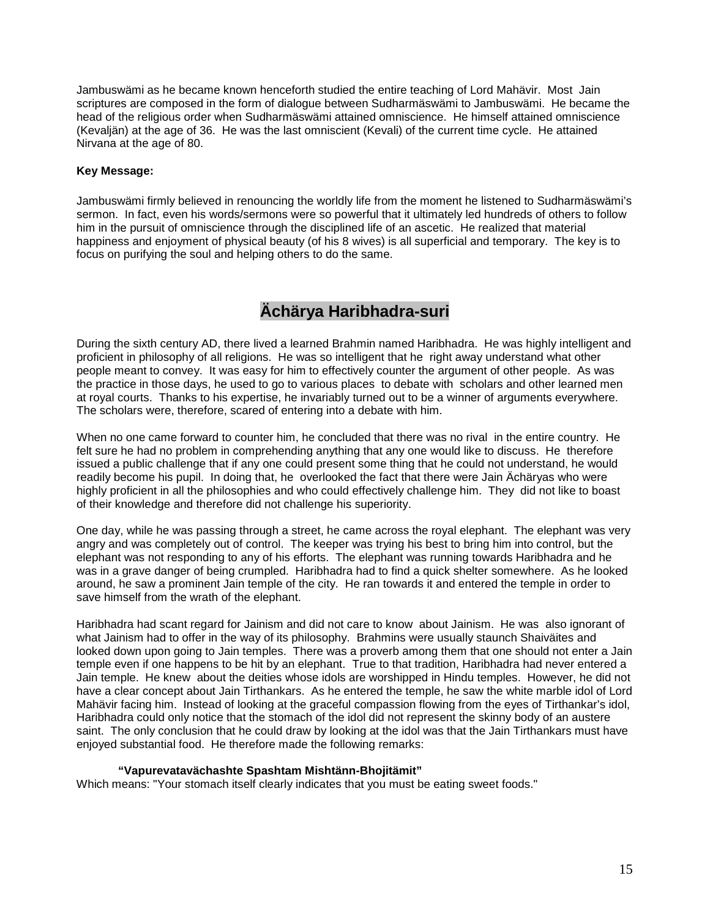Jambuswämi as he became known henceforth studied the entire teaching of Lord Mahävir. Most Jain scriptures are composed in the form of dialogue between Sudharmäswämi to Jambuswämi. He became the head of the religious order when Sudharmäswämi attained omniscience. He himself attained omniscience (Kevaljän) at the age of 36. He was the last omniscient (Kevali) of the current time cycle. He attained Nirvana at the age of 80.

### **Key Message:**

Jambuswämi firmly believed in renouncing the worldly life from the moment he listened to Sudharmäswämi's sermon. In fact, even his words/sermons were so powerful that it ultimately led hundreds of others to follow him in the pursuit of omniscience through the disciplined life of an ascetic. He realized that material happiness and enjoyment of physical beauty (of his 8 wives) is all superficial and temporary. The key is to focus on purifying the soul and helping others to do the same.

# **Ächärya Haribhadra-suri**

During the sixth century AD, there lived a learned Brahmin named Haribhadra. He was highly intelligent and proficient in philosophy of all religions. He was so intelligent that he right away understand what other people meant to convey. It was easy for him to effectively counter the argument of other people. As was the practice in those days, he used to go to various places to debate with scholars and other learned men at royal courts. Thanks to his expertise, he invariably turned out to be a winner of arguments everywhere. The scholars were, therefore, scared of entering into a debate with him.

When no one came forward to counter him, he concluded that there was no rival in the entire country. He felt sure he had no problem in comprehending anything that any one would like to discuss. He therefore issued a public challenge that if any one could present some thing that he could not understand, he would readily become his pupil. In doing that, he overlooked the fact that there were Jain Ächäryas who were highly proficient in all the philosophies and who could effectively challenge him. They did not like to boast of their knowledge and therefore did not challenge his superiority.

One day, while he was passing through a street, he came across the royal elephant. The elephant was very angry and was completely out of control. The keeper was trying his best to bring him into control, but the elephant was not responding to any of his efforts. The elephant was running towards Haribhadra and he was in a grave danger of being crumpled. Haribhadra had to find a quick shelter somewhere. As he looked around, he saw a prominent Jain temple of the city. He ran towards it and entered the temple in order to save himself from the wrath of the elephant.

Haribhadra had scant regard for Jainism and did not care to know about Jainism. He was also ignorant of what Jainism had to offer in the way of its philosophy. Brahmins were usually staunch Shaiväites and looked down upon going to Jain temples. There was a proverb among them that one should not enter a Jain temple even if one happens to be hit by an elephant. True to that tradition, Haribhadra had never entered a Jain temple. He knew about the deities whose idols are worshipped in Hindu temples. However, he did not have a clear concept about Jain Tirthankars. As he entered the temple, he saw the white marble idol of Lord Mahävir facing him. Instead of looking at the graceful compassion flowing from the eyes of Tirthankar's idol, Haribhadra could only notice that the stomach of the idol did not represent the skinny body of an austere saint. The only conclusion that he could draw by looking at the idol was that the Jain Tirthankars must have enjoyed substantial food. He therefore made the following remarks:

#### **"Vapurevatavächashte Spashtam Mishtänn-Bhojitämit"**

Which means: "Your stomach itself clearly indicates that you must be eating sweet foods."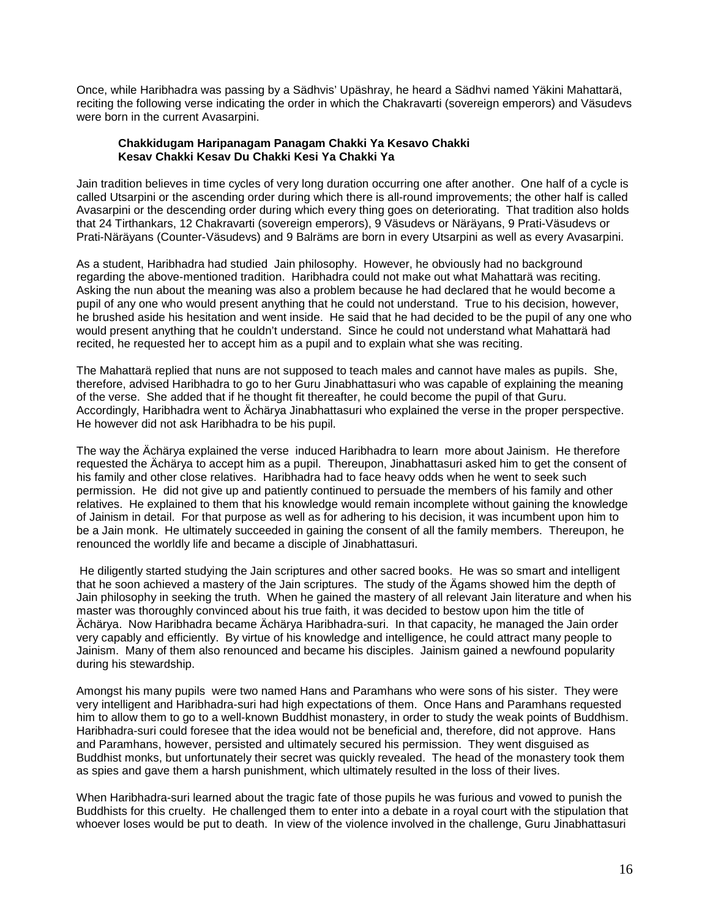Once, while Haribhadra was passing by a Sädhvis' Upäshray, he heard a Sädhvi named Yäkini Mahattarä, reciting the following verse indicating the order in which the Chakravarti (sovereign emperors) and Väsudevs were born in the current Avasarpini.

### **Chakkidugam Haripanagam Panagam Chakki Ya Kesavo Chakki Kesav Chakki Kesav Du Chakki Kesi Ya Chakki Ya**

Jain tradition believes in time cycles of very long duration occurring one after another. One half of a cycle is called Utsarpini or the ascending order during which there is all-round improvements; the other half is called Avasarpini or the descending order during which every thing goes on deteriorating. That tradition also holds that 24 Tirthankars, 12 Chakravarti (sovereign emperors), 9 Väsudevs or Näräyans, 9 Prati-Väsudevs or Prati-Näräyans (Counter-Väsudevs) and 9 Balräms are born in every Utsarpini as well as every Avasarpini.

As a student, Haribhadra had studied Jain philosophy. However, he obviously had no background regarding the above-mentioned tradition. Haribhadra could not make out what Mahattarä was reciting. Asking the nun about the meaning was also a problem because he had declared that he would become a pupil of any one who would present anything that he could not understand. True to his decision, however, he brushed aside his hesitation and went inside. He said that he had decided to be the pupil of any one who would present anything that he couldn't understand. Since he could not understand what Mahattarä had recited, he requested her to accept him as a pupil and to explain what she was reciting.

The Mahattarä replied that nuns are not supposed to teach males and cannot have males as pupils. She, therefore, advised Haribhadra to go to her Guru Jinabhattasuri who was capable of explaining the meaning of the verse. She added that if he thought fit thereafter, he could become the pupil of that Guru. Accordingly, Haribhadra went to Ächärya Jinabhattasuri who explained the verse in the proper perspective. He however did not ask Haribhadra to be his pupil.

The way the Ächärya explained the verse induced Haribhadra to learn more about Jainism. He therefore requested the Ächärya to accept him as a pupil. Thereupon, Jinabhattasuri asked him to get the consent of his family and other close relatives. Haribhadra had to face heavy odds when he went to seek such permission. He did not give up and patiently continued to persuade the members of his family and other relatives. He explained to them that his knowledge would remain incomplete without gaining the knowledge of Jainism in detail. For that purpose as well as for adhering to his decision, it was incumbent upon him to be a Jain monk. He ultimately succeeded in gaining the consent of all the family members. Thereupon, he renounced the worldly life and became a disciple of Jinabhattasuri.

He diligently started studying the Jain scriptures and other sacred books. He was so smart and intelligent that he soon achieved a mastery of the Jain scriptures. The study of the Ägams showed him the depth of Jain philosophy in seeking the truth. When he gained the mastery of all relevant Jain literature and when his master was thoroughly convinced about his true faith, it was decided to bestow upon him the title of Ächärya. Now Haribhadra became Ächärya Haribhadra-suri. In that capacity, he managed the Jain order very capably and efficiently. By virtue of his knowledge and intelligence, he could attract many people to Jainism. Many of them also renounced and became his disciples. Jainism gained a newfound popularity during his stewardship.

Amongst his many pupils were two named Hans and Paramhans who were sons of his sister. They were very intelligent and Haribhadra-suri had high expectations of them. Once Hans and Paramhans requested him to allow them to go to a well-known Buddhist monastery, in order to study the weak points of Buddhism. Haribhadra-suri could foresee that the idea would not be beneficial and, therefore, did not approve. Hans and Paramhans, however, persisted and ultimately secured his permission. They went disguised as Buddhist monks, but unfortunately their secret was quickly revealed. The head of the monastery took them as spies and gave them a harsh punishment, which ultimately resulted in the loss of their lives.

When Haribhadra-suri learned about the tragic fate of those pupils he was furious and vowed to punish the Buddhists for this cruelty. He challenged them to enter into a debate in a royal court with the stipulation that whoever loses would be put to death. In view of the violence involved in the challenge, Guru Jinabhattasuri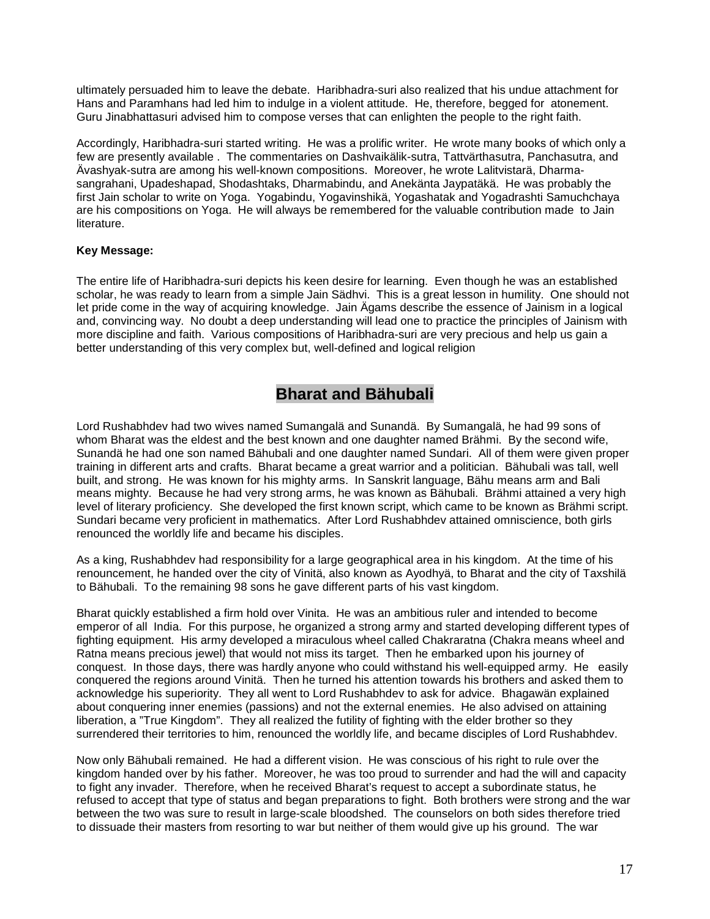ultimately persuaded him to leave the debate. Haribhadra-suri also realized that his undue attachment for Hans and Paramhans had led him to indulge in a violent attitude. He, therefore, begged for atonement. Guru Jinabhattasuri advised him to compose verses that can enlighten the people to the right faith.

Accordingly, Haribhadra-suri started writing. He was a prolific writer. He wrote many books of which only a few are presently available . The commentaries on Dashvaikälik-sutra, Tattvärthasutra, Panchasutra, and Ävashyak-sutra are among his well-known compositions. Moreover, he wrote Lalitvistarä, Dharmasangrahani, Upadeshapad, Shodashtaks, Dharmabindu, and Anekänta Jaypatäkä. He was probably the first Jain scholar to write on Yoga. Yogabindu, Yogavinshikä, Yogashatak and Yogadrashti Samuchchaya are his compositions on Yoga. He will always be remembered for the valuable contribution made to Jain literature.

### **Key Message:**

The entire life of Haribhadra-suri depicts his keen desire for learning. Even though he was an established scholar, he was ready to learn from a simple Jain Sädhvi. This is a great lesson in humility. One should not let pride come in the way of acquiring knowledge. Jain Ägams describe the essence of Jainism in a logical and, convincing way. No doubt a deep understanding will lead one to practice the principles of Jainism with more discipline and faith. Various compositions of Haribhadra-suri are very precious and help us gain a better understanding of this very complex but, well-defined and logical religion

## **Bharat and Bähubali**

Lord Rushabhdev had two wives named Sumangalä and Sunandä. By Sumangalä, he had 99 sons of whom Bharat was the eldest and the best known and one daughter named Brähmi. By the second wife, Sunandä he had one son named Bähubali and one daughter named Sundari. All of them were given proper training in different arts and crafts. Bharat became a great warrior and a politician. Bähubali was tall, well built, and strong. He was known for his mighty arms. In Sanskrit language, Bähu means arm and Bali means mighty. Because he had very strong arms, he was known as Bähubali. Brähmi attained a very high level of literary proficiency. She developed the first known script, which came to be known as Brähmi script. Sundari became very proficient in mathematics. After Lord Rushabhdev attained omniscience, both girls renounced the worldly life and became his disciples.

As a king, Rushabhdev had responsibility for a large geographical area in his kingdom. At the time of his renouncement, he handed over the city of Vinitä, also known as Ayodhyä, to Bharat and the city of Taxshilä to Bähubali. To the remaining 98 sons he gave different parts of his vast kingdom.

Bharat quickly established a firm hold over Vinita. He was an ambitious ruler and intended to become emperor of all India. For this purpose, he organized a strong army and started developing different types of fighting equipment. His army developed a miraculous wheel called Chakraratna (Chakra means wheel and Ratna means precious jewel) that would not miss its target. Then he embarked upon his journey of conquest. In those days, there was hardly anyone who could withstand his well-equipped army. He easily conquered the regions around Vinitä. Then he turned his attention towards his brothers and asked them to acknowledge his superiority. They all went to Lord Rushabhdev to ask for advice. Bhagawän explained about conquering inner enemies (passions) and not the external enemies. He also advised on attaining liberation, a "True Kingdom". They all realized the futility of fighting with the elder brother so they surrendered their territories to him, renounced the worldly life, and became disciples of Lord Rushabhdev.

Now only Bähubali remained. He had a different vision. He was conscious of his right to rule over the kingdom handed over by his father. Moreover, he was too proud to surrender and had the will and capacity to fight any invader. Therefore, when he received Bharat's request to accept a subordinate status, he refused to accept that type of status and began preparations to fight. Both brothers were strong and the war between the two was sure to result in large-scale bloodshed. The counselors on both sides therefore tried to dissuade their masters from resorting to war but neither of them would give up his ground. The war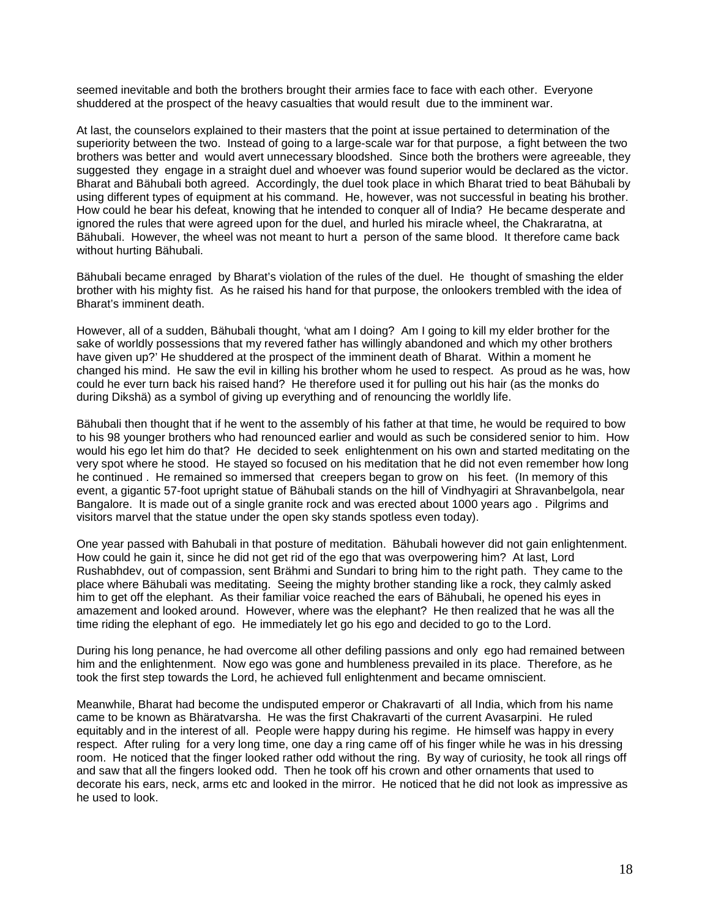seemed inevitable and both the brothers brought their armies face to face with each other. Everyone shuddered at the prospect of the heavy casualties that would result due to the imminent war.

At last, the counselors explained to their masters that the point at issue pertained to determination of the superiority between the two. Instead of going to a large-scale war for that purpose, a fight between the two brothers was better and would avert unnecessary bloodshed. Since both the brothers were agreeable, they suggested they engage in a straight duel and whoever was found superior would be declared as the victor. Bharat and Bähubali both agreed. Accordingly, the duel took place in which Bharat tried to beat Bähubali by using different types of equipment at his command. He, however, was not successful in beating his brother. How could he bear his defeat, knowing that he intended to conquer all of India? He became desperate and ignored the rules that were agreed upon for the duel, and hurled his miracle wheel, the Chakraratna, at Bähubali. However, the wheel was not meant to hurt a person of the same blood. It therefore came back without hurting Bähubali.

Bähubali became enraged by Bharat's violation of the rules of the duel. He thought of smashing the elder brother with his mighty fist. As he raised his hand for that purpose, the onlookers trembled with the idea of Bharat's imminent death.

However, all of a sudden, Bähubali thought, 'what am I doing? Am I going to kill my elder brother for the sake of worldly possessions that my revered father has willingly abandoned and which my other brothers have given up?' He shuddered at the prospect of the imminent death of Bharat. Within a moment he changed his mind. He saw the evil in killing his brother whom he used to respect. As proud as he was, how could he ever turn back his raised hand? He therefore used it for pulling out his hair (as the monks do during Dikshä) as a symbol of giving up everything and of renouncing the worldly life.

Bähubali then thought that if he went to the assembly of his father at that time, he would be required to bow to his 98 younger brothers who had renounced earlier and would as such be considered senior to him. How would his ego let him do that? He decided to seek enlightenment on his own and started meditating on the very spot where he stood. He stayed so focused on his meditation that he did not even remember how long he continued . He remained so immersed that creepers began to grow on his feet. (In memory of this event, a gigantic 57-foot upright statue of Bähubali stands on the hill of Vindhyagiri at Shravanbelgola, near Bangalore. It is made out of a single granite rock and was erected about 1000 years ago . Pilgrims and visitors marvel that the statue under the open sky stands spotless even today).

One year passed with Bahubali in that posture of meditation. Bähubali however did not gain enlightenment. How could he gain it, since he did not get rid of the ego that was overpowering him? At last, Lord Rushabhdev, out of compassion, sent Brähmi and Sundari to bring him to the right path. They came to the place where Bähubali was meditating. Seeing the mighty brother standing like a rock, they calmly asked him to get off the elephant. As their familiar voice reached the ears of Bähubali, he opened his eyes in amazement and looked around. However, where was the elephant? He then realized that he was all the time riding the elephant of ego. He immediately let go his ego and decided to go to the Lord.

During his long penance, he had overcome all other defiling passions and only ego had remained between him and the enlightenment. Now ego was gone and humbleness prevailed in its place. Therefore, as he took the first step towards the Lord, he achieved full enlightenment and became omniscient.

Meanwhile, Bharat had become the undisputed emperor or Chakravarti of all India, which from his name came to be known as Bhäratvarsha. He was the first Chakravarti of the current Avasarpini. He ruled equitably and in the interest of all. People were happy during his regime. He himself was happy in every respect. After ruling for a very long time, one day a ring came off of his finger while he was in his dressing room. He noticed that the finger looked rather odd without the ring. By way of curiosity, he took all rings off and saw that all the fingers looked odd. Then he took off his crown and other ornaments that used to decorate his ears, neck, arms etc and looked in the mirror. He noticed that he did not look as impressive as he used to look.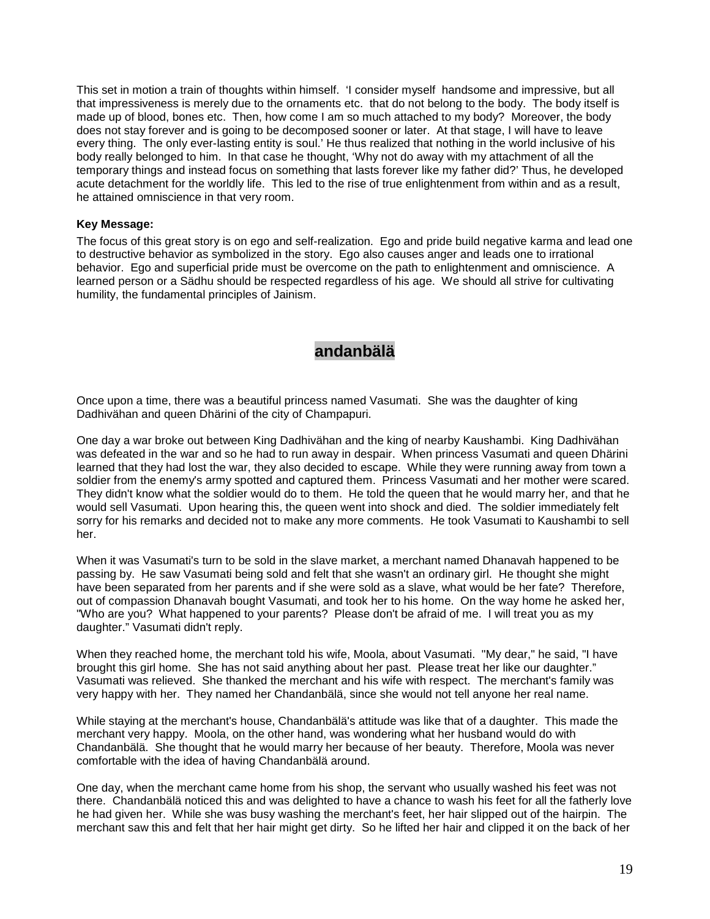This set in motion a train of thoughts within himself. 'I consider myself handsome and impressive, but all that impressiveness is merely due to the ornaments etc. that do not belong to the body. The body itself is made up of blood, bones etc. Then, how come I am so much attached to my body? Moreover, the body does not stay forever and is going to be decomposed sooner or later. At that stage, I will have to leave every thing. The only ever-lasting entity is soul.' He thus realized that nothing in the world inclusive of his body really belonged to him. In that case he thought, 'Why not do away with my attachment of all the temporary things and instead focus on something that lasts forever like my father did?' Thus, he developed acute detachment for the worldly life. This led to the rise of true enlightenment from within and as a result, he attained omniscience in that very room.

#### **Key Message:**

The focus of this great story is on ego and self-realization. Ego and pride build negative karma and lead one to destructive behavior as symbolized in the story. Ego also causes anger and leads one to irrational behavior. Ego and superficial pride must be overcome on the path to enlightenment and omniscience. A learned person or a Sädhu should be respected regardless of his age. We should all strive for cultivating humility, the fundamental principles of Jainism.

### **andanbälä**

Once upon a time, there was a beautiful princess named Vasumati. She was the daughter of king Dadhivähan and queen Dhärini of the city of Champapuri.

One day a war broke out between King Dadhivähan and the king of nearby Kaushambi. King Dadhivähan was defeated in the war and so he had to run away in despair. When princess Vasumati and queen Dhärini learned that they had lost the war, they also decided to escape. While they were running away from town a soldier from the enemy's army spotted and captured them. Princess Vasumati and her mother were scared. They didn't know what the soldier would do to them. He told the queen that he would marry her, and that he would sell Vasumati. Upon hearing this, the queen went into shock and died. The soldier immediately felt sorry for his remarks and decided not to make any more comments. He took Vasumati to Kaushambi to sell her.

When it was Vasumati's turn to be sold in the slave market, a merchant named Dhanavah happened to be passing by. He saw Vasumati being sold and felt that she wasn't an ordinary girl. He thought she might have been separated from her parents and if she were sold as a slave, what would be her fate? Therefore, out of compassion Dhanavah bought Vasumati, and took her to his home. On the way home he asked her, "Who are you? What happened to your parents? Please don't be afraid of me. I will treat you as my daughter." Vasumati didn't reply.

When they reached home, the merchant told his wife, Moola, about Vasumati. "My dear," he said, "I have brought this girl home. She has not said anything about her past. Please treat her like our daughter." Vasumati was relieved. She thanked the merchant and his wife with respect. The merchant's family was very happy with her. They named her Chandanbälä, since she would not tell anyone her real name.

While staying at the merchant's house, Chandanbälä's attitude was like that of a daughter. This made the merchant very happy. Moola, on the other hand, was wondering what her husband would do with Chandanbälä. She thought that he would marry her because of her beauty. Therefore, Moola was never comfortable with the idea of having Chandanbälä around.

One day, when the merchant came home from his shop, the servant who usually washed his feet was not there. Chandanbälä noticed this and was delighted to have a chance to wash his feet for all the fatherly love he had given her. While she was busy washing the merchant's feet, her hair slipped out of the hairpin. The merchant saw this and felt that her hair might get dirty. So he lifted her hair and clipped it on the back of her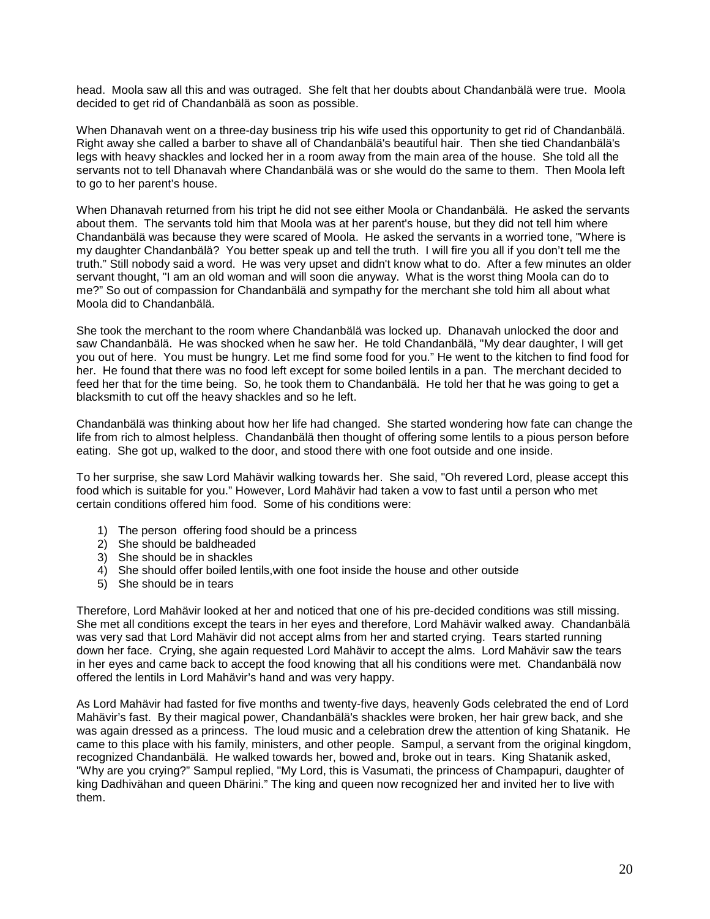head. Moola saw all this and was outraged. She felt that her doubts about Chandanbälä were true. Moola decided to get rid of Chandanbälä as soon as possible.

When Dhanavah went on a three-day business trip his wife used this opportunity to get rid of Chandanbälä. Right away she called a barber to shave all of Chandanbälä's beautiful hair. Then she tied Chandanbälä's legs with heavy shackles and locked her in a room away from the main area of the house. She told all the servants not to tell Dhanavah where Chandanbälä was or she would do the same to them. Then Moola left to go to her parent's house.

When Dhanavah returned from his tript he did not see either Moola or Chandanbälä. He asked the servants about them. The servants told him that Moola was at her parent's house, but they did not tell him where Chandanbälä was because they were scared of Moola. He asked the servants in a worried tone, "Where is my daughter Chandanbälä? You better speak up and tell the truth. I will fire you all if you don't tell me the truth." Still nobody said a word. He was very upset and didn't know what to do. After a few minutes an older servant thought, "I am an old woman and will soon die anyway. What is the worst thing Moola can do to me?" So out of compassion for Chandanbälä and sympathy for the merchant she told him all about what Moola did to Chandanbälä.

She took the merchant to the room where Chandanbälä was locked up. Dhanavah unlocked the door and saw Chandanbälä. He was shocked when he saw her. He told Chandanbälä, "My dear daughter, I will get you out of here. You must be hungry. Let me find some food for you." He went to the kitchen to find food for her. He found that there was no food left except for some boiled lentils in a pan. The merchant decided to feed her that for the time being. So, he took them to Chandanbälä. He told her that he was going to get a blacksmith to cut off the heavy shackles and so he left.

Chandanbälä was thinking about how her life had changed. She started wondering how fate can change the life from rich to almost helpless. Chandanbälä then thought of offering some lentils to a pious person before eating. She got up, walked to the door, and stood there with one foot outside and one inside.

To her surprise, she saw Lord Mahävir walking towards her. She said, "Oh revered Lord, please accept this food which is suitable for you." However, Lord Mahävir had taken a vow to fast until a person who met certain conditions offered him food. Some of his conditions were:

- 1) The person offering food should be a princess
- 2) She should be baldheaded
- 3) She should be in shackles
- 4) She should offer boiled lentils,with one foot inside the house and other outside
- 5) She should be in tears

Therefore, Lord Mahävir looked at her and noticed that one of his pre-decided conditions was still missing. She met all conditions except the tears in her eyes and therefore, Lord Mahävir walked away. Chandanbälä was very sad that Lord Mahävir did not accept alms from her and started crying. Tears started running down her face. Crying, she again requested Lord Mahävir to accept the alms. Lord Mahävir saw the tears in her eyes and came back to accept the food knowing that all his conditions were met. Chandanbälä now offered the lentils in Lord Mahävir's hand and was very happy.

As Lord Mahävir had fasted for five months and twenty-five days, heavenly Gods celebrated the end of Lord Mahävir's fast. By their magical power, Chandanbälä's shackles were broken, her hair grew back, and she was again dressed as a princess. The loud music and a celebration drew the attention of king Shatanik. He came to this place with his family, ministers, and other people. Sampul, a servant from the original kingdom, recognized Chandanbälä. He walked towards her, bowed and, broke out in tears. King Shatanik asked, "Why are you crying?" Sampul replied, "My Lord, this is Vasumati, the princess of Champapuri, daughter of king Dadhivähan and queen Dhärini." The king and queen now recognized her and invited her to live with them.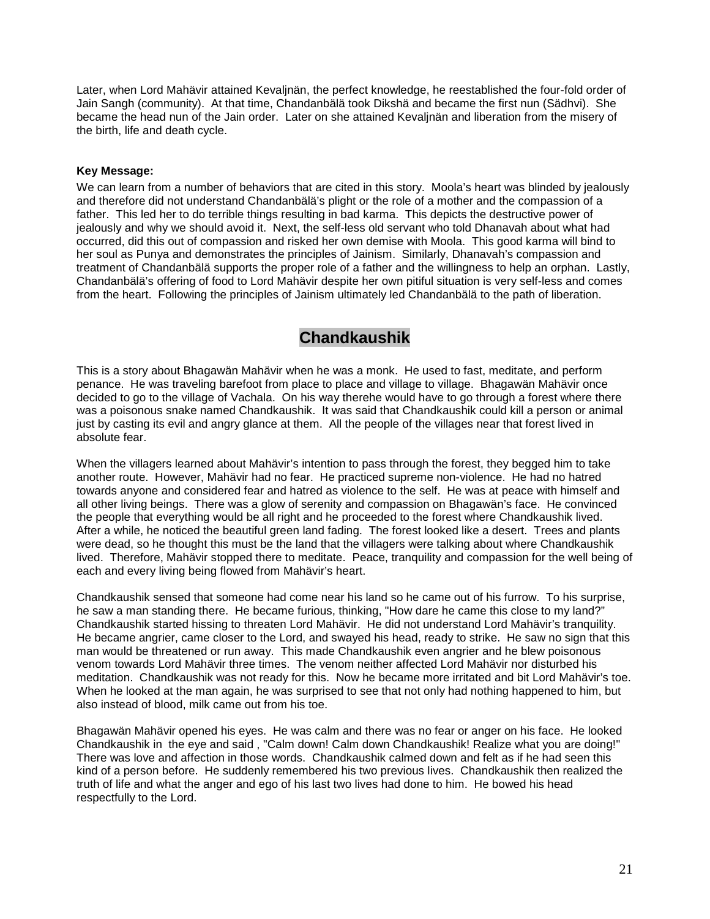Later, when Lord Mahävir attained Kevaljnän, the perfect knowledge, he reestablished the four-fold order of Jain Sangh (community). At that time, Chandanbälä took Dikshä and became the first nun (Sädhvi). She became the head nun of the Jain order. Later on she attained Kevaljnän and liberation from the misery of the birth, life and death cycle.

### **Key Message:**

We can learn from a number of behaviors that are cited in this story. Moola's heart was blinded by jealously and therefore did not understand Chandanbälä's plight or the role of a mother and the compassion of a father. This led her to do terrible things resulting in bad karma. This depicts the destructive power of jealously and why we should avoid it. Next, the self-less old servant who told Dhanavah about what had occurred, did this out of compassion and risked her own demise with Moola. This good karma will bind to her soul as Punya and demonstrates the principles of Jainism. Similarly, Dhanavah's compassion and treatment of Chandanbälä supports the proper role of a father and the willingness to help an orphan. Lastly, Chandanbälä's offering of food to Lord Mahävir despite her own pitiful situation is very self-less and comes from the heart. Following the principles of Jainism ultimately led Chandanbälä to the path of liberation.

### **Chandkaushik**

This is a story about Bhagawän Mahävir when he was a monk. He used to fast, meditate, and perform penance. He was traveling barefoot from place to place and village to village. Bhagawän Mahävir once decided to go to the village of Vachala. On his way therehe would have to go through a forest where there was a poisonous snake named Chandkaushik. It was said that Chandkaushik could kill a person or animal just by casting its evil and angry glance at them. All the people of the villages near that forest lived in absolute fear.

When the villagers learned about Mahävir's intention to pass through the forest, they begged him to take another route. However, Mahävir had no fear. He practiced supreme non-violence. He had no hatred towards anyone and considered fear and hatred as violence to the self. He was at peace with himself and all other living beings. There was a glow of serenity and compassion on Bhagawän's face. He convinced the people that everything would be all right and he proceeded to the forest where Chandkaushik lived. After a while, he noticed the beautiful green land fading. The forest looked like a desert. Trees and plants were dead, so he thought this must be the land that the villagers were talking about where Chandkaushik lived. Therefore, Mahävir stopped there to meditate. Peace, tranquility and compassion for the well being of each and every living being flowed from Mahävir's heart.

Chandkaushik sensed that someone had come near his land so he came out of his furrow. To his surprise, he saw a man standing there. He became furious, thinking, "How dare he came this close to my land?" Chandkaushik started hissing to threaten Lord Mahävir. He did not understand Lord Mahävir's tranquility. He became angrier, came closer to the Lord, and swayed his head, ready to strike. He saw no sign that this man would be threatened or run away. This made Chandkaushik even angrier and he blew poisonous venom towards Lord Mahävir three times. The venom neither affected Lord Mahävir nor disturbed his meditation. Chandkaushik was not ready for this. Now he became more irritated and bit Lord Mahävir's toe. When he looked at the man again, he was surprised to see that not only had nothing happened to him, but also instead of blood, milk came out from his toe.

Bhagawän Mahävir opened his eyes. He was calm and there was no fear or anger on his face. He looked Chandkaushik in the eye and said , "Calm down! Calm down Chandkaushik! Realize what you are doing!" There was love and affection in those words. Chandkaushik calmed down and felt as if he had seen this kind of a person before. He suddenly remembered his two previous lives. Chandkaushik then realized the truth of life and what the anger and ego of his last two lives had done to him. He bowed his head respectfully to the Lord.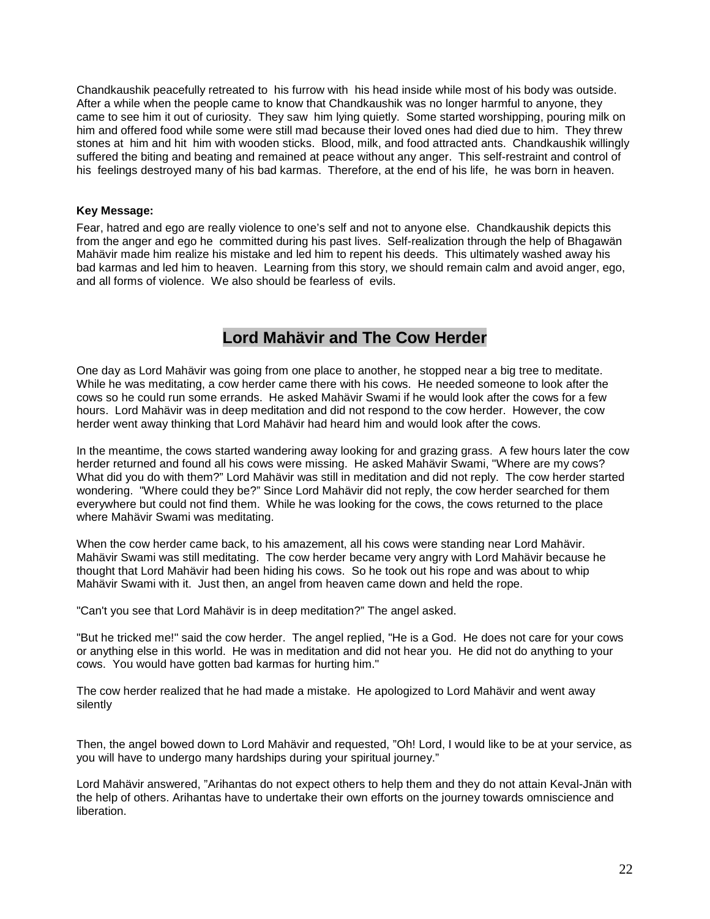Chandkaushik peacefully retreated to his furrow with his head inside while most of his body was outside. After a while when the people came to know that Chandkaushik was no longer harmful to anyone, they came to see him it out of curiosity. They saw him lying quietly. Some started worshipping, pouring milk on him and offered food while some were still mad because their loved ones had died due to him. They threw stones at him and hit him with wooden sticks. Blood, milk, and food attracted ants. Chandkaushik willingly suffered the biting and beating and remained at peace without any anger. This self-restraint and control of his feelings destroyed many of his bad karmas. Therefore, at the end of his life, he was born in heaven.

### **Key Message:**

Fear, hatred and ego are really violence to one's self and not to anyone else. Chandkaushik depicts this from the anger and ego he committed during his past lives. Self-realization through the help of Bhagawän Mahävir made him realize his mistake and led him to repent his deeds. This ultimately washed away his bad karmas and led him to heaven. Learning from this story, we should remain calm and avoid anger, ego, and all forms of violence. We also should be fearless of evils.

### **Lord Mahävir and The Cow Herder**

One day as Lord Mahävir was going from one place to another, he stopped near a big tree to meditate. While he was meditating, a cow herder came there with his cows. He needed someone to look after the cows so he could run some errands. He asked Mahävir Swami if he would look after the cows for a few hours. Lord Mahävir was in deep meditation and did not respond to the cow herder. However, the cow herder went away thinking that Lord Mahävir had heard him and would look after the cows.

In the meantime, the cows started wandering away looking for and grazing grass. A few hours later the cow herder returned and found all his cows were missing. He asked Mahävir Swami, "Where are my cows? What did you do with them?" Lord Mahävir was still in meditation and did not reply. The cow herder started wondering. "Where could they be?" Since Lord Mahävir did not reply, the cow herder searched for them everywhere but could not find them. While he was looking for the cows, the cows returned to the place where Mahävir Swami was meditating.

When the cow herder came back, to his amazement, all his cows were standing near Lord Mahävir. Mahävir Swami was still meditating. The cow herder became very angry with Lord Mahävir because he thought that Lord Mahävir had been hiding his cows. So he took out his rope and was about to whip Mahävir Swami with it. Just then, an angel from heaven came down and held the rope.

"Can't you see that Lord Mahävir is in deep meditation?" The angel asked.

"But he tricked me!" said the cow herder. The angel replied, "He is a God. He does not care for your cows or anything else in this world. He was in meditation and did not hear you. He did not do anything to your cows. You would have gotten bad karmas for hurting him."

The cow herder realized that he had made a mistake. He apologized to Lord Mahävir and went away silently

Then, the angel bowed down to Lord Mahävir and requested, "Oh! Lord, I would like to be at your service, as you will have to undergo many hardships during your spiritual journey."

Lord Mahävir answered, "Arihantas do not expect others to help them and they do not attain Keval-Jnän with the help of others. Arihantas have to undertake their own efforts on the journey towards omniscience and liberation.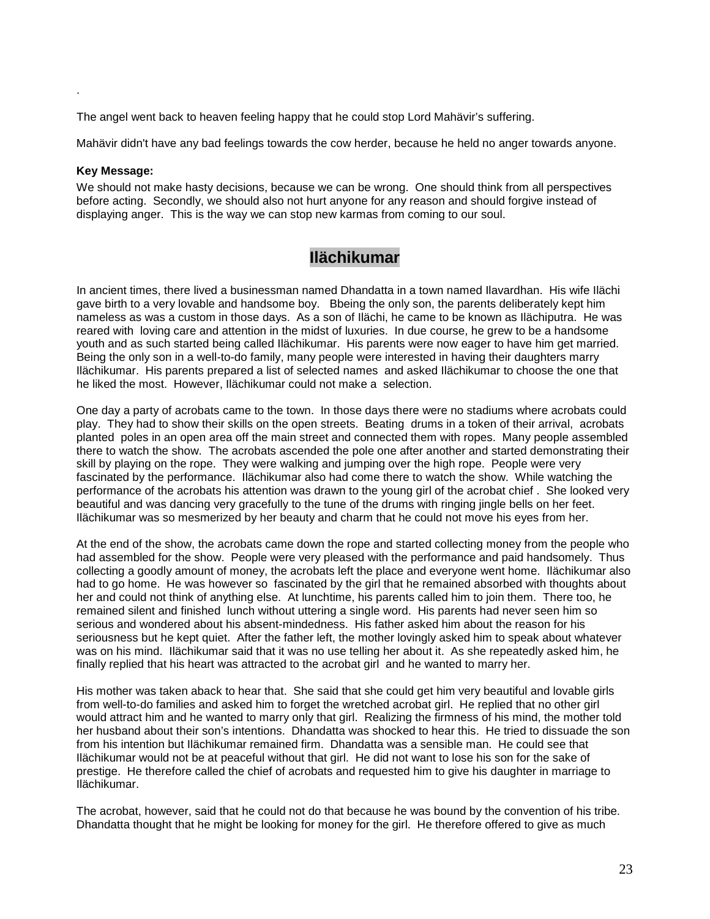The angel went back to heaven feeling happy that he could stop Lord Mahävir's suffering.

Mahävir didn't have any bad feelings towards the cow herder, because he held no anger towards anyone.

#### **Key Message:**

.

We should not make hasty decisions, because we can be wrong. One should think from all perspectives before acting. Secondly, we should also not hurt anyone for any reason and should forgive instead of displaying anger. This is the way we can stop new karmas from coming to our soul.

### **Ilächikumar**

In ancient times, there lived a businessman named Dhandatta in a town named Ilavardhan. His wife Ilächi gave birth to a very lovable and handsome boy. Bbeing the only son, the parents deliberately kept him nameless as was a custom in those days. As a son of Ilächi, he came to be known as Ilächiputra. He was reared with loving care and attention in the midst of luxuries. In due course, he grew to be a handsome youth and as such started being called Ilächikumar. His parents were now eager to have him get married. Being the only son in a well-to-do family, many people were interested in having their daughters marry Ilächikumar. His parents prepared a list of selected names and asked Ilächikumar to choose the one that he liked the most. However, Ilächikumar could not make a selection.

One day a party of acrobats came to the town. In those days there were no stadiums where acrobats could play. They had to show their skills on the open streets. Beating drums in a token of their arrival, acrobats planted poles in an open area off the main street and connected them with ropes. Many people assembled there to watch the show. The acrobats ascended the pole one after another and started demonstrating their skill by playing on the rope. They were walking and jumping over the high rope. People were very fascinated by the performance. Ilächikumar also had come there to watch the show. While watching the performance of the acrobats his attention was drawn to the young girl of the acrobat chief . She looked very beautiful and was dancing very gracefully to the tune of the drums with ringing jingle bells on her feet. Ilächikumar was so mesmerized by her beauty and charm that he could not move his eyes from her.

At the end of the show, the acrobats came down the rope and started collecting money from the people who had assembled for the show. People were very pleased with the performance and paid handsomely. Thus collecting a goodly amount of money, the acrobats left the place and everyone went home. Ilächikumar also had to go home. He was however so fascinated by the girl that he remained absorbed with thoughts about her and could not think of anything else. At lunchtime, his parents called him to join them. There too, he remained silent and finished lunch without uttering a single word. His parents had never seen him so serious and wondered about his absent-mindedness. His father asked him about the reason for his seriousness but he kept quiet. After the father left, the mother lovingly asked him to speak about whatever was on his mind. Ilächikumar said that it was no use telling her about it. As she repeatedly asked him, he finally replied that his heart was attracted to the acrobat girl and he wanted to marry her.

His mother was taken aback to hear that. She said that she could get him very beautiful and lovable girls from well-to-do families and asked him to forget the wretched acrobat girl. He replied that no other girl would attract him and he wanted to marry only that girl. Realizing the firmness of his mind, the mother told her husband about their son's intentions. Dhandatta was shocked to hear this. He tried to dissuade the son from his intention but Ilächikumar remained firm. Dhandatta was a sensible man. He could see that Ilächikumar would not be at peaceful without that girl. He did not want to lose his son for the sake of prestige. He therefore called the chief of acrobats and requested him to give his daughter in marriage to Ilächikumar.

The acrobat, however, said that he could not do that because he was bound by the convention of his tribe. Dhandatta thought that he might be looking for money for the girl. He therefore offered to give as much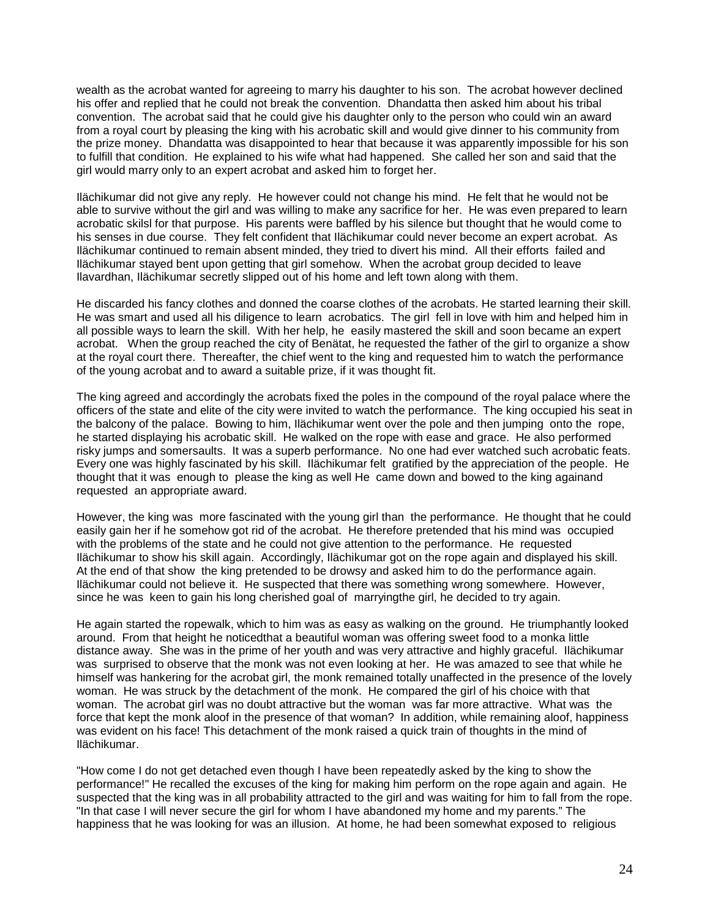wealth as the acrobat wanted for agreeing to marry his daughter to his son. The acrobat however declined his offer and replied that he could not break the convention. Dhandatta then asked him about his tribal convention. The acrobat said that he could give his daughter only to the person who could win an award from a royal court by pleasing the king with his acrobatic skill and would give dinner to his community from the prize money. Dhandatta was disappointed to hear that because it was apparently impossible for his son to fulfill that condition. He explained to his wife what had happened. She called her son and said that the girl would marry only to an expert acrobat and asked him to forget her.

Ilächikumar did not give any reply. He however could not change his mind. He felt that he would not be able to survive without the girl and was willing to make any sacrifice for her. He was even prepared to learn acrobatic skilsl for that purpose. His parents were baffled by his silence but thought that he would come to his senses in due course. They felt confident that Ilächikumar could never become an expert acrobat. As Ilächikumar continued to remain absent minded, they tried to divert his mind. All their efforts failed and Ilächikumar stayed bent upon getting that girl somehow. When the acrobat group decided to leave Ilavardhan, Ilächikumar secretly slipped out of his home and left town along with them.

He discarded his fancy clothes and donned the coarse clothes of the acrobats. He started learning their skill. He was smart and used all his diligence to learn acrobatics. The girl fell in love with him and helped him in all possible ways to learn the skill. With her help, he easily mastered the skill and soon became an expert acrobat. When the group reached the city of Benätat, he requested the father of the girl to organize a show at the royal court there. Thereafter, the chief went to the king and requested him to watch the performance of the young acrobat and to award a suitable prize, if it was thought fit.

The king agreed and accordingly the acrobats fixed the poles in the compound of the royal palace where the officers of the state and elite of the city were invited to watch the performance. The king occupied his seat in the balcony of the palace. Bowing to him, Ilächikumar went over the pole and then jumping onto the rope, he started displaying his acrobatic skill. He walked on the rope with ease and grace. He also performed risky jumps and somersaults. It was a superb performance. No one had ever watched such acrobatic feats. Every one was highly fascinated by his skill. Ilächikumar felt gratified by the appreciation of the people. He thought that it was enough to please the king as well He came down and bowed to the king againand requested an appropriate award.

However, the king was more fascinated with the young girl than the performance. He thought that he could easily gain her if he somehow got rid of the acrobat. He therefore pretended that his mind was occupied with the problems of the state and he could not give attention to the performance. He requested Ilächikumar to show his skill again. Accordingly, Ilächikumar got on the rope again and displayed his skill. At the end of that show the king pretended to be drowsy and asked him to do the performance again. Ilächikumar could not believe it. He suspected that there was something wrong somewhere. However, since he was keen to gain his long cherished goal of marryingthe girl, he decided to try again.

He again started the ropewalk, which to him was as easy as walking on the ground. He triumphantly looked around. From that height he noticedthat a beautiful woman was offering sweet food to a monka little distance away. She was in the prime of her youth and was very attractive and highly graceful. Ilächikumar was surprised to observe that the monk was not even looking at her. He was amazed to see that while he himself was hankering for the acrobat girl, the monk remained totally unaffected in the presence of the lovely woman. He was struck by the detachment of the monk. He compared the girl of his choice with that woman. The acrobat girl was no doubt attractive but the woman was far more attractive. What was the force that kept the monk aloof in the presence of that woman? In addition, while remaining aloof, happiness was evident on his face! This detachment of the monk raised a quick train of thoughts in the mind of Ilächikumar.

"How come I do not get detached even though I have been repeatedly asked by the king to show the performance!" He recalled the excuses of the king for making him perform on the rope again and again. He suspected that the king was in all probability attracted to the girl and was waiting for him to fall from the rope. "In that case I will never secure the girl for whom I have abandoned my home and my parents." The happiness that he was looking for was an illusion. At home, he had been somewhat exposed to religious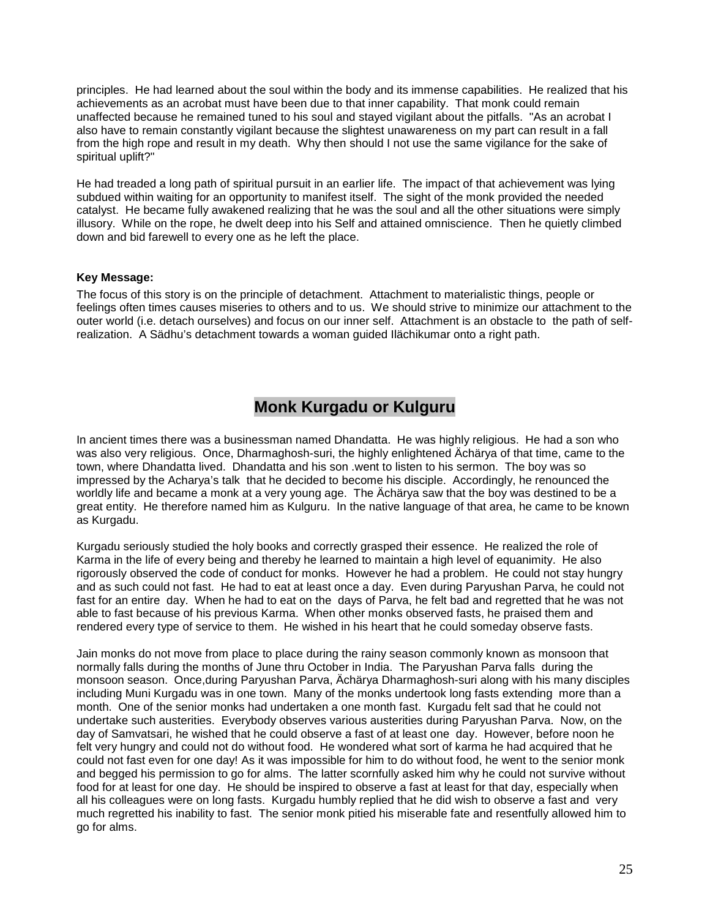principles. He had learned about the soul within the body and its immense capabilities. He realized that his achievements as an acrobat must have been due to that inner capability. That monk could remain unaffected because he remained tuned to his soul and stayed vigilant about the pitfalls. "As an acrobat I also have to remain constantly vigilant because the slightest unawareness on my part can result in a fall from the high rope and result in my death. Why then should I not use the same vigilance for the sake of spiritual uplift?"

He had treaded a long path of spiritual pursuit in an earlier life. The impact of that achievement was lying subdued within waiting for an opportunity to manifest itself. The sight of the monk provided the needed catalyst. He became fully awakened realizing that he was the soul and all the other situations were simply illusory. While on the rope, he dwelt deep into his Self and attained omniscience. Then he quietly climbed down and bid farewell to every one as he left the place.

### **Key Message:**

The focus of this story is on the principle of detachment. Attachment to materialistic things, people or feelings often times causes miseries to others and to us. We should strive to minimize our attachment to the outer world (i.e. detach ourselves) and focus on our inner self. Attachment is an obstacle to the path of selfrealization. A Sädhu's detachment towards a woman guided Ilächikumar onto a right path.

## **Monk Kurgadu or Kulguru**

In ancient times there was a businessman named Dhandatta. He was highly religious. He had a son who was also very religious. Once, Dharmaghosh-suri, the highly enlightened Ächärya of that time, came to the town, where Dhandatta lived. Dhandatta and his son .went to listen to his sermon. The boy was so impressed by the Acharya's talk that he decided to become his disciple. Accordingly, he renounced the worldly life and became a monk at a very young age. The Ächärya saw that the boy was destined to be a great entity. He therefore named him as Kulguru. In the native language of that area, he came to be known as Kurgadu.

Kurgadu seriously studied the holy books and correctly grasped their essence. He realized the role of Karma in the life of every being and thereby he learned to maintain a high level of equanimity. He also rigorously observed the code of conduct for monks. However he had a problem. He could not stay hungry and as such could not fast. He had to eat at least once a day. Even during Paryushan Parva, he could not fast for an entire day. When he had to eat on the days of Parva, he felt bad and regretted that he was not able to fast because of his previous Karma. When other monks observed fasts, he praised them and rendered every type of service to them. He wished in his heart that he could someday observe fasts.

Jain monks do not move from place to place during the rainy season commonly known as monsoon that normally falls during the months of June thru October in India. The Paryushan Parva falls during the monsoon season. Once,during Paryushan Parva, Ächärya Dharmaghosh-suri along with his many disciples including Muni Kurgadu was in one town. Many of the monks undertook long fasts extending more than a month. One of the senior monks had undertaken a one month fast. Kurgadu felt sad that he could not undertake such austerities. Everybody observes various austerities during Paryushan Parva. Now, on the day of Samvatsari, he wished that he could observe a fast of at least one day. However, before noon he felt very hungry and could not do without food. He wondered what sort of karma he had acquired that he could not fast even for one day! As it was impossible for him to do without food, he went to the senior monk and begged his permission to go for alms. The latter scornfully asked him why he could not survive without food for at least for one day. He should be inspired to observe a fast at least for that day, especially when all his colleagues were on long fasts. Kurgadu humbly replied that he did wish to observe a fast and very much regretted his inability to fast. The senior monk pitied his miserable fate and resentfully allowed him to go for alms.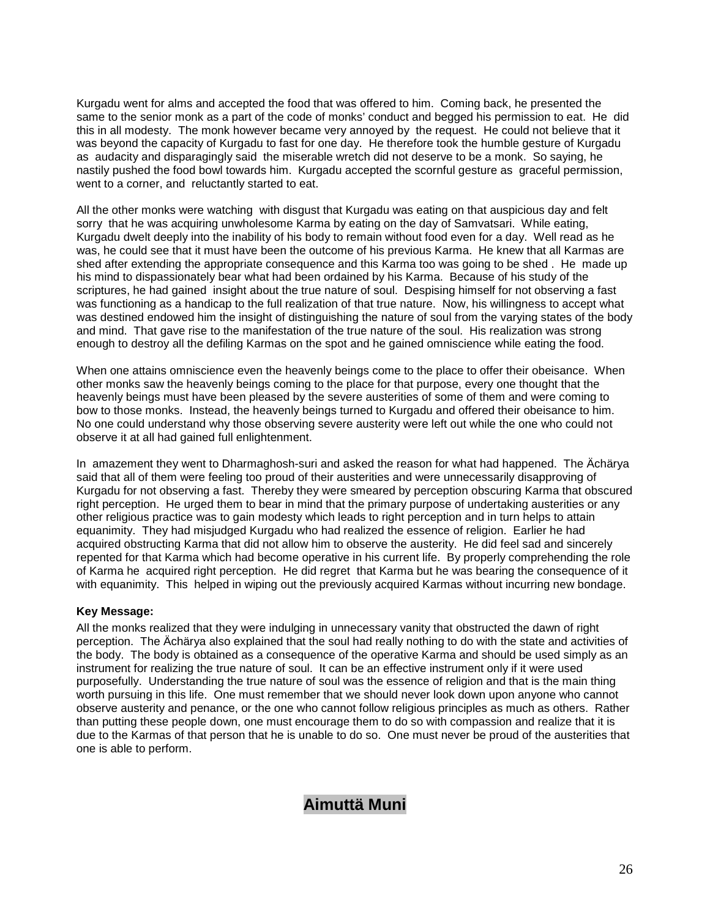Kurgadu went for alms and accepted the food that was offered to him. Coming back, he presented the same to the senior monk as a part of the code of monks' conduct and begged his permission to eat. He did this in all modesty. The monk however became very annoyed by the request. He could not believe that it was beyond the capacity of Kurgadu to fast for one day. He therefore took the humble gesture of Kurgadu as audacity and disparagingly said the miserable wretch did not deserve to be a monk. So saying, he nastily pushed the food bowl towards him. Kurgadu accepted the scornful gesture as graceful permission, went to a corner, and reluctantly started to eat.

All the other monks were watching with disgust that Kurgadu was eating on that auspicious day and felt sorry that he was acquiring unwholesome Karma by eating on the day of Samvatsari. While eating, Kurgadu dwelt deeply into the inability of his body to remain without food even for a day. Well read as he was, he could see that it must have been the outcome of his previous Karma. He knew that all Karmas are shed after extending the appropriate consequence and this Karma too was going to be shed . He made up his mind to dispassionately bear what had been ordained by his Karma. Because of his study of the scriptures, he had gained insight about the true nature of soul. Despising himself for not observing a fast was functioning as a handicap to the full realization of that true nature. Now, his willingness to accept what was destined endowed him the insight of distinguishing the nature of soul from the varying states of the body and mind. That gave rise to the manifestation of the true nature of the soul. His realization was strong enough to destroy all the defiling Karmas on the spot and he gained omniscience while eating the food.

When one attains omniscience even the heavenly beings come to the place to offer their obeisance. When other monks saw the heavenly beings coming to the place for that purpose, every one thought that the heavenly beings must have been pleased by the severe austerities of some of them and were coming to bow to those monks. Instead, the heavenly beings turned to Kurgadu and offered their obeisance to him. No one could understand why those observing severe austerity were left out while the one who could not observe it at all had gained full enlightenment.

In amazement they went to Dharmaghosh-suri and asked the reason for what had happened. The Ächärya said that all of them were feeling too proud of their austerities and were unnecessarily disapproving of Kurgadu for not observing a fast. Thereby they were smeared by perception obscuring Karma that obscured right perception. He urged them to bear in mind that the primary purpose of undertaking austerities or any other religious practice was to gain modesty which leads to right perception and in turn helps to attain equanimity. They had misjudged Kurgadu who had realized the essence of religion. Earlier he had acquired obstructing Karma that did not allow him to observe the austerity. He did feel sad and sincerely repented for that Karma which had become operative in his current life. By properly comprehending the role of Karma he acquired right perception. He did regret that Karma but he was bearing the consequence of it with equanimity. This helped in wiping out the previously acquired Karmas without incurring new bondage.

#### **Key Message:**

All the monks realized that they were indulging in unnecessary vanity that obstructed the dawn of right perception. The Ächärya also explained that the soul had really nothing to do with the state and activities of the body. The body is obtained as a consequence of the operative Karma and should be used simply as an instrument for realizing the true nature of soul. It can be an effective instrument only if it were used purposefully. Understanding the true nature of soul was the essence of religion and that is the main thing worth pursuing in this life. One must remember that we should never look down upon anyone who cannot observe austerity and penance, or the one who cannot follow religious principles as much as others. Rather than putting these people down, one must encourage them to do so with compassion and realize that it is due to the Karmas of that person that he is unable to do so. One must never be proud of the austerities that one is able to perform.

## **Aimuttä Muni**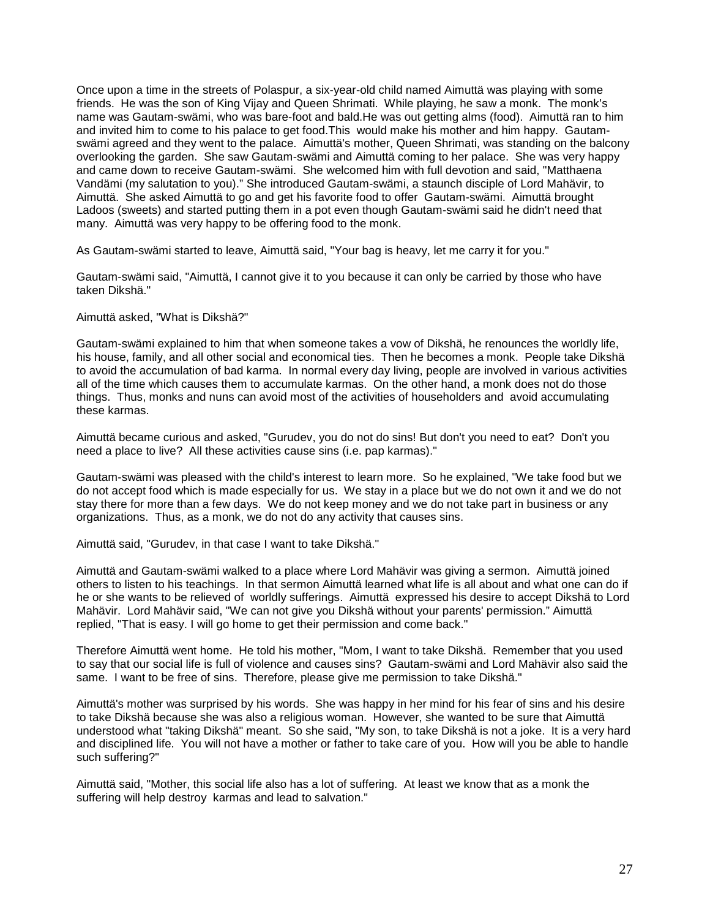Once upon a time in the streets of Polaspur, a six-year-old child named Aimuttä was playing with some friends. He was the son of King Vijay and Queen Shrimati. While playing, he saw a monk. The monk's name was Gautam-swämi, who was bare-foot and bald.He was out getting alms (food). Aimuttä ran to him and invited him to come to his palace to get food.This would make his mother and him happy. Gautamswämi agreed and they went to the palace. Aimuttä's mother, Queen Shrimati, was standing on the balcony overlooking the garden. She saw Gautam-swämi and Aimuttä coming to her palace. She was very happy and came down to receive Gautam-swämi. She welcomed him with full devotion and said, "Matthaena Vandämi (my salutation to you)." She introduced Gautam-swämi, a staunch disciple of Lord Mahävir, to Aimuttä. She asked Aimuttä to go and get his favorite food to offer Gautam-swämi. Aimuttä brought Ladoos (sweets) and started putting them in a pot even though Gautam-swämi said he didn't need that many. Aimuttä was very happy to be offering food to the monk.

As Gautam-swämi started to leave, Aimuttä said, "Your bag is heavy, let me carry it for you."

Gautam-swämi said, "Aimuttä, I cannot give it to you because it can only be carried by those who have taken Dikshä."

Aimuttä asked, "What is Dikshä?"

Gautam-swämi explained to him that when someone takes a vow of Dikshä, he renounces the worldly life, his house, family, and all other social and economical ties. Then he becomes a monk. People take Dikshä to avoid the accumulation of bad karma. In normal every day living, people are involved in various activities all of the time which causes them to accumulate karmas. On the other hand, a monk does not do those things. Thus, monks and nuns can avoid most of the activities of householders and avoid accumulating these karmas.

Aimuttä became curious and asked, "Gurudev, you do not do sins! But don't you need to eat? Don't you need a place to live? All these activities cause sins (i.e. pap karmas)."

Gautam-swämi was pleased with the child's interest to learn more. So he explained, "We take food but we do not accept food which is made especially for us. We stay in a place but we do not own it and we do not stay there for more than a few days. We do not keep money and we do not take part in business or any organizations. Thus, as a monk, we do not do any activity that causes sins.

Aimuttä said, "Gurudev, in that case I want to take Dikshä."

Aimuttä and Gautam-swämi walked to a place where Lord Mahävir was giving a sermon. Aimuttä joined others to listen to his teachings. In that sermon Aimuttä learned what life is all about and what one can do if he or she wants to be relieved of worldly sufferings. Aimuttä expressed his desire to accept Dikshä to Lord Mahävir. Lord Mahävir said, "We can not give you Dikshä without your parents' permission." Aimuttä replied, "That is easy. I will go home to get their permission and come back."

Therefore Aimuttä went home. He told his mother, "Mom, I want to take Dikshä. Remember that you used to say that our social life is full of violence and causes sins? Gautam-swämi and Lord Mahävir also said the same. I want to be free of sins. Therefore, please give me permission to take Dikshä."

Aimuttä's mother was surprised by his words. She was happy in her mind for his fear of sins and his desire to take Dikshä because she was also a religious woman. However, she wanted to be sure that Aimuttä understood what "taking Dikshä" meant. So she said, "My son, to take Dikshä is not a joke. It is a very hard and disciplined life. You will not have a mother or father to take care of you. How will you be able to handle such suffering?"

Aimuttä said, "Mother, this social life also has a lot of suffering. At least we know that as a monk the suffering will help destroy karmas and lead to salvation."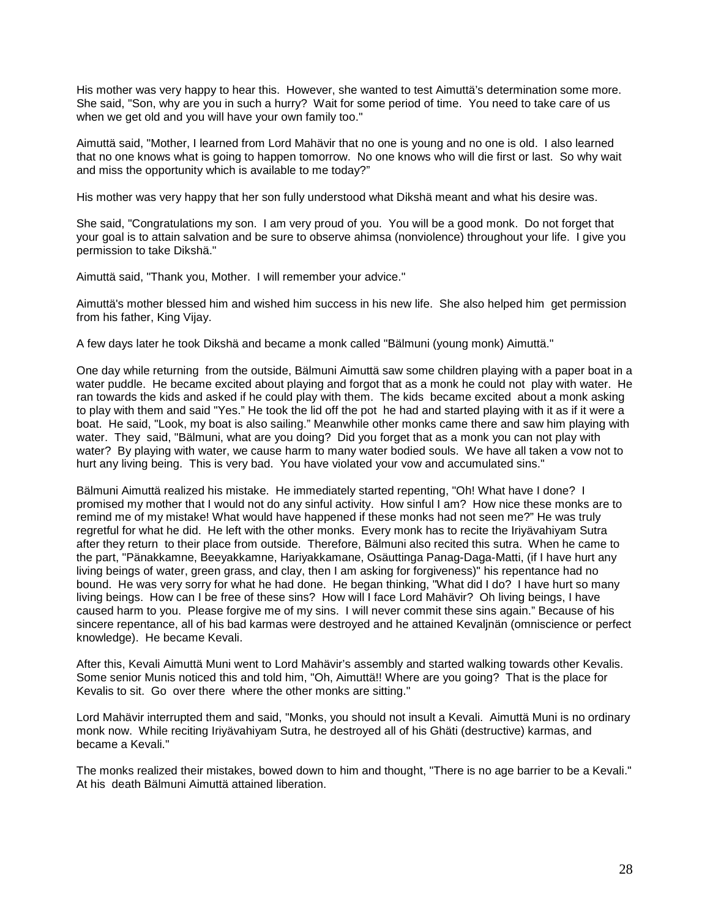His mother was very happy to hear this. However, she wanted to test Aimuttä's determination some more. She said, "Son, why are you in such a hurry? Wait for some period of time. You need to take care of us when we get old and you will have your own family too."

Aimuttä said, "Mother, I learned from Lord Mahävir that no one is young and no one is old. I also learned that no one knows what is going to happen tomorrow. No one knows who will die first or last. So why wait and miss the opportunity which is available to me today?"

His mother was very happy that her son fully understood what Dikshä meant and what his desire was.

She said, "Congratulations my son. I am very proud of you. You will be a good monk. Do not forget that your goal is to attain salvation and be sure to observe ahimsa (nonviolence) throughout your life. I give you permission to take Dikshä."

Aimuttä said, "Thank you, Mother. I will remember your advice."

Aimuttä's mother blessed him and wished him success in his new life. She also helped him get permission from his father, King Vijay.

A few days later he took Dikshä and became a monk called "Bälmuni (young monk) Aimuttä."

One day while returning from the outside, Bälmuni Aimuttä saw some children playing with a paper boat in a water puddle. He became excited about playing and forgot that as a monk he could not play with water. He ran towards the kids and asked if he could play with them. The kids became excited about a monk asking to play with them and said "Yes." He took the lid off the pot he had and started playing with it as if it were a boat. He said, "Look, my boat is also sailing." Meanwhile other monks came there and saw him playing with water. They said, "Bälmuni, what are you doing? Did you forget that as a monk you can not play with water? By playing with water, we cause harm to many water bodied souls. We have all taken a vow not to hurt any living being. This is very bad. You have violated your vow and accumulated sins."

Bälmuni Aimuttä realized his mistake. He immediately started repenting, "Oh! What have I done? I promised my mother that I would not do any sinful activity. How sinful I am? How nice these monks are to remind me of my mistake! What would have happened if these monks had not seen me?" He was truly regretful for what he did. He left with the other monks. Every monk has to recite the Iriyävahiyam Sutra after they return to their place from outside. Therefore, Bälmuni also recited this sutra. When he came to the part, "Pänakkamne, Beeyakkamne, Hariyakkamane, Osäuttinga Panag-Daga-Matti, (if I have hurt any living beings of water, green grass, and clay, then I am asking for forgiveness)" his repentance had no bound. He was very sorry for what he had done. He began thinking, "What did I do? I have hurt so many living beings. How can I be free of these sins? How will I face Lord Mahävir? Oh living beings, I have caused harm to you. Please forgive me of my sins. I will never commit these sins again." Because of his sincere repentance, all of his bad karmas were destroyed and he attained Kevaljnän (omniscience or perfect knowledge). He became Kevali.

After this, Kevali Aimuttä Muni went to Lord Mahävir's assembly and started walking towards other Kevalis. Some senior Munis noticed this and told him, "Oh, Aimuttä!! Where are you going? That is the place for Kevalis to sit. Go over there where the other monks are sitting."

Lord Mahävir interrupted them and said, "Monks, you should not insult a Kevali. Aimuttä Muni is no ordinary monk now. While reciting Iriyävahiyam Sutra, he destroyed all of his Ghäti (destructive) karmas, and became a Kevali."

The monks realized their mistakes, bowed down to him and thought, "There is no age barrier to be a Kevali." At his death Bälmuni Aimuttä attained liberation.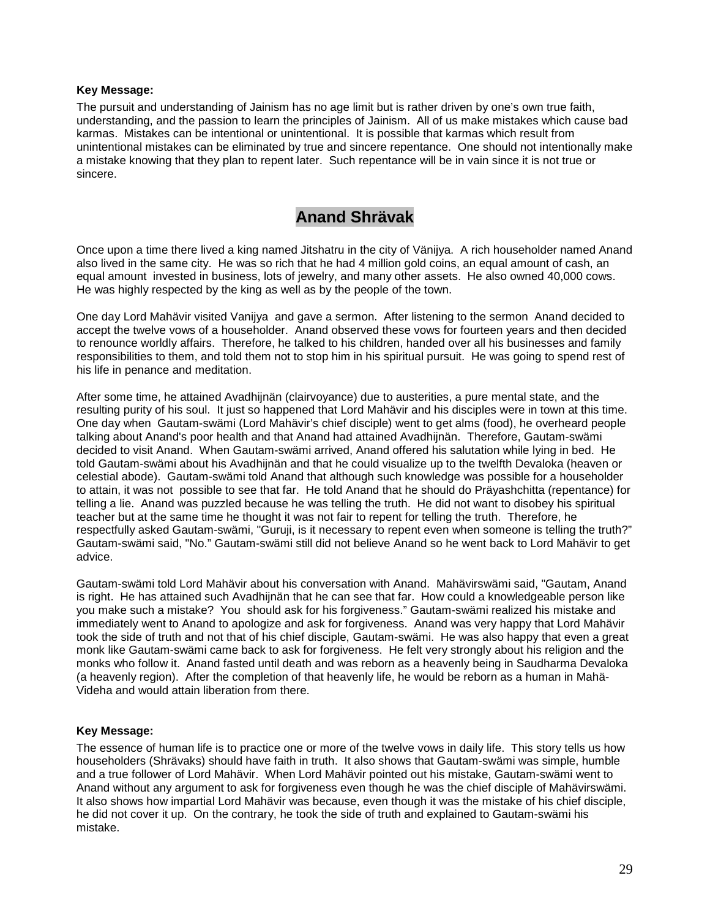#### **Key Message:**

The pursuit and understanding of Jainism has no age limit but is rather driven by one's own true faith, understanding, and the passion to learn the principles of Jainism. All of us make mistakes which cause bad karmas. Mistakes can be intentional or unintentional. It is possible that karmas which result from unintentional mistakes can be eliminated by true and sincere repentance. One should not intentionally make a mistake knowing that they plan to repent later. Such repentance will be in vain since it is not true or sincere.

### **Anand Shrävak**

Once upon a time there lived a king named Jitshatru in the city of Vänijya. A rich householder named Anand also lived in the same city. He was so rich that he had 4 million gold coins, an equal amount of cash, an equal amount invested in business, lots of jewelry, and many other assets. He also owned 40,000 cows. He was highly respected by the king as well as by the people of the town.

One day Lord Mahävir visited Vanijya and gave a sermon. After listening to the sermon Anand decided to accept the twelve vows of a householder. Anand observed these vows for fourteen years and then decided to renounce worldly affairs. Therefore, he talked to his children, handed over all his businesses and family responsibilities to them, and told them not to stop him in his spiritual pursuit. He was going to spend rest of his life in penance and meditation.

After some time, he attained Avadhijnän (clairvoyance) due to austerities, a pure mental state, and the resulting purity of his soul. It just so happened that Lord Mahävir and his disciples were in town at this time. One day when Gautam-swämi (Lord Mahävir's chief disciple) went to get alms (food), he overheard people talking about Anand's poor health and that Anand had attained Avadhijnän. Therefore, Gautam-swämi decided to visit Anand. When Gautam-swämi arrived, Anand offered his salutation while lying in bed. He told Gautam-swämi about his Avadhijnän and that he could visualize up to the twelfth Devaloka (heaven or celestial abode). Gautam-swämi told Anand that although such knowledge was possible for a householder to attain, it was not possible to see that far. He told Anand that he should do Präyashchitta (repentance) for telling a lie. Anand was puzzled because he was telling the truth. He did not want to disobey his spiritual teacher but at the same time he thought it was not fair to repent for telling the truth. Therefore, he respectfully asked Gautam-swämi, "Guruji, is it necessary to repent even when someone is telling the truth?" Gautam-swämi said, "No." Gautam-swämi still did not believe Anand so he went back to Lord Mahävir to get advice.

Gautam-swämi told Lord Mahävir about his conversation with Anand. Mahävirswämi said, "Gautam, Anand is right. He has attained such Avadhijnän that he can see that far. How could a knowledgeable person like you make such a mistake? You should ask for his forgiveness." Gautam-swämi realized his mistake and immediately went to Anand to apologize and ask for forgiveness. Anand was very happy that Lord Mahävir took the side of truth and not that of his chief disciple, Gautam-swämi. He was also happy that even a great monk like Gautam-swämi came back to ask for forgiveness. He felt very strongly about his religion and the monks who follow it. Anand fasted until death and was reborn as a heavenly being in Saudharma Devaloka (a heavenly region). After the completion of that heavenly life, he would be reborn as a human in Mahä-Videha and would attain liberation from there.

### **Key Message:**

The essence of human life is to practice one or more of the twelve vows in daily life. This story tells us how householders (Shrävaks) should have faith in truth. It also shows that Gautam-swämi was simple, humble and a true follower of Lord Mahävir. When Lord Mahävir pointed out his mistake, Gautam-swämi went to Anand without any argument to ask for forgiveness even though he was the chief disciple of Mahävirswämi. It also shows how impartial Lord Mahävir was because, even though it was the mistake of his chief disciple, he did not cover it up. On the contrary, he took the side of truth and explained to Gautam-swämi his mistake.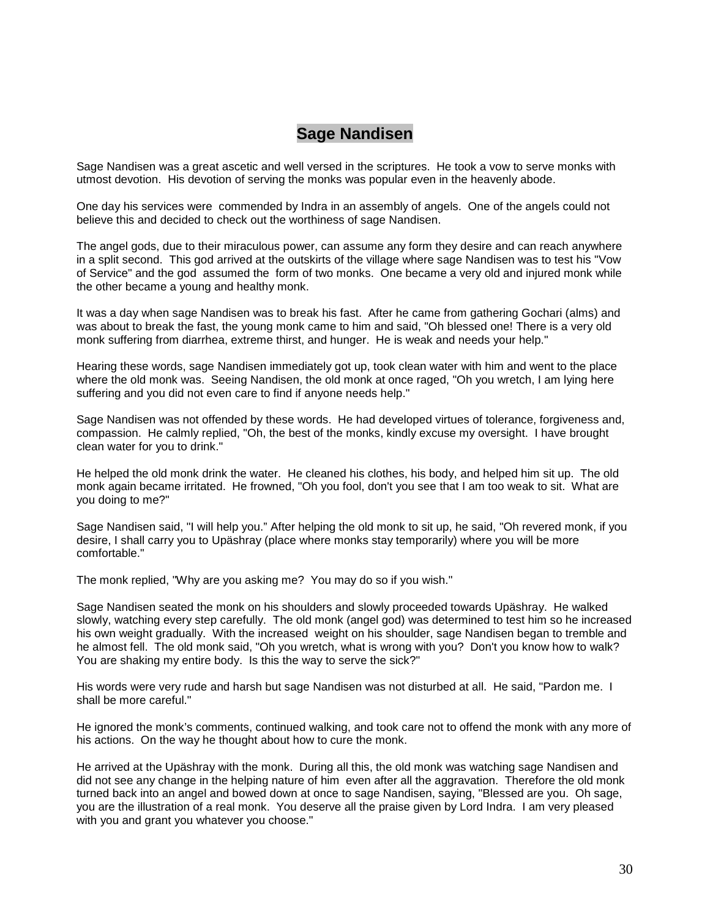# **Sage Nandisen**

Sage Nandisen was a great ascetic and well versed in the scriptures. He took a vow to serve monks with utmost devotion. His devotion of serving the monks was popular even in the heavenly abode.

One day his services were commended by Indra in an assembly of angels. One of the angels could not believe this and decided to check out the worthiness of sage Nandisen.

The angel gods, due to their miraculous power, can assume any form they desire and can reach anywhere in a split second. This god arrived at the outskirts of the village where sage Nandisen was to test his "Vow of Service" and the god assumed the form of two monks. One became a very old and injured monk while the other became a young and healthy monk.

It was a day when sage Nandisen was to break his fast. After he came from gathering Gochari (alms) and was about to break the fast, the young monk came to him and said, "Oh blessed one! There is a very old monk suffering from diarrhea, extreme thirst, and hunger. He is weak and needs your help."

Hearing these words, sage Nandisen immediately got up, took clean water with him and went to the place where the old monk was. Seeing Nandisen, the old monk at once raged, "Oh you wretch, I am lying here suffering and you did not even care to find if anyone needs help."

Sage Nandisen was not offended by these words. He had developed virtues of tolerance, forgiveness and, compassion. He calmly replied, "Oh, the best of the monks, kindly excuse my oversight. I have brought clean water for you to drink."

He helped the old monk drink the water. He cleaned his clothes, his body, and helped him sit up. The old monk again became irritated. He frowned, "Oh you fool, don't you see that I am too weak to sit. What are you doing to me?"

Sage Nandisen said, "I will help you." After helping the old monk to sit up, he said, "Oh revered monk, if you desire, I shall carry you to Upäshray (place where monks stay temporarily) where you will be more comfortable."

The monk replied, "Why are you asking me? You may do so if you wish."

Sage Nandisen seated the monk on his shoulders and slowly proceeded towards Upäshray. He walked slowly, watching every step carefully. The old monk (angel god) was determined to test him so he increased his own weight gradually. With the increased weight on his shoulder, sage Nandisen began to tremble and he almost fell. The old monk said, "Oh you wretch, what is wrong with you? Don't you know how to walk? You are shaking my entire body. Is this the way to serve the sick?"

His words were very rude and harsh but sage Nandisen was not disturbed at all. He said, "Pardon me. I shall be more careful."

He ignored the monk's comments, continued walking, and took care not to offend the monk with any more of his actions. On the way he thought about how to cure the monk.

He arrived at the Upäshray with the monk. During all this, the old monk was watching sage Nandisen and did not see any change in the helping nature of him even after all the aggravation. Therefore the old monk turned back into an angel and bowed down at once to sage Nandisen, saying, "Blessed are you. Oh sage, you are the illustration of a real monk. You deserve all the praise given by Lord Indra. I am very pleased with you and grant you whatever you choose."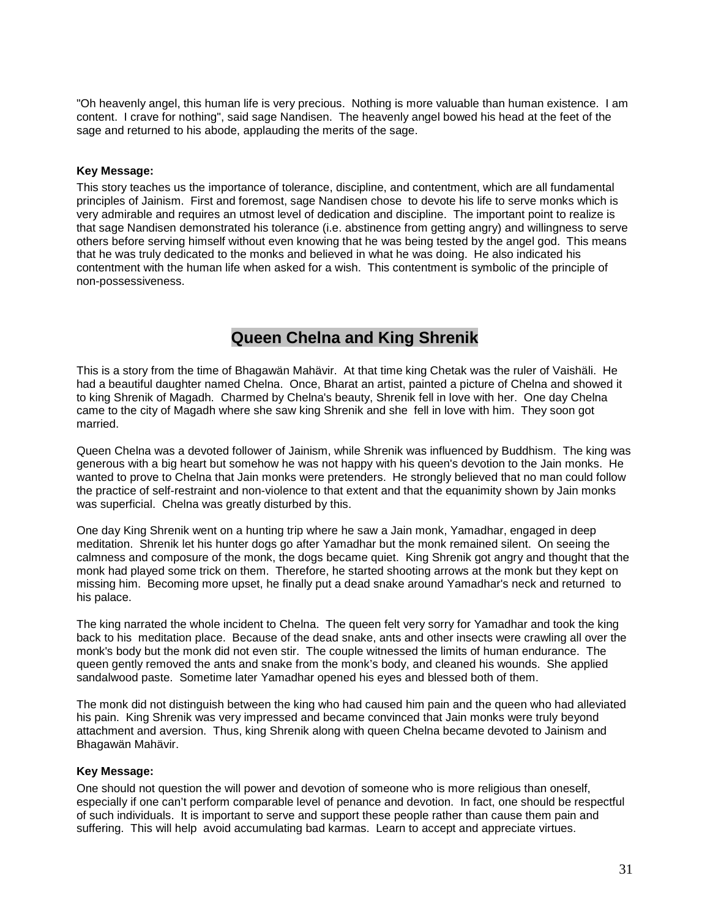"Oh heavenly angel, this human life is very precious. Nothing is more valuable than human existence. I am content. I crave for nothing", said sage Nandisen. The heavenly angel bowed his head at the feet of the sage and returned to his abode, applauding the merits of the sage.

#### **Key Message:**

This story teaches us the importance of tolerance, discipline, and contentment, which are all fundamental principles of Jainism. First and foremost, sage Nandisen chose to devote his life to serve monks which is very admirable and requires an utmost level of dedication and discipline. The important point to realize is that sage Nandisen demonstrated his tolerance (i.e. abstinence from getting angry) and willingness to serve others before serving himself without even knowing that he was being tested by the angel god. This means that he was truly dedicated to the monks and believed in what he was doing. He also indicated his contentment with the human life when asked for a wish. This contentment is symbolic of the principle of non-possessiveness.

## **Queen Chelna and King Shrenik**

This is a story from the time of Bhagawän Mahävir. At that time king Chetak was the ruler of Vaishäli. He had a beautiful daughter named Chelna. Once, Bharat an artist, painted a picture of Chelna and showed it to king Shrenik of Magadh. Charmed by Chelna's beauty, Shrenik fell in love with her. One day Chelna came to the city of Magadh where she saw king Shrenik and she fell in love with him. They soon got married.

Queen Chelna was a devoted follower of Jainism, while Shrenik was influenced by Buddhism. The king was generous with a big heart but somehow he was not happy with his queen's devotion to the Jain monks. He wanted to prove to Chelna that Jain monks were pretenders. He strongly believed that no man could follow the practice of self-restraint and non-violence to that extent and that the equanimity shown by Jain monks was superficial. Chelna was greatly disturbed by this.

One day King Shrenik went on a hunting trip where he saw a Jain monk, Yamadhar, engaged in deep meditation. Shrenik let his hunter dogs go after Yamadhar but the monk remained silent. On seeing the calmness and composure of the monk, the dogs became quiet. King Shrenik got angry and thought that the monk had played some trick on them. Therefore, he started shooting arrows at the monk but they kept on missing him. Becoming more upset, he finally put a dead snake around Yamadhar's neck and returned to his palace.

The king narrated the whole incident to Chelna. The queen felt very sorry for Yamadhar and took the king back to his meditation place. Because of the dead snake, ants and other insects were crawling all over the monk's body but the monk did not even stir. The couple witnessed the limits of human endurance. The queen gently removed the ants and snake from the monk's body, and cleaned his wounds. She applied sandalwood paste. Sometime later Yamadhar opened his eyes and blessed both of them.

The monk did not distinguish between the king who had caused him pain and the queen who had alleviated his pain. King Shrenik was very impressed and became convinced that Jain monks were truly beyond attachment and aversion. Thus, king Shrenik along with queen Chelna became devoted to Jainism and Bhagawän Mahävir.

### **Key Message:**

One should not question the will power and devotion of someone who is more religious than oneself, especially if one can't perform comparable level of penance and devotion. In fact, one should be respectful of such individuals. It is important to serve and support these people rather than cause them pain and suffering. This will help avoid accumulating bad karmas. Learn to accept and appreciate virtues.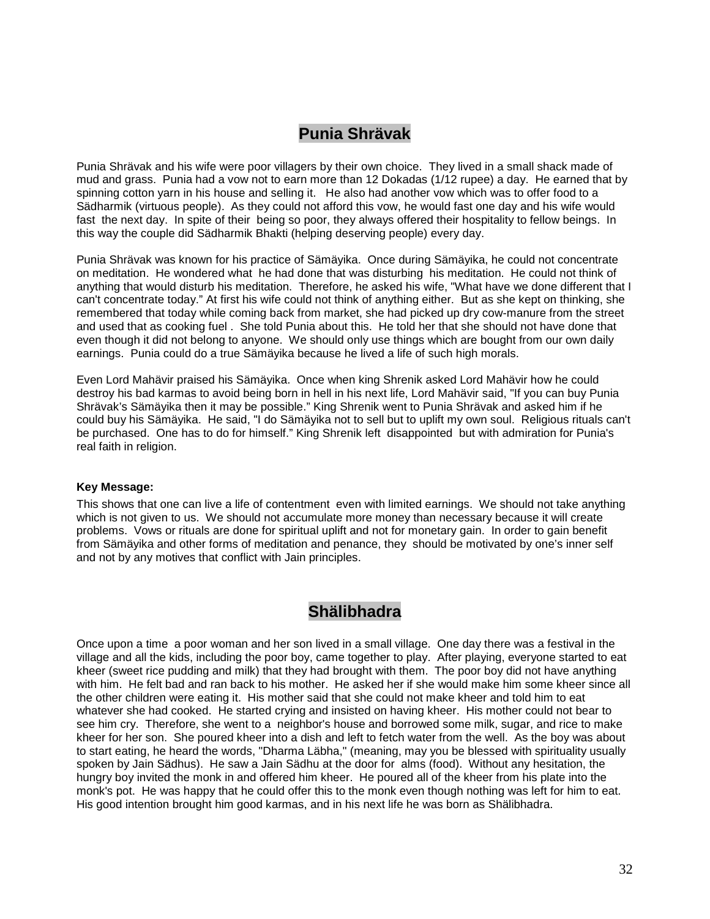# **Punia Shrävak**

Punia Shrävak and his wife were poor villagers by their own choice. They lived in a small shack made of mud and grass. Punia had a vow not to earn more than 12 Dokadas (1/12 rupee) a day. He earned that by spinning cotton yarn in his house and selling it. He also had another vow which was to offer food to a Sädharmik (virtuous people). As they could not afford this vow, he would fast one day and his wife would fast the next day. In spite of their being so poor, they always offered their hospitality to fellow beings. In this way the couple did Sädharmik Bhakti (helping deserving people) every day.

Punia Shrävak was known for his practice of Sämäyika. Once during Sämäyika, he could not concentrate on meditation. He wondered what he had done that was disturbing his meditation. He could not think of anything that would disturb his meditation. Therefore, he asked his wife, "What have we done different that I can't concentrate today." At first his wife could not think of anything either. But as she kept on thinking, she remembered that today while coming back from market, she had picked up dry cow-manure from the street and used that as cooking fuel . She told Punia about this. He told her that she should not have done that even though it did not belong to anyone. We should only use things which are bought from our own daily earnings. Punia could do a true Sämäyika because he lived a life of such high morals.

Even Lord Mahävir praised his Sämäyika. Once when king Shrenik asked Lord Mahävir how he could destroy his bad karmas to avoid being born in hell in his next life, Lord Mahävir said, "If you can buy Punia Shrävak's Sämäyika then it may be possible." King Shrenik went to Punia Shrävak and asked him if he could buy his Sämäyika. He said, "I do Sämäyika not to sell but to uplift my own soul. Religious rituals can't be purchased. One has to do for himself." King Shrenik left disappointed but with admiration for Punia's real faith in religion.

#### **Key Message:**

This shows that one can live a life of contentment even with limited earnings. We should not take anything which is not given to us. We should not accumulate more money than necessary because it will create problems. Vows or rituals are done for spiritual uplift and not for monetary gain. In order to gain benefit from Sämäyika and other forms of meditation and penance, they should be motivated by one's inner self and not by any motives that conflict with Jain principles.

### **Shälibhadra**

Once upon a time a poor woman and her son lived in a small village. One day there was a festival in the village and all the kids, including the poor boy, came together to play. After playing, everyone started to eat kheer (sweet rice pudding and milk) that they had brought with them. The poor boy did not have anything with him. He felt bad and ran back to his mother. He asked her if she would make him some kheer since all the other children were eating it. His mother said that she could not make kheer and told him to eat whatever she had cooked. He started crying and insisted on having kheer. His mother could not bear to see him cry. Therefore, she went to a neighbor's house and borrowed some milk, sugar, and rice to make kheer for her son. She poured kheer into a dish and left to fetch water from the well. As the boy was about to start eating, he heard the words, "Dharma Läbha," (meaning, may you be blessed with spirituality usually spoken by Jain Sädhus). He saw a Jain Sädhu at the door for alms (food). Without any hesitation, the hungry boy invited the monk in and offered him kheer. He poured all of the kheer from his plate into the monk's pot. He was happy that he could offer this to the monk even though nothing was left for him to eat. His good intention brought him good karmas, and in his next life he was born as Shälibhadra.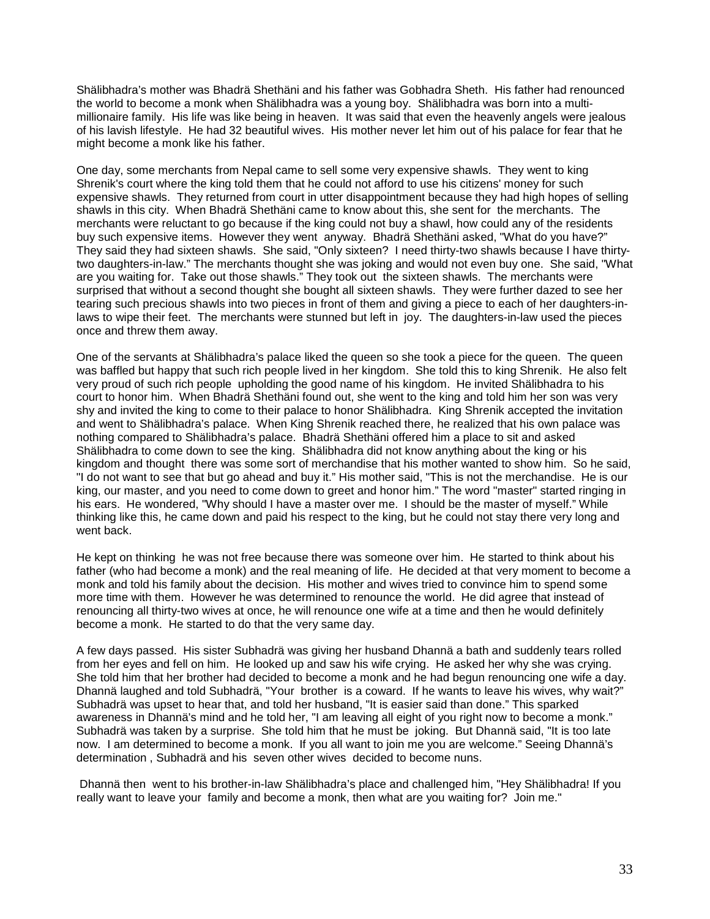Shälibhadra's mother was Bhadrä Shethäni and his father was Gobhadra Sheth. His father had renounced the world to become a monk when Shälibhadra was a young boy. Shälibhadra was born into a multimillionaire family. His life was like being in heaven. It was said that even the heavenly angels were jealous of his lavish lifestyle. He had 32 beautiful wives. His mother never let him out of his palace for fear that he might become a monk like his father.

One day, some merchants from Nepal came to sell some very expensive shawls. They went to king Shrenik's court where the king told them that he could not afford to use his citizens' money for such expensive shawls. They returned from court in utter disappointment because they had high hopes of selling shawls in this city. When Bhadrä Shethäni came to know about this, she sent for the merchants. The merchants were reluctant to go because if the king could not buy a shawl, how could any of the residents buy such expensive items. However they went anyway. Bhadrä Shethäni asked, "What do you have?" They said they had sixteen shawls. She said, "Only sixteen? I need thirty-two shawls because I have thirtytwo daughters-in-law." The merchants thought she was joking and would not even buy one. She said, "What are you waiting for. Take out those shawls." They took out the sixteen shawls. The merchants were surprised that without a second thought she bought all sixteen shawls. They were further dazed to see her tearing such precious shawls into two pieces in front of them and giving a piece to each of her daughters-inlaws to wipe their feet. The merchants were stunned but left in joy. The daughters-in-law used the pieces once and threw them away.

One of the servants at Shälibhadra's palace liked the queen so she took a piece for the queen. The queen was baffled but happy that such rich people lived in her kingdom. She told this to king Shrenik. He also felt very proud of such rich people upholding the good name of his kingdom. He invited Shälibhadra to his court to honor him. When Bhadrä Shethäni found out, she went to the king and told him her son was very shy and invited the king to come to their palace to honor Shälibhadra. King Shrenik accepted the invitation and went to Shälibhadra's palace. When King Shrenik reached there, he realized that his own palace was nothing compared to Shälibhadra's palace. Bhadrä Shethäni offered him a place to sit and asked Shälibhadra to come down to see the king. Shälibhadra did not know anything about the king or his kingdom and thought there was some sort of merchandise that his mother wanted to show him. So he said, "I do not want to see that but go ahead and buy it." His mother said, "This is not the merchandise. He is our king, our master, and you need to come down to greet and honor him." The word "master" started ringing in his ears. He wondered, "Why should I have a master over me. I should be the master of myself." While thinking like this, he came down and paid his respect to the king, but he could not stay there very long and went back.

He kept on thinking he was not free because there was someone over him. He started to think about his father (who had become a monk) and the real meaning of life. He decided at that very moment to become a monk and told his family about the decision. His mother and wives tried to convince him to spend some more time with them. However he was determined to renounce the world. He did agree that instead of renouncing all thirty-two wives at once, he will renounce one wife at a time and then he would definitely become a monk. He started to do that the very same day.

A few days passed. His sister Subhadrä was giving her husband Dhannä a bath and suddenly tears rolled from her eyes and fell on him. He looked up and saw his wife crying. He asked her why she was crying. She told him that her brother had decided to become a monk and he had begun renouncing one wife a day. Dhannä laughed and told Subhadrä, "Your brother is a coward. If he wants to leave his wives, why wait?" Subhadrä was upset to hear that, and told her husband, "It is easier said than done." This sparked awareness in Dhannä's mind and he told her, "I am leaving all eight of you right now to become a monk." Subhadrä was taken by a surprise. She told him that he must be joking. But Dhannä said, "It is too late now. I am determined to become a monk. If you all want to join me you are welcome." Seeing Dhannä's determination , Subhadrä and his seven other wives decided to become nuns.

Dhannä then went to his brother-in-law Shälibhadra's place and challenged him, "Hey Shälibhadra! If you really want to leave your family and become a monk, then what are you waiting for? Join me."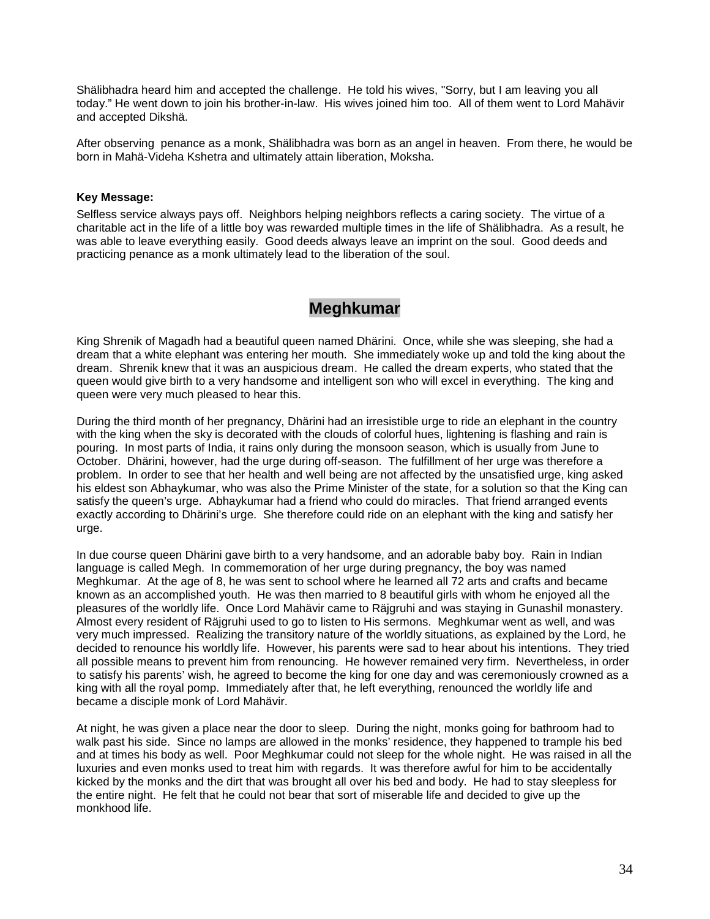Shälibhadra heard him and accepted the challenge. He told his wives, "Sorry, but I am leaving you all today." He went down to join his brother-in-law. His wives joined him too. All of them went to Lord Mahävir and accepted Dikshä.

After observing penance as a monk, Shälibhadra was born as an angel in heaven. From there, he would be born in Mahä-Videha Kshetra and ultimately attain liberation, Moksha.

### **Key Message:**

Selfless service always pays off. Neighbors helping neighbors reflects a caring society. The virtue of a charitable act in the life of a little boy was rewarded multiple times in the life of Shälibhadra. As a result, he was able to leave everything easily. Good deeds always leave an imprint on the soul. Good deeds and practicing penance as a monk ultimately lead to the liberation of the soul.

### **Meghkumar**

King Shrenik of Magadh had a beautiful queen named Dhärini. Once, while she was sleeping, she had a dream that a white elephant was entering her mouth. She immediately woke up and told the king about the dream. Shrenik knew that it was an auspicious dream. He called the dream experts, who stated that the queen would give birth to a very handsome and intelligent son who will excel in everything. The king and queen were very much pleased to hear this.

During the third month of her pregnancy, Dhärini had an irresistible urge to ride an elephant in the country with the king when the sky is decorated with the clouds of colorful hues, lightening is flashing and rain is pouring. In most parts of India, it rains only during the monsoon season, which is usually from June to October. Dhärini, however, had the urge during off-season. The fulfillment of her urge was therefore a problem. In order to see that her health and well being are not affected by the unsatisfied urge, king asked his eldest son Abhaykumar, who was also the Prime Minister of the state, for a solution so that the King can satisfy the queen's urge. Abhaykumar had a friend who could do miracles. That friend arranged events exactly according to Dhärini's urge. She therefore could ride on an elephant with the king and satisfy her urge.

In due course queen Dhärini gave birth to a very handsome, and an adorable baby boy. Rain in Indian language is called Megh. In commemoration of her urge during pregnancy, the boy was named Meghkumar. At the age of 8, he was sent to school where he learned all 72 arts and crafts and became known as an accomplished youth. He was then married to 8 beautiful girls with whom he enjoyed all the pleasures of the worldly life. Once Lord Mahävir came to Räjgruhi and was staying in Gunashil monastery. Almost every resident of Räjgruhi used to go to listen to His sermons. Meghkumar went as well, and was very much impressed. Realizing the transitory nature of the worldly situations, as explained by the Lord, he decided to renounce his worldly life. However, his parents were sad to hear about his intentions. They tried all possible means to prevent him from renouncing. He however remained very firm. Nevertheless, in order to satisfy his parents' wish, he agreed to become the king for one day and was ceremoniously crowned as a king with all the royal pomp. Immediately after that, he left everything, renounced the worldly life and became a disciple monk of Lord Mahävir.

At night, he was given a place near the door to sleep. During the night, monks going for bathroom had to walk past his side. Since no lamps are allowed in the monks' residence, they happened to trample his bed and at times his body as well. Poor Meghkumar could not sleep for the whole night. He was raised in all the luxuries and even monks used to treat him with regards. It was therefore awful for him to be accidentally kicked by the monks and the dirt that was brought all over his bed and body. He had to stay sleepless for the entire night. He felt that he could not bear that sort of miserable life and decided to give up the monkhood life.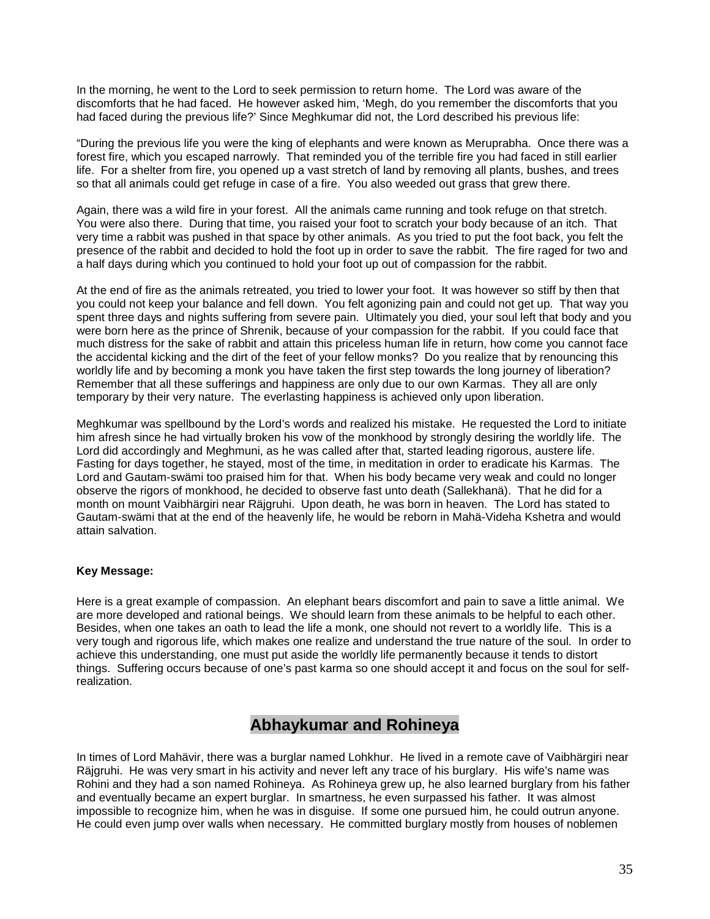In the morning, he went to the Lord to seek permission to return home. The Lord was aware of the discomforts that he had faced. He however asked him, 'Megh, do you remember the discomforts that you had faced during the previous life?' Since Meghkumar did not, the Lord described his previous life:

"During the previous life you were the king of elephants and were known as Meruprabha. Once there was a forest fire, which you escaped narrowly. That reminded you of the terrible fire you had faced in still earlier life. For a shelter from fire, you opened up a vast stretch of land by removing all plants, bushes, and trees so that all animals could get refuge in case of a fire. You also weeded out grass that grew there.

Again, there was a wild fire in your forest. All the animals came running and took refuge on that stretch. You were also there. During that time, you raised your foot to scratch your body because of an itch. That very time a rabbit was pushed in that space by other animals. As you tried to put the foot back, you felt the presence of the rabbit and decided to hold the foot up in order to save the rabbit. The fire raged for two and a half days during which you continued to hold your foot up out of compassion for the rabbit.

At the end of fire as the animals retreated, you tried to lower your foot. It was however so stiff by then that you could not keep your balance and fell down. You felt agonizing pain and could not get up. That way you spent three days and nights suffering from severe pain. Ultimately you died, your soul left that body and you were born here as the prince of Shrenik, because of your compassion for the rabbit. If you could face that much distress for the sake of rabbit and attain this priceless human life in return, how come you cannot face the accidental kicking and the dirt of the feet of your fellow monks? Do you realize that by renouncing this worldly life and by becoming a monk you have taken the first step towards the long journey of liberation? Remember that all these sufferings and happiness are only due to our own Karmas. They all are only temporary by their very nature. The everlasting happiness is achieved only upon liberation.

Meghkumar was spellbound by the Lord's words and realized his mistake. He requested the Lord to initiate him afresh since he had virtually broken his vow of the monkhood by strongly desiring the worldly life. The Lord did accordingly and Meghmuni, as he was called after that, started leading rigorous, austere life. Fasting for days together, he stayed, most of the time, in meditation in order to eradicate his Karmas. The Lord and Gautam-swämi too praised him for that. When his body became very weak and could no longer observe the rigors of monkhood, he decided to observe fast unto death (Sallekhanä). That he did for a month on mount Vaibhärgiri near Räjgruhi. Upon death, he was born in heaven. The Lord has stated to Gautam-swämi that at the end of the heavenly life, he would be reborn in Mahä-Videha Kshetra and would attain salvation.

### **Key Message:**

Here is a great example of compassion. An elephant bears discomfort and pain to save a little animal. We are more developed and rational beings. We should learn from these animals to be helpful to each other. Besides, when one takes an oath to lead the life a monk, one should not revert to a worldly life. This is a very tough and rigorous life, which makes one realize and understand the true nature of the soul. In order to achieve this understanding, one must put aside the worldly life permanently because it tends to distort things. Suffering occurs because of one's past karma so one should accept it and focus on the soul for selfrealization.

### **Abhaykumar and Rohineya**

In times of Lord Mahävir, there was a burglar named Lohkhur. He lived in a remote cave of Vaibhärgiri near Räjgruhi. He was very smart in his activity and never left any trace of his burglary. His wife's name was Rohini and they had a son named Rohineya. As Rohineya grew up, he also learned burglary from his father and eventually became an expert burglar. In smartness, he even surpassed his father. It was almost impossible to recognize him, when he was in disguise. If some one pursued him, he could outrun anyone. He could even jump over walls when necessary. He committed burglary mostly from houses of noblemen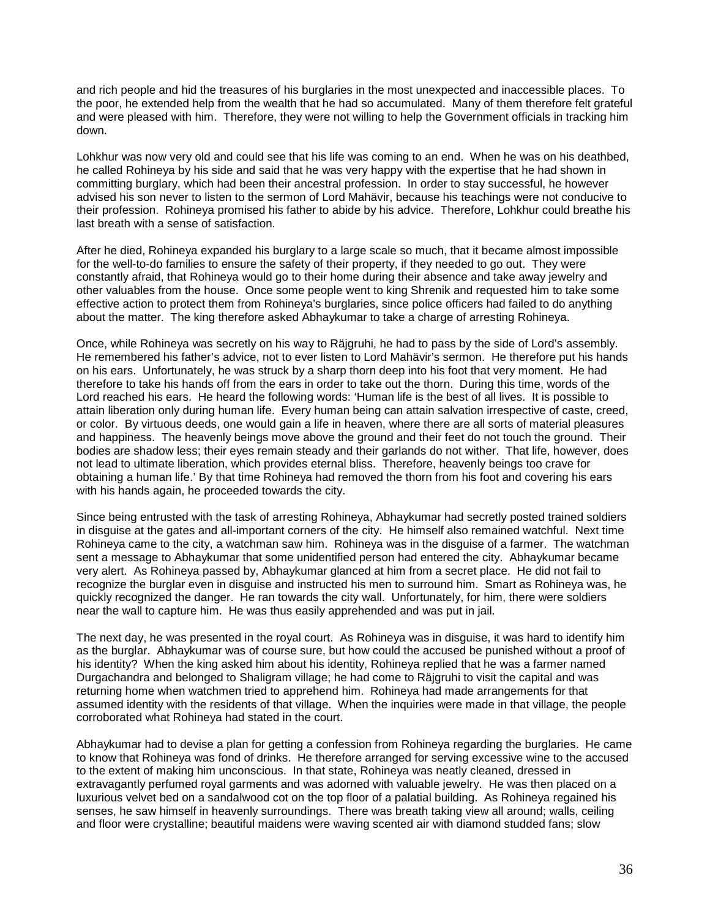and rich people and hid the treasures of his burglaries in the most unexpected and inaccessible places. To the poor, he extended help from the wealth that he had so accumulated. Many of them therefore felt grateful and were pleased with him. Therefore, they were not willing to help the Government officials in tracking him down.

Lohkhur was now very old and could see that his life was coming to an end. When he was on his deathbed, he called Rohineya by his side and said that he was very happy with the expertise that he had shown in committing burglary, which had been their ancestral profession. In order to stay successful, he however advised his son never to listen to the sermon of Lord Mahävir, because his teachings were not conducive to their profession. Rohineya promised his father to abide by his advice. Therefore, Lohkhur could breathe his last breath with a sense of satisfaction.

After he died, Rohineya expanded his burglary to a large scale so much, that it became almost impossible for the well-to-do families to ensure the safety of their property, if they needed to go out. They were constantly afraid, that Rohineya would go to their home during their absence and take away jewelry and other valuables from the house. Once some people went to king Shrenik and requested him to take some effective action to protect them from Rohineya's burglaries, since police officers had failed to do anything about the matter. The king therefore asked Abhaykumar to take a charge of arresting Rohineya.

Once, while Rohineya was secretly on his way to Räjgruhi, he had to pass by the side of Lord's assembly. He remembered his father's advice, not to ever listen to Lord Mahävir's sermon. He therefore put his hands on his ears. Unfortunately, he was struck by a sharp thorn deep into his foot that very moment. He had therefore to take his hands off from the ears in order to take out the thorn. During this time, words of the Lord reached his ears. He heard the following words: 'Human life is the best of all lives. It is possible to attain liberation only during human life. Every human being can attain salvation irrespective of caste, creed, or color. By virtuous deeds, one would gain a life in heaven, where there are all sorts of material pleasures and happiness. The heavenly beings move above the ground and their feet do not touch the ground. Their bodies are shadow less; their eyes remain steady and their garlands do not wither. That life, however, does not lead to ultimate liberation, which provides eternal bliss. Therefore, heavenly beings too crave for obtaining a human life.' By that time Rohineya had removed the thorn from his foot and covering his ears with his hands again, he proceeded towards the city.

Since being entrusted with the task of arresting Rohineya, Abhaykumar had secretly posted trained soldiers in disguise at the gates and all-important corners of the city. He himself also remained watchful. Next time Rohineya came to the city, a watchman saw him. Rohineya was in the disguise of a farmer. The watchman sent a message to Abhaykumar that some unidentified person had entered the city. Abhaykumar became very alert. As Rohineya passed by, Abhaykumar glanced at him from a secret place. He did not fail to recognize the burglar even in disguise and instructed his men to surround him. Smart as Rohineya was, he quickly recognized the danger. He ran towards the city wall. Unfortunately, for him, there were soldiers near the wall to capture him. He was thus easily apprehended and was put in jail.

The next day, he was presented in the royal court. As Rohineya was in disguise, it was hard to identify him as the burglar. Abhaykumar was of course sure, but how could the accused be punished without a proof of his identity? When the king asked him about his identity, Rohineya replied that he was a farmer named Durgachandra and belonged to Shaligram village; he had come to Räjgruhi to visit the capital and was returning home when watchmen tried to apprehend him. Rohineya had made arrangements for that assumed identity with the residents of that village. When the inquiries were made in that village, the people corroborated what Rohineya had stated in the court.

Abhaykumar had to devise a plan for getting a confession from Rohineya regarding the burglaries. He came to know that Rohineya was fond of drinks. He therefore arranged for serving excessive wine to the accused to the extent of making him unconscious. In that state, Rohineya was neatly cleaned, dressed in extravagantly perfumed royal garments and was adorned with valuable jewelry. He was then placed on a luxurious velvet bed on a sandalwood cot on the top floor of a palatial building. As Rohineya regained his senses, he saw himself in heavenly surroundings. There was breath taking view all around; walls, ceiling and floor were crystalline; beautiful maidens were waving scented air with diamond studded fans; slow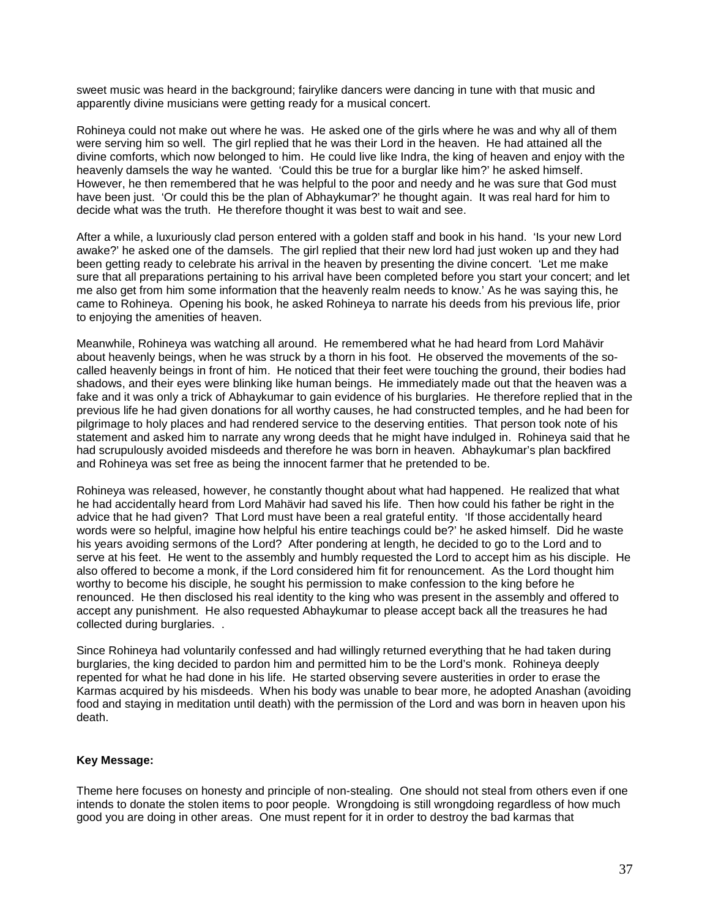sweet music was heard in the background; fairylike dancers were dancing in tune with that music and apparently divine musicians were getting ready for a musical concert.

Rohineya could not make out where he was. He asked one of the girls where he was and why all of them were serving him so well. The girl replied that he was their Lord in the heaven. He had attained all the divine comforts, which now belonged to him. He could live like Indra, the king of heaven and enjoy with the heavenly damsels the way he wanted. 'Could this be true for a burglar like him?' he asked himself. However, he then remembered that he was helpful to the poor and needy and he was sure that God must have been just. 'Or could this be the plan of Abhaykumar?' he thought again. It was real hard for him to decide what was the truth. He therefore thought it was best to wait and see.

After a while, a luxuriously clad person entered with a golden staff and book in his hand. 'Is your new Lord awake?' he asked one of the damsels. The girl replied that their new lord had just woken up and they had been getting ready to celebrate his arrival in the heaven by presenting the divine concert. 'Let me make sure that all preparations pertaining to his arrival have been completed before you start your concert; and let me also get from him some information that the heavenly realm needs to know.' As he was saying this, he came to Rohineya. Opening his book, he asked Rohineya to narrate his deeds from his previous life, prior to enjoying the amenities of heaven.

Meanwhile, Rohineya was watching all around. He remembered what he had heard from Lord Mahävir about heavenly beings, when he was struck by a thorn in his foot. He observed the movements of the socalled heavenly beings in front of him. He noticed that their feet were touching the ground, their bodies had shadows, and their eyes were blinking like human beings. He immediately made out that the heaven was a fake and it was only a trick of Abhaykumar to gain evidence of his burglaries. He therefore replied that in the previous life he had given donations for all worthy causes, he had constructed temples, and he had been for pilgrimage to holy places and had rendered service to the deserving entities. That person took note of his statement and asked him to narrate any wrong deeds that he might have indulged in. Rohineya said that he had scrupulously avoided misdeeds and therefore he was born in heaven. Abhaykumar's plan backfired and Rohineya was set free as being the innocent farmer that he pretended to be.

Rohineya was released, however, he constantly thought about what had happened. He realized that what he had accidentally heard from Lord Mahävir had saved his life. Then how could his father be right in the advice that he had given? That Lord must have been a real grateful entity. 'If those accidentally heard words were so helpful, imagine how helpful his entire teachings could be?' he asked himself. Did he waste his years avoiding sermons of the Lord? After pondering at length, he decided to go to the Lord and to serve at his feet. He went to the assembly and humbly requested the Lord to accept him as his disciple. He also offered to become a monk, if the Lord considered him fit for renouncement. As the Lord thought him worthy to become his disciple, he sought his permission to make confession to the king before he renounced. He then disclosed his real identity to the king who was present in the assembly and offered to accept any punishment. He also requested Abhaykumar to please accept back all the treasures he had collected during burglaries. .

Since Rohineya had voluntarily confessed and had willingly returned everything that he had taken during burglaries, the king decided to pardon him and permitted him to be the Lord's monk. Rohineya deeply repented for what he had done in his life. He started observing severe austerities in order to erase the Karmas acquired by his misdeeds. When his body was unable to bear more, he adopted Anashan (avoiding food and staying in meditation until death) with the permission of the Lord and was born in heaven upon his death.

#### **Key Message:**

Theme here focuses on honesty and principle of non-stealing. One should not steal from others even if one intends to donate the stolen items to poor people. Wrongdoing is still wrongdoing regardless of how much good you are doing in other areas. One must repent for it in order to destroy the bad karmas that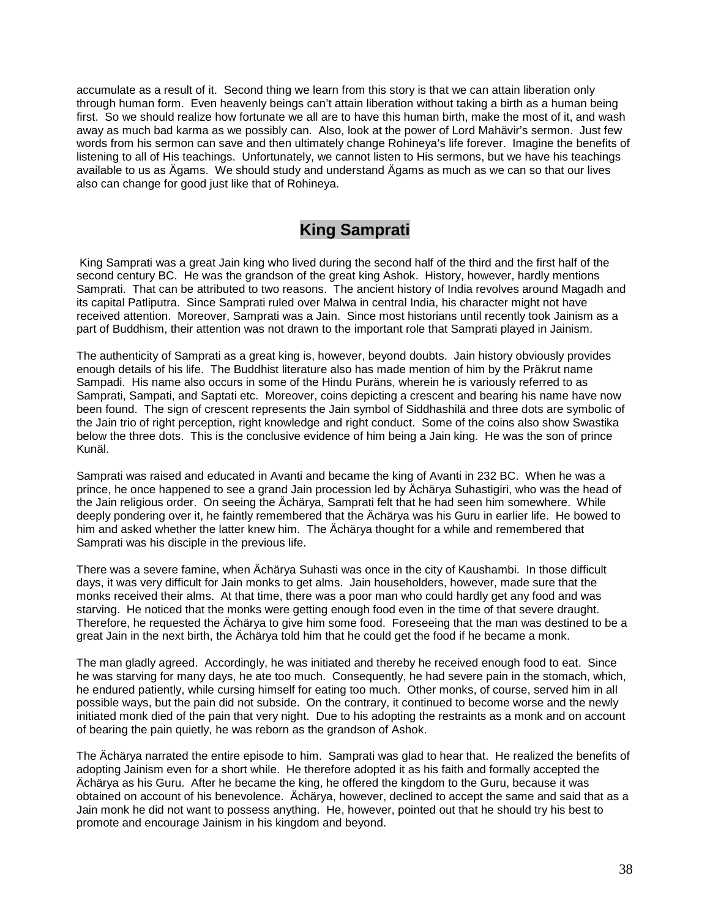accumulate as a result of it. Second thing we learn from this story is that we can attain liberation only through human form. Even heavenly beings can't attain liberation without taking a birth as a human being first. So we should realize how fortunate we all are to have this human birth, make the most of it, and wash away as much bad karma as we possibly can. Also, look at the power of Lord Mahävir's sermon. Just few words from his sermon can save and then ultimately change Rohineya's life forever. Imagine the benefits of listening to all of His teachings. Unfortunately, we cannot listen to His sermons, but we have his teachings available to us as Ägams. We should study and understand Ägams as much as we can so that our lives also can change for good just like that of Rohineya.

# **King Samprati**

King Samprati was a great Jain king who lived during the second half of the third and the first half of the second century BC. He was the grandson of the great king Ashok. History, however, hardly mentions Samprati. That can be attributed to two reasons. The ancient history of India revolves around Magadh and its capital Patliputra. Since Samprati ruled over Malwa in central India, his character might not have received attention. Moreover, Samprati was a Jain. Since most historians until recently took Jainism as a part of Buddhism, their attention was not drawn to the important role that Samprati played in Jainism.

The authenticity of Samprati as a great king is, however, beyond doubts. Jain history obviously provides enough details of his life. The Buddhist literature also has made mention of him by the Präkrut name Sampadi. His name also occurs in some of the Hindu Puräns, wherein he is variously referred to as Samprati, Sampati, and Saptati etc. Moreover, coins depicting a crescent and bearing his name have now been found. The sign of crescent represents the Jain symbol of Siddhashilä and three dots are symbolic of the Jain trio of right perception, right knowledge and right conduct. Some of the coins also show Swastika below the three dots. This is the conclusive evidence of him being a Jain king. He was the son of prince Kunäl.

Samprati was raised and educated in Avanti and became the king of Avanti in 232 BC. When he was a prince, he once happened to see a grand Jain procession led by Ächärya Suhastigiri, who was the head of the Jain religious order. On seeing the Ächärya, Samprati felt that he had seen him somewhere. While deeply pondering over it, he faintly remembered that the Ächärya was his Guru in earlier life. He bowed to him and asked whether the latter knew him. The Ächärya thought for a while and remembered that Samprati was his disciple in the previous life.

There was a severe famine, when Ächärya Suhasti was once in the city of Kaushambi. In those difficult days, it was very difficult for Jain monks to get alms. Jain householders, however, made sure that the monks received their alms. At that time, there was a poor man who could hardly get any food and was starving. He noticed that the monks were getting enough food even in the time of that severe draught. Therefore, he requested the Ächärya to give him some food. Foreseeing that the man was destined to be a great Jain in the next birth, the Ächärya told him that he could get the food if he became a monk.

The man gladly agreed. Accordingly, he was initiated and thereby he received enough food to eat. Since he was starving for many days, he ate too much. Consequently, he had severe pain in the stomach, which, he endured patiently, while cursing himself for eating too much. Other monks, of course, served him in all possible ways, but the pain did not subside. On the contrary, it continued to become worse and the newly initiated monk died of the pain that very night. Due to his adopting the restraints as a monk and on account of bearing the pain quietly, he was reborn as the grandson of Ashok.

The Ächärya narrated the entire episode to him. Samprati was glad to hear that. He realized the benefits of adopting Jainism even for a short while. He therefore adopted it as his faith and formally accepted the Ächärya as his Guru. After he became the king, he offered the kingdom to the Guru, because it was obtained on account of his benevolence. Ächärya, however, declined to accept the same and said that as a Jain monk he did not want to possess anything. He, however, pointed out that he should try his best to promote and encourage Jainism in his kingdom and beyond.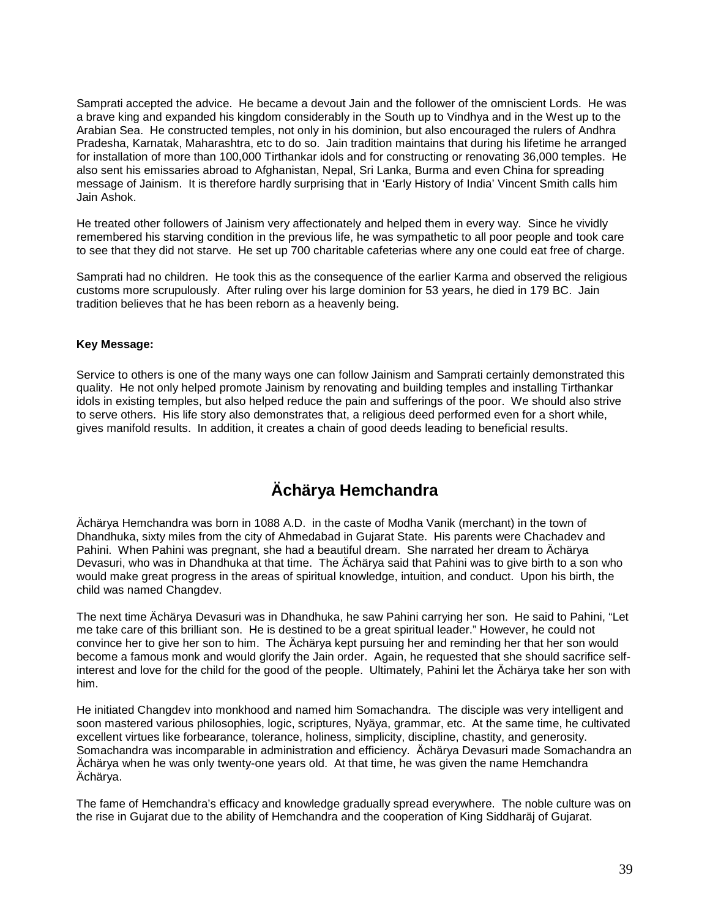Samprati accepted the advice. He became a devout Jain and the follower of the omniscient Lords. He was a brave king and expanded his kingdom considerably in the South up to Vindhya and in the West up to the Arabian Sea. He constructed temples, not only in his dominion, but also encouraged the rulers of Andhra Pradesha, Karnatak, Maharashtra, etc to do so. Jain tradition maintains that during his lifetime he arranged for installation of more than 100,000 Tirthankar idols and for constructing or renovating 36,000 temples. He also sent his emissaries abroad to Afghanistan, Nepal, Sri Lanka, Burma and even China for spreading message of Jainism. It is therefore hardly surprising that in 'Early History of India' Vincent Smith calls him Jain Ashok.

He treated other followers of Jainism very affectionately and helped them in every way. Since he vividly remembered his starving condition in the previous life, he was sympathetic to all poor people and took care to see that they did not starve. He set up 700 charitable cafeterias where any one could eat free of charge.

Samprati had no children. He took this as the consequence of the earlier Karma and observed the religious customs more scrupulously. After ruling over his large dominion for 53 years, he died in 179 BC. Jain tradition believes that he has been reborn as a heavenly being.

### **Key Message:**

Service to others is one of the many ways one can follow Jainism and Samprati certainly demonstrated this quality. He not only helped promote Jainism by renovating and building temples and installing Tirthankar idols in existing temples, but also helped reduce the pain and sufferings of the poor. We should also strive to serve others. His life story also demonstrates that, a religious deed performed even for a short while, gives manifold results. In addition, it creates a chain of good deeds leading to beneficial results.

# **Ächärya Hemchandra**

Ächärya Hemchandra was born in 1088 A.D. in the caste of Modha Vanik (merchant) in the town of Dhandhuka, sixty miles from the city of Ahmedabad in Gujarat State. His parents were Chachadev and Pahini. When Pahini was pregnant, she had a beautiful dream. She narrated her dream to Ächärya Devasuri, who was in Dhandhuka at that time. The Ächärya said that Pahini was to give birth to a son who would make great progress in the areas of spiritual knowledge, intuition, and conduct. Upon his birth, the child was named Changdev.

The next time Ächärya Devasuri was in Dhandhuka, he saw Pahini carrying her son. He said to Pahini, "Let me take care of this brilliant son. He is destined to be a great spiritual leader." However, he could not convince her to give her son to him. The Ächärya kept pursuing her and reminding her that her son would become a famous monk and would glorify the Jain order. Again, he requested that she should sacrifice selfinterest and love for the child for the good of the people. Ultimately, Pahini let the Ächärya take her son with him.

He initiated Changdev into monkhood and named him Somachandra. The disciple was very intelligent and soon mastered various philosophies, logic, scriptures, Nyäya, grammar, etc. At the same time, he cultivated excellent virtues like forbearance, tolerance, holiness, simplicity, discipline, chastity, and generosity. Somachandra was incomparable in administration and efficiency. Ächärya Devasuri made Somachandra an Ächärya when he was only twenty-one years old. At that time, he was given the name Hemchandra Ächärya.

The fame of Hemchandra's efficacy and knowledge gradually spread everywhere. The noble culture was on the rise in Gujarat due to the ability of Hemchandra and the cooperation of King Siddharäj of Gujarat.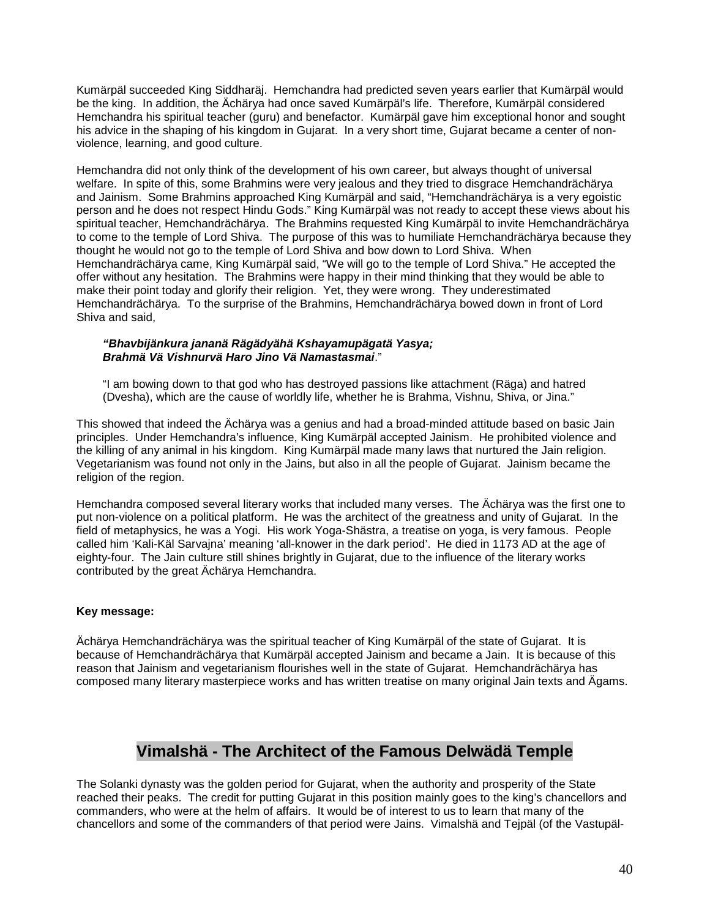Kumärpäl succeeded King Siddharäj. Hemchandra had predicted seven years earlier that Kumärpäl would be the king. In addition, the Ächärya had once saved Kumärpäl's life. Therefore, Kumärpäl considered Hemchandra his spiritual teacher (guru) and benefactor. Kumärpäl gave him exceptional honor and sought his advice in the shaping of his kingdom in Gujarat. In a very short time, Gujarat became a center of nonviolence, learning, and good culture.

Hemchandra did not only think of the development of his own career, but always thought of universal welfare. In spite of this, some Brahmins were very jealous and they tried to disgrace Hemchandrächärya and Jainism. Some Brahmins approached King Kumärpäl and said, "Hemchandrächärya is a very egoistic person and he does not respect Hindu Gods." King Kumärpäl was not ready to accept these views about his spiritual teacher, Hemchandrächärya. The Brahmins requested King Kumärpäl to invite Hemchandrächärya to come to the temple of Lord Shiva. The purpose of this was to humiliate Hemchandrächärya because they thought he would not go to the temple of Lord Shiva and bow down to Lord Shiva. When Hemchandrächärya came, King Kumärpäl said, "We will go to the temple of Lord Shiva." He accepted the offer without any hesitation. The Brahmins were happy in their mind thinking that they would be able to make their point today and glorify their religion. Yet, they were wrong. They underestimated Hemchandrächärya. To the surprise of the Brahmins, Hemchandrächärya bowed down in front of Lord Shiva and said,

### *"Bhavbijänkura jananä Rägädyähä Kshayamupägatä Yasya; Brahmä Vä Vishnurvä Haro Jino Vä Namastasmai*."

"I am bowing down to that god who has destroyed passions like attachment (Räga) and hatred (Dvesha), which are the cause of worldly life, whether he is Brahma, Vishnu, Shiva, or Jina."

This showed that indeed the Ächärya was a genius and had a broad-minded attitude based on basic Jain principles. Under Hemchandra's influence, King Kumärpäl accepted Jainism. He prohibited violence and the killing of any animal in his kingdom. King Kumärpäl made many laws that nurtured the Jain religion. Vegetarianism was found not only in the Jains, but also in all the people of Gujarat. Jainism became the religion of the region.

Hemchandra composed several literary works that included many verses. The Ächärya was the first one to put non-violence on a political platform. He was the architect of the greatness and unity of Gujarat. In the field of metaphysics, he was a Yogi. His work Yoga-Shästra, a treatise on yoga, is very famous. People called him 'Kali-Käl Sarvajna' meaning 'all-knower in the dark period'. He died in 1173 AD at the age of eighty-four. The Jain culture still shines brightly in Gujarat, due to the influence of the literary works contributed by the great Ächärya Hemchandra.

### **Key message:**

Ächärya Hemchandrächärya was the spiritual teacher of King Kumärpäl of the state of Gujarat. It is because of Hemchandrächärya that Kumärpäl accepted Jainism and became a Jain. It is because of this reason that Jainism and vegetarianism flourishes well in the state of Gujarat. Hemchandrächärya has composed many literary masterpiece works and has written treatise on many original Jain texts and Ägams.

## **Vimalshä - The Architect of the Famous Delwädä Temple**

The Solanki dynasty was the golden period for Gujarat, when the authority and prosperity of the State reached their peaks. The credit for putting Gujarat in this position mainly goes to the king's chancellors and commanders, who were at the helm of affairs. It would be of interest to us to learn that many of the chancellors and some of the commanders of that period were Jains. Vimalshä and Tejpäl (of the Vastupäl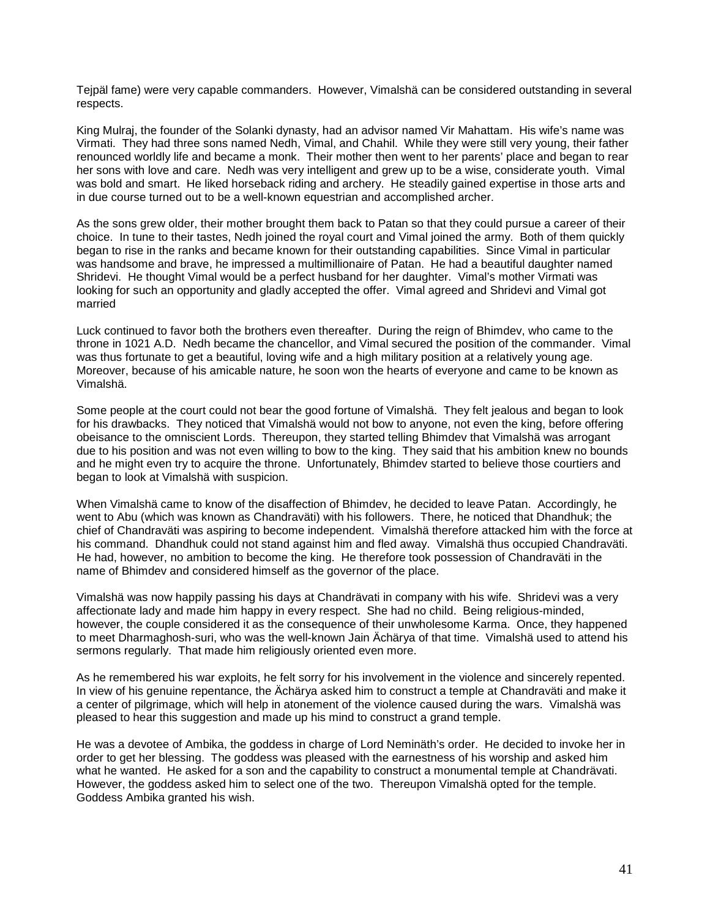Tejpäl fame) were very capable commanders. However, Vimalshä can be considered outstanding in several respects.

King Mulraj, the founder of the Solanki dynasty, had an advisor named Vir Mahattam. His wife's name was Virmati. They had three sons named Nedh, Vimal, and Chahil. While they were still very young, their father renounced worldly life and became a monk. Their mother then went to her parents' place and began to rear her sons with love and care. Nedh was very intelligent and grew up to be a wise, considerate youth. Vimal was bold and smart. He liked horseback riding and archery. He steadily gained expertise in those arts and in due course turned out to be a well-known equestrian and accomplished archer.

As the sons grew older, their mother brought them back to Patan so that they could pursue a career of their choice. In tune to their tastes, Nedh joined the royal court and Vimal joined the army. Both of them quickly began to rise in the ranks and became known for their outstanding capabilities. Since Vimal in particular was handsome and brave, he impressed a multimillionaire of Patan. He had a beautiful daughter named Shridevi. He thought Vimal would be a perfect husband for her daughter. Vimal's mother Virmati was looking for such an opportunity and gladly accepted the offer. Vimal agreed and Shridevi and Vimal got married

Luck continued to favor both the brothers even thereafter. During the reign of Bhimdev, who came to the throne in 1021 A.D. Nedh became the chancellor, and Vimal secured the position of the commander. Vimal was thus fortunate to get a beautiful, loving wife and a high military position at a relatively young age. Moreover, because of his amicable nature, he soon won the hearts of everyone and came to be known as Vimalshä.

Some people at the court could not bear the good fortune of Vimalshä. They felt jealous and began to look for his drawbacks. They noticed that Vimalshä would not bow to anyone, not even the king, before offering obeisance to the omniscient Lords. Thereupon, they started telling Bhimdev that Vimalshä was arrogant due to his position and was not even willing to bow to the king. They said that his ambition knew no bounds and he might even try to acquire the throne. Unfortunately, Bhimdev started to believe those courtiers and began to look at Vimalshä with suspicion.

When Vimalshä came to know of the disaffection of Bhimdev, he decided to leave Patan. Accordingly, he went to Abu (which was known as Chandraväti) with his followers. There, he noticed that Dhandhuk; the chief of Chandraväti was aspiring to become independent. Vimalshä therefore attacked him with the force at his command. Dhandhuk could not stand against him and fled away. Vimalshä thus occupied Chandraväti. He had, however, no ambition to become the king. He therefore took possession of Chandraväti in the name of Bhimdev and considered himself as the governor of the place.

Vimalshä was now happily passing his days at Chandrävati in company with his wife. Shridevi was a very affectionate lady and made him happy in every respect. She had no child. Being religious-minded, however, the couple considered it as the consequence of their unwholesome Karma. Once, they happened to meet Dharmaghosh-suri, who was the well-known Jain Ächärya of that time. Vimalshä used to attend his sermons regularly. That made him religiously oriented even more.

As he remembered his war exploits, he felt sorry for his involvement in the violence and sincerely repented. In view of his genuine repentance, the Ächärya asked him to construct a temple at Chandraväti and make it a center of pilgrimage, which will help in atonement of the violence caused during the wars. Vimalshä was pleased to hear this suggestion and made up his mind to construct a grand temple.

He was a devotee of Ambika, the goddess in charge of Lord Neminäth's order. He decided to invoke her in order to get her blessing. The goddess was pleased with the earnestness of his worship and asked him what he wanted. He asked for a son and the capability to construct a monumental temple at Chandrävati. However, the goddess asked him to select one of the two. Thereupon Vimalshä opted for the temple. Goddess Ambika granted his wish.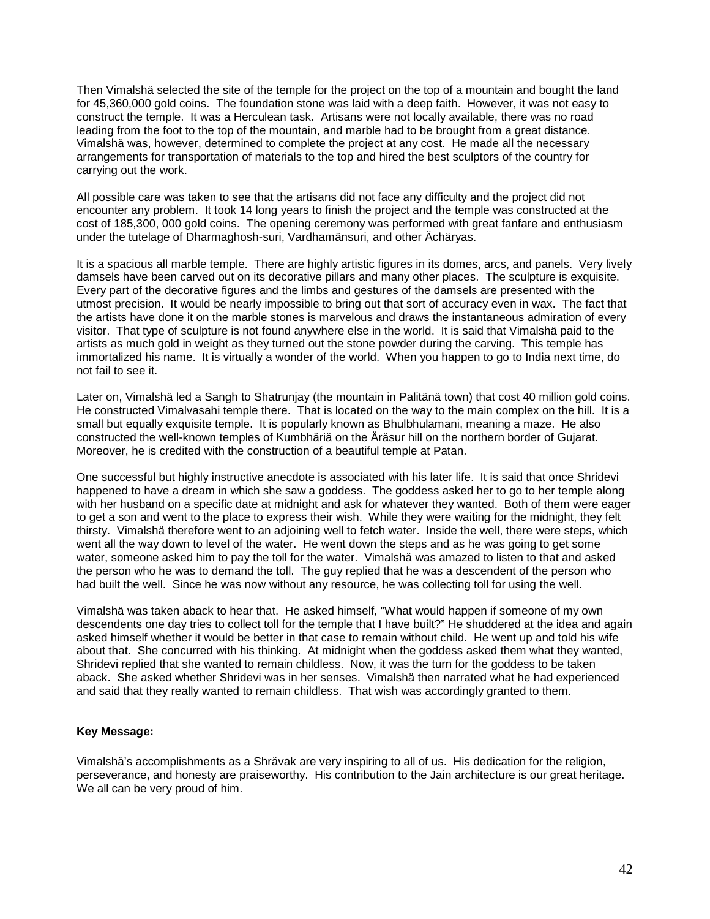Then Vimalshä selected the site of the temple for the project on the top of a mountain and bought the land for 45,360,000 gold coins. The foundation stone was laid with a deep faith. However, it was not easy to construct the temple. It was a Herculean task. Artisans were not locally available, there was no road leading from the foot to the top of the mountain, and marble had to be brought from a great distance. Vimalshä was, however, determined to complete the project at any cost. He made all the necessary arrangements for transportation of materials to the top and hired the best sculptors of the country for carrying out the work.

All possible care was taken to see that the artisans did not face any difficulty and the project did not encounter any problem. It took 14 long years to finish the project and the temple was constructed at the cost of 185,300, 000 gold coins. The opening ceremony was performed with great fanfare and enthusiasm under the tutelage of Dharmaghosh-suri, Vardhamänsuri, and other Ächäryas.

It is a spacious all marble temple. There are highly artistic figures in its domes, arcs, and panels. Very lively damsels have been carved out on its decorative pillars and many other places. The sculpture is exquisite. Every part of the decorative figures and the limbs and gestures of the damsels are presented with the utmost precision. It would be nearly impossible to bring out that sort of accuracy even in wax. The fact that the artists have done it on the marble stones is marvelous and draws the instantaneous admiration of every visitor. That type of sculpture is not found anywhere else in the world. It is said that Vimalshä paid to the artists as much gold in weight as they turned out the stone powder during the carving. This temple has immortalized his name. It is virtually a wonder of the world. When you happen to go to India next time, do not fail to see it.

Later on, Vimalshä led a Sangh to Shatrunjay (the mountain in Palitänä town) that cost 40 million gold coins. He constructed Vimalvasahi temple there. That is located on the way to the main complex on the hill. It is a small but equally exquisite temple. It is popularly known as Bhulbhulamani, meaning a maze. He also constructed the well-known temples of Kumbhäriä on the Äräsur hill on the northern border of Gujarat. Moreover, he is credited with the construction of a beautiful temple at Patan.

One successful but highly instructive anecdote is associated with his later life. It is said that once Shridevi happened to have a dream in which she saw a goddess. The goddess asked her to go to her temple along with her husband on a specific date at midnight and ask for whatever they wanted. Both of them were eager to get a son and went to the place to express their wish. While they were waiting for the midnight, they felt thirsty. Vimalshä therefore went to an adjoining well to fetch water. Inside the well, there were steps, which went all the way down to level of the water. He went down the steps and as he was going to get some water, someone asked him to pay the toll for the water. Vimalshä was amazed to listen to that and asked the person who he was to demand the toll. The guy replied that he was a descendent of the person who had built the well. Since he was now without any resource, he was collecting toll for using the well.

Vimalshä was taken aback to hear that. He asked himself, "What would happen if someone of my own descendents one day tries to collect toll for the temple that I have built?" He shuddered at the idea and again asked himself whether it would be better in that case to remain without child. He went up and told his wife about that. She concurred with his thinking. At midnight when the goddess asked them what they wanted, Shridevi replied that she wanted to remain childless. Now, it was the turn for the goddess to be taken aback. She asked whether Shridevi was in her senses. Vimalshä then narrated what he had experienced and said that they really wanted to remain childless. That wish was accordingly granted to them.

#### **Key Message:**

Vimalshä's accomplishments as a Shrävak are very inspiring to all of us. His dedication for the religion, perseverance, and honesty are praiseworthy. His contribution to the Jain architecture is our great heritage. We all can be very proud of him.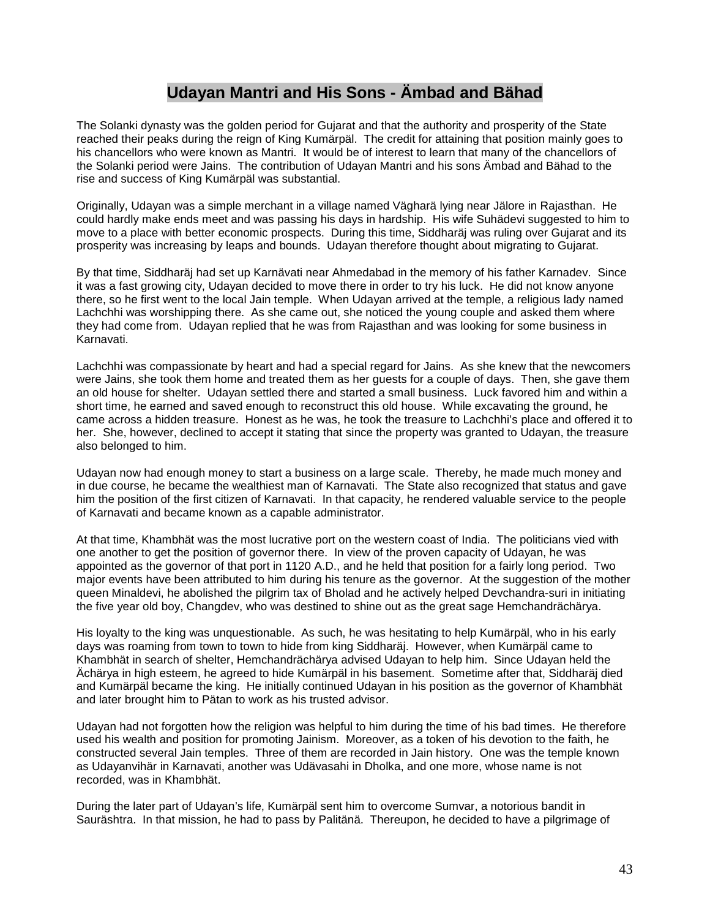### **Udayan Mantri and His Sons - Ämbad and Bähad**

The Solanki dynasty was the golden period for Gujarat and that the authority and prosperity of the State reached their peaks during the reign of King Kumärpäl. The credit for attaining that position mainly goes to his chancellors who were known as Mantri. It would be of interest to learn that many of the chancellors of the Solanki period were Jains. The contribution of Udayan Mantri and his sons Ämbad and Bähad to the rise and success of King Kumärpäl was substantial.

Originally, Udayan was a simple merchant in a village named Vägharä lying near Jälore in Rajasthan. He could hardly make ends meet and was passing his days in hardship. His wife Suhädevi suggested to him to move to a place with better economic prospects. During this time, Siddharäj was ruling over Gujarat and its prosperity was increasing by leaps and bounds. Udayan therefore thought about migrating to Gujarat.

By that time, Siddharäj had set up Karnävati near Ahmedabad in the memory of his father Karnadev. Since it was a fast growing city, Udayan decided to move there in order to try his luck. He did not know anyone there, so he first went to the local Jain temple. When Udayan arrived at the temple, a religious lady named Lachchhi was worshipping there. As she came out, she noticed the young couple and asked them where they had come from. Udayan replied that he was from Rajasthan and was looking for some business in Karnavati.

Lachchhi was compassionate by heart and had a special regard for Jains. As she knew that the newcomers were Jains, she took them home and treated them as her guests for a couple of days. Then, she gave them an old house for shelter. Udayan settled there and started a small business. Luck favored him and within a short time, he earned and saved enough to reconstruct this old house. While excavating the ground, he came across a hidden treasure. Honest as he was, he took the treasure to Lachchhi's place and offered it to her. She, however, declined to accept it stating that since the property was granted to Udayan, the treasure also belonged to him.

Udayan now had enough money to start a business on a large scale. Thereby, he made much money and in due course, he became the wealthiest man of Karnavati. The State also recognized that status and gave him the position of the first citizen of Karnavati. In that capacity, he rendered valuable service to the people of Karnavati and became known as a capable administrator.

At that time, Khambhät was the most lucrative port on the western coast of India. The politicians vied with one another to get the position of governor there. In view of the proven capacity of Udayan, he was appointed as the governor of that port in 1120 A.D., and he held that position for a fairly long period. Two major events have been attributed to him during his tenure as the governor. At the suggestion of the mother queen Minaldevi, he abolished the pilgrim tax of Bholad and he actively helped Devchandra-suri in initiating the five year old boy, Changdev, who was destined to shine out as the great sage Hemchandrächärya.

His loyalty to the king was unquestionable. As such, he was hesitating to help Kumärpäl, who in his early days was roaming from town to town to hide from king Siddharäj. However, when Kumärpäl came to Khambhät in search of shelter, Hemchandrächärya advised Udayan to help him. Since Udayan held the Ächärya in high esteem, he agreed to hide Kumärpäl in his basement. Sometime after that, Siddharäj died and Kumärpäl became the king. He initially continued Udayan in his position as the governor of Khambhät and later brought him to Pätan to work as his trusted advisor.

Udayan had not forgotten how the religion was helpful to him during the time of his bad times. He therefore used his wealth and position for promoting Jainism. Moreover, as a token of his devotion to the faith, he constructed several Jain temples. Three of them are recorded in Jain history. One was the temple known as Udayanvihär in Karnavati, another was Udävasahi in Dholka, and one more, whose name is not recorded, was in Khambhät.

During the later part of Udayan's life, Kumärpäl sent him to overcome Sumvar, a notorious bandit in Sauräshtra. In that mission, he had to pass by Palitänä. Thereupon, he decided to have a pilgrimage of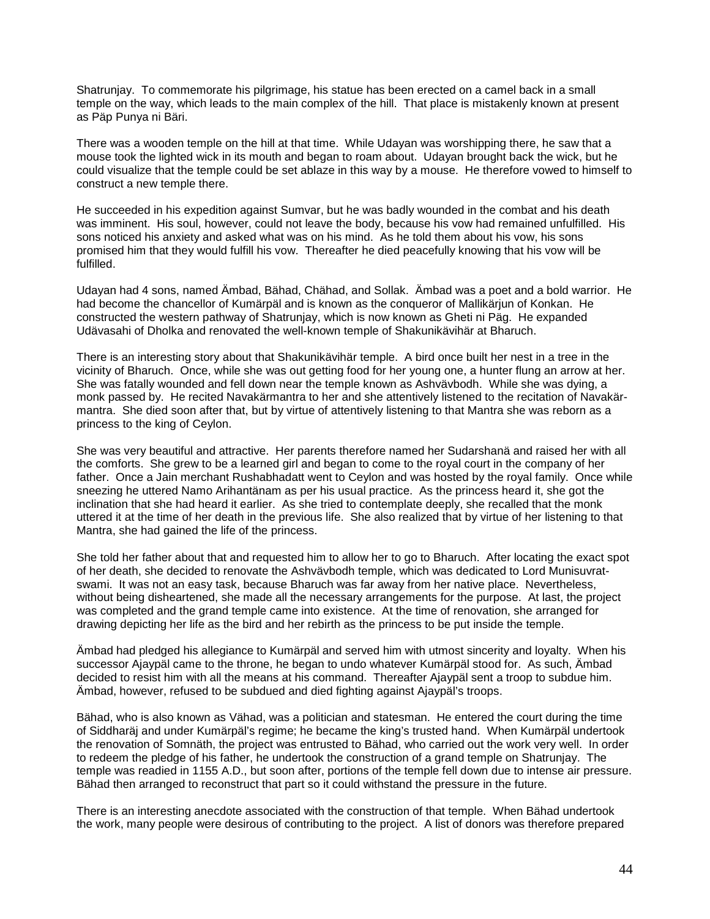Shatrunjay. To commemorate his pilgrimage, his statue has been erected on a camel back in a small temple on the way, which leads to the main complex of the hill. That place is mistakenly known at present as Päp Punya ni Bäri.

There was a wooden temple on the hill at that time. While Udayan was worshipping there, he saw that a mouse took the lighted wick in its mouth and began to roam about. Udayan brought back the wick, but he could visualize that the temple could be set ablaze in this way by a mouse. He therefore vowed to himself to construct a new temple there.

He succeeded in his expedition against Sumvar, but he was badly wounded in the combat and his death was imminent. His soul, however, could not leave the body, because his vow had remained unfulfilled. His sons noticed his anxiety and asked what was on his mind. As he told them about his vow, his sons promised him that they would fulfill his vow. Thereafter he died peacefully knowing that his vow will be fulfilled.

Udayan had 4 sons, named Ämbad, Bähad, Chähad, and Sollak. Ämbad was a poet and a bold warrior. He had become the chancellor of Kumärpäl and is known as the conqueror of Mallikärjun of Konkan. He constructed the western pathway of Shatrunjay, which is now known as Gheti ni Päg. He expanded Udävasahi of Dholka and renovated the well-known temple of Shakunikävihär at Bharuch.

There is an interesting story about that Shakunikävihär temple. A bird once built her nest in a tree in the vicinity of Bharuch. Once, while she was out getting food for her young one, a hunter flung an arrow at her. She was fatally wounded and fell down near the temple known as Ashvävbodh. While she was dying, a monk passed by. He recited Navakärmantra to her and she attentively listened to the recitation of Navakärmantra. She died soon after that, but by virtue of attentively listening to that Mantra she was reborn as a princess to the king of Ceylon.

She was very beautiful and attractive. Her parents therefore named her Sudarshanä and raised her with all the comforts. She grew to be a learned girl and began to come to the royal court in the company of her father. Once a Jain merchant Rushabhadatt went to Ceylon and was hosted by the royal family. Once while sneezing he uttered Namo Arihantänam as per his usual practice. As the princess heard it, she got the inclination that she had heard it earlier. As she tried to contemplate deeply, she recalled that the monk uttered it at the time of her death in the previous life. She also realized that by virtue of her listening to that Mantra, she had gained the life of the princess.

She told her father about that and requested him to allow her to go to Bharuch. After locating the exact spot of her death, she decided to renovate the Ashvävbodh temple, which was dedicated to Lord Munisuvratswami. It was not an easy task, because Bharuch was far away from her native place. Nevertheless, without being disheartened, she made all the necessary arrangements for the purpose. At last, the project was completed and the grand temple came into existence. At the time of renovation, she arranged for drawing depicting her life as the bird and her rebirth as the princess to be put inside the temple.

Ämbad had pledged his allegiance to Kumärpäl and served him with utmost sincerity and loyalty. When his successor Ajaypäl came to the throne, he began to undo whatever Kumärpäl stood for. As such, Ämbad decided to resist him with all the means at his command. Thereafter Ajaypäl sent a troop to subdue him. Ämbad, however, refused to be subdued and died fighting against Ajaypäl's troops.

Bähad, who is also known as Vähad, was a politician and statesman. He entered the court during the time of Siddharäj and under Kumärpäl's regime; he became the king's trusted hand. When Kumärpäl undertook the renovation of Somnäth, the project was entrusted to Bähad, who carried out the work very well. In order to redeem the pledge of his father, he undertook the construction of a grand temple on Shatrunjay. The temple was readied in 1155 A.D., but soon after, portions of the temple fell down due to intense air pressure. Bähad then arranged to reconstruct that part so it could withstand the pressure in the future.

There is an interesting anecdote associated with the construction of that temple. When Bähad undertook the work, many people were desirous of contributing to the project. A list of donors was therefore prepared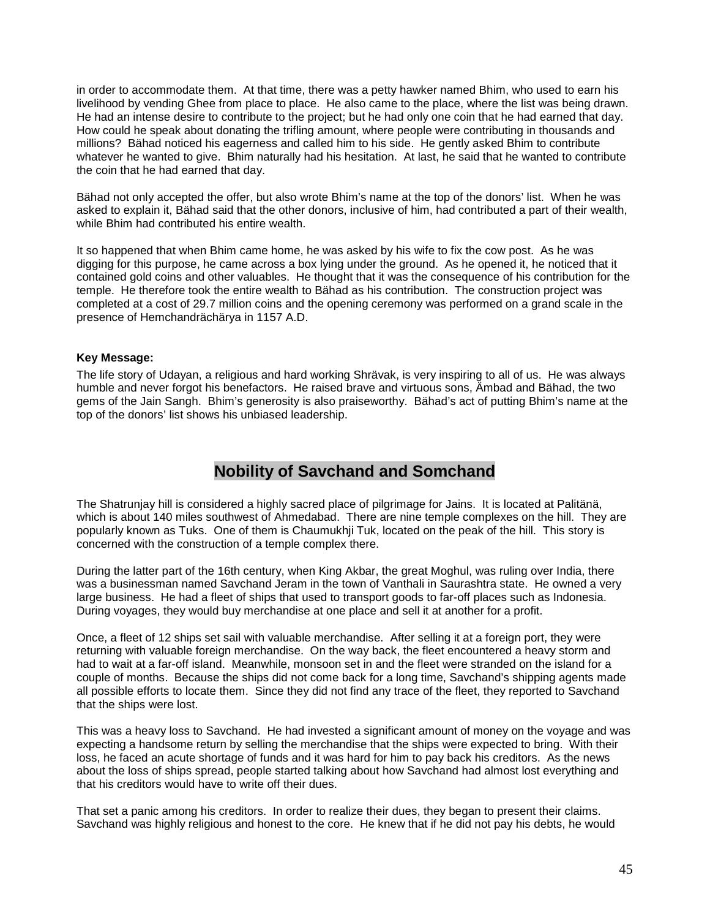in order to accommodate them. At that time, there was a petty hawker named Bhim, who used to earn his livelihood by vending Ghee from place to place. He also came to the place, where the list was being drawn. He had an intense desire to contribute to the project; but he had only one coin that he had earned that day. How could he speak about donating the trifling amount, where people were contributing in thousands and millions? Bähad noticed his eagerness and called him to his side. He gently asked Bhim to contribute whatever he wanted to give. Bhim naturally had his hesitation. At last, he said that he wanted to contribute the coin that he had earned that day.

Bähad not only accepted the offer, but also wrote Bhim's name at the top of the donors' list. When he was asked to explain it, Bähad said that the other donors, inclusive of him, had contributed a part of their wealth, while Bhim had contributed his entire wealth.

It so happened that when Bhim came home, he was asked by his wife to fix the cow post. As he was digging for this purpose, he came across a box lying under the ground. As he opened it, he noticed that it contained gold coins and other valuables. He thought that it was the consequence of his contribution for the temple. He therefore took the entire wealth to Bähad as his contribution. The construction project was completed at a cost of 29.7 million coins and the opening ceremony was performed on a grand scale in the presence of Hemchandrächärya in 1157 A.D.

### **Key Message:**

The life story of Udayan, a religious and hard working Shrävak, is very inspiring to all of us. He was always humble and never forgot his benefactors. He raised brave and virtuous sons, Ämbad and Bähad, the two gems of the Jain Sangh. Bhim's generosity is also praiseworthy. Bähad's act of putting Bhim's name at the top of the donors' list shows his unbiased leadership.

## **Nobility of Savchand and Somchand**

The Shatrunjay hill is considered a highly sacred place of pilgrimage for Jains. It is located at Palitänä, which is about 140 miles southwest of Ahmedabad. There are nine temple complexes on the hill. They are popularly known as Tuks. One of them is Chaumukhji Tuk, located on the peak of the hill. This story is concerned with the construction of a temple complex there.

During the latter part of the 16th century, when King Akbar, the great Moghul, was ruling over India, there was a businessman named Savchand Jeram in the town of Vanthali in Saurashtra state. He owned a very large business. He had a fleet of ships that used to transport goods to far-off places such as Indonesia. During voyages, they would buy merchandise at one place and sell it at another for a profit.

Once, a fleet of 12 ships set sail with valuable merchandise. After selling it at a foreign port, they were returning with valuable foreign merchandise. On the way back, the fleet encountered a heavy storm and had to wait at a far-off island. Meanwhile, monsoon set in and the fleet were stranded on the island for a couple of months. Because the ships did not come back for a long time, Savchand's shipping agents made all possible efforts to locate them. Since they did not find any trace of the fleet, they reported to Savchand that the ships were lost.

This was a heavy loss to Savchand. He had invested a significant amount of money on the voyage and was expecting a handsome return by selling the merchandise that the ships were expected to bring. With their loss, he faced an acute shortage of funds and it was hard for him to pay back his creditors. As the news about the loss of ships spread, people started talking about how Savchand had almost lost everything and that his creditors would have to write off their dues.

That set a panic among his creditors. In order to realize their dues, they began to present their claims. Savchand was highly religious and honest to the core. He knew that if he did not pay his debts, he would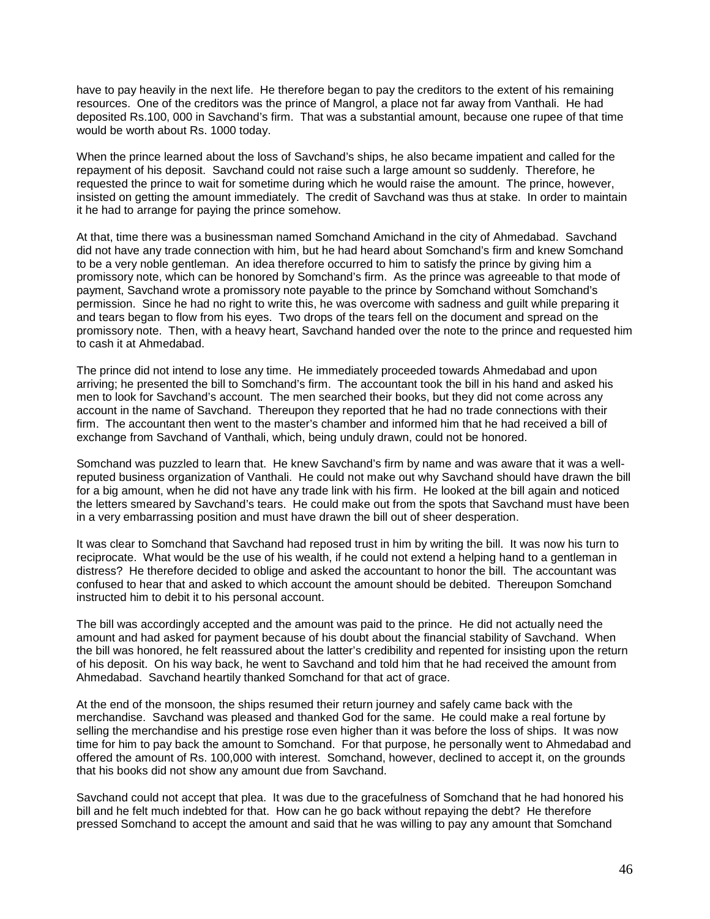have to pay heavily in the next life. He therefore began to pay the creditors to the extent of his remaining resources. One of the creditors was the prince of Mangrol, a place not far away from Vanthali. He had deposited Rs.100, 000 in Savchand's firm. That was a substantial amount, because one rupee of that time would be worth about Rs. 1000 today.

When the prince learned about the loss of Savchand's ships, he also became impatient and called for the repayment of his deposit. Savchand could not raise such a large amount so suddenly. Therefore, he requested the prince to wait for sometime during which he would raise the amount. The prince, however, insisted on getting the amount immediately. The credit of Savchand was thus at stake. In order to maintain it he had to arrange for paying the prince somehow.

At that, time there was a businessman named Somchand Amichand in the city of Ahmedabad. Savchand did not have any trade connection with him, but he had heard about Somchand's firm and knew Somchand to be a very noble gentleman. An idea therefore occurred to him to satisfy the prince by giving him a promissory note, which can be honored by Somchand's firm. As the prince was agreeable to that mode of payment, Savchand wrote a promissory note payable to the prince by Somchand without Somchand's permission. Since he had no right to write this, he was overcome with sadness and guilt while preparing it and tears began to flow from his eyes. Two drops of the tears fell on the document and spread on the promissory note. Then, with a heavy heart, Savchand handed over the note to the prince and requested him to cash it at Ahmedabad.

The prince did not intend to lose any time. He immediately proceeded towards Ahmedabad and upon arriving; he presented the bill to Somchand's firm. The accountant took the bill in his hand and asked his men to look for Savchand's account. The men searched their books, but they did not come across any account in the name of Savchand. Thereupon they reported that he had no trade connections with their firm. The accountant then went to the master's chamber and informed him that he had received a bill of exchange from Savchand of Vanthali, which, being unduly drawn, could not be honored.

Somchand was puzzled to learn that. He knew Savchand's firm by name and was aware that it was a wellreputed business organization of Vanthali. He could not make out why Savchand should have drawn the bill for a big amount, when he did not have any trade link with his firm. He looked at the bill again and noticed the letters smeared by Savchand's tears. He could make out from the spots that Savchand must have been in a very embarrassing position and must have drawn the bill out of sheer desperation.

It was clear to Somchand that Savchand had reposed trust in him by writing the bill. It was now his turn to reciprocate. What would be the use of his wealth, if he could not extend a helping hand to a gentleman in distress? He therefore decided to oblige and asked the accountant to honor the bill. The accountant was confused to hear that and asked to which account the amount should be debited. Thereupon Somchand instructed him to debit it to his personal account.

The bill was accordingly accepted and the amount was paid to the prince. He did not actually need the amount and had asked for payment because of his doubt about the financial stability of Savchand. When the bill was honored, he felt reassured about the latter's credibility and repented for insisting upon the return of his deposit. On his way back, he went to Savchand and told him that he had received the amount from Ahmedabad. Savchand heartily thanked Somchand for that act of grace.

At the end of the monsoon, the ships resumed their return journey and safely came back with the merchandise. Savchand was pleased and thanked God for the same. He could make a real fortune by selling the merchandise and his prestige rose even higher than it was before the loss of ships. It was now time for him to pay back the amount to Somchand. For that purpose, he personally went to Ahmedabad and offered the amount of Rs. 100,000 with interest. Somchand, however, declined to accept it, on the grounds that his books did not show any amount due from Savchand.

Savchand could not accept that plea. It was due to the gracefulness of Somchand that he had honored his bill and he felt much indebted for that. How can he go back without repaying the debt? He therefore pressed Somchand to accept the amount and said that he was willing to pay any amount that Somchand